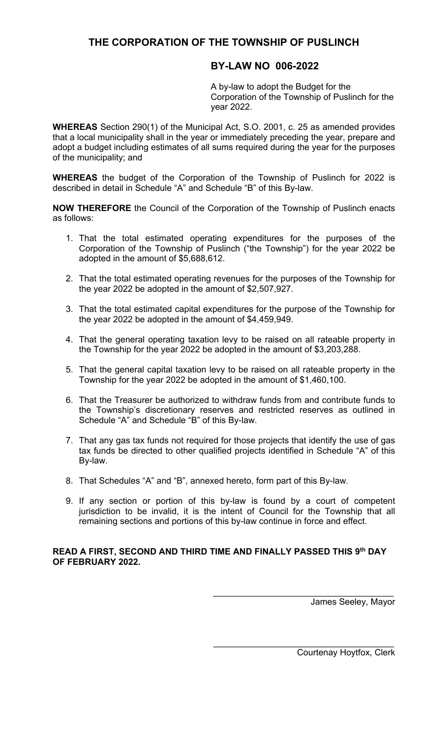# **THE CORPORATION OF THE TOWNSHIP OF PUSLINCH**

## **BY-LAW NO 006-2022**

A by-law to adopt the Budget for the Corporation of the Township of Puslinch for the year 2022.

**WHEREAS** Section 290(1) of the Municipal Act, S.O. 2001, c. 25 as amended provides that a local municipality shall in the year or immediately preceding the year, prepare and adopt a budget including estimates of all sums required during the year for the purposes of the municipality; and

**WHEREAS** the budget of the Corporation of the Township of Puslinch for 2022 is described in detail in Schedule "A" and Schedule "B" of this By-law.

**NOW THEREFORE** the Council of the Corporation of the Township of Puslinch enacts as follows:

- 1. That the total estimated operating expenditures for the purposes of the Corporation of the Township of Puslinch ("the Township") for the year 2022 be adopted in the amount of \$5,688,612.
- 2. That the total estimated operating revenues for the purposes of the Township for the year 2022 be adopted in the amount of \$2,507,927.
- 3. That the total estimated capital expenditures for the purpose of the Township for the year 2022 be adopted in the amount of \$4,459,949.
- 4. That the general operating taxation levy to be raised on all rateable property in the Township for the year 2022 be adopted in the amount of \$3,203,288.
- 5. That the general capital taxation levy to be raised on all rateable property in the Township for the year 2022 be adopted in the amount of \$1,460,100.
- 6. That the Treasurer be authorized to withdraw funds from and contribute funds to the Township's discretionary reserves and restricted reserves as outlined in Schedule "A" and Schedule "B" of this By-law.
- 7. That any gas tax funds not required for those projects that identify the use of gas tax funds be directed to other qualified projects identified in Schedule "A" of this By-law.
- 8. That Schedules "A" and "B", annexed hereto, form part of this By-law.
- 9. If any section or portion of this by-law is found by a court of competent jurisdiction to be invalid, it is the intent of Council for the Township that all remaining sections and portions of this by-law continue in force and effect.

## **READ A FIRST, SECOND AND THIRD TIME AND FINALLY PASSED THIS 9th DAY OF FEBRUARY 2022.**

 $\overline{\phantom{a}}$  , which is a set of the set of the set of the set of the set of the set of the set of the set of the set of the set of the set of the set of the set of the set of the set of the set of the set of the set of th

James Seeley, Mayor

Courtenay Hoytfox, Clerk

\_\_\_\_\_\_\_\_\_\_\_\_\_\_\_\_\_\_\_\_\_\_\_\_\_\_\_\_\_\_\_\_\_\_\_\_\_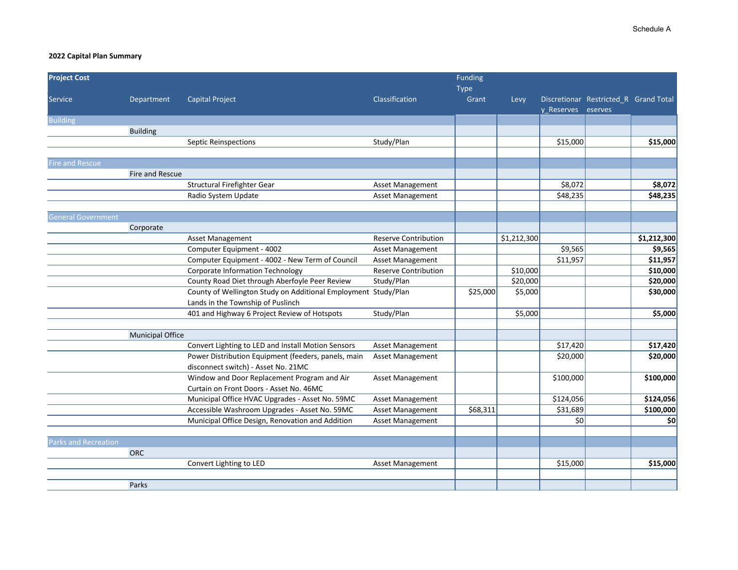| <b>Project Cost</b>       |                         |                                                                |                             | Funding<br><b>Type</b> |             |                    |                                       |             |
|---------------------------|-------------------------|----------------------------------------------------------------|-----------------------------|------------------------|-------------|--------------------|---------------------------------------|-------------|
| <b>Service</b>            | Department              | <b>Capital Project</b>                                         | Classification              | Grant                  | Levy        | y Reserves eserves | Discretionar Restricted_R Grand Total |             |
| <b>Building</b>           |                         |                                                                |                             |                        |             |                    |                                       |             |
|                           | <b>Building</b>         |                                                                |                             |                        |             |                    |                                       |             |
|                           |                         | <b>Septic Reinspections</b>                                    | Study/Plan                  |                        |             | \$15,000           |                                       | \$15,000    |
|                           |                         |                                                                |                             |                        |             |                    |                                       |             |
| <b>Fire and Rescue</b>    |                         |                                                                |                             |                        |             |                    |                                       |             |
|                           | Fire and Rescue         |                                                                |                             |                        |             |                    |                                       |             |
|                           |                         | Structural Firefighter Gear                                    | Asset Management            |                        |             | \$8,072            |                                       | \$8,072     |
|                           |                         | Radio System Update                                            | Asset Management            |                        |             | \$48,235           |                                       | \$48,235    |
| <b>General Government</b> |                         |                                                                |                             |                        |             |                    |                                       |             |
|                           | Corporate               |                                                                |                             |                        |             |                    |                                       |             |
|                           |                         | Asset Management                                               | <b>Reserve Contribution</b> |                        | \$1,212,300 |                    |                                       | \$1,212,300 |
|                           |                         | Computer Equipment - 4002                                      | Asset Management            |                        |             | \$9,565            |                                       | \$9,565     |
|                           |                         | Computer Equipment - 4002 - New Term of Council                | Asset Management            |                        |             | \$11,957           |                                       | \$11,957    |
|                           |                         | <b>Corporate Information Technology</b>                        | <b>Reserve Contribution</b> |                        | \$10,000    |                    |                                       | \$10,000    |
|                           |                         | County Road Diet through Aberfoyle Peer Review                 | Study/Plan                  |                        | \$20,000    |                    |                                       | \$20,000    |
|                           |                         | County of Wellington Study on Additional Employment Study/Plan |                             | \$25,000               | \$5,000     |                    |                                       | \$30,000    |
|                           |                         | Lands in the Township of Puslinch                              |                             |                        |             |                    |                                       |             |
|                           |                         | 401 and Highway 6 Project Review of Hotspots                   | Study/Plan                  |                        | \$5,000     |                    |                                       | \$5,000     |
|                           |                         |                                                                |                             |                        |             |                    |                                       |             |
|                           | <b>Municipal Office</b> |                                                                |                             |                        |             |                    |                                       |             |
|                           |                         | Convert Lighting to LED and Install Motion Sensors             | Asset Management            |                        |             | \$17,420           |                                       | \$17,420    |
|                           |                         | Power Distribution Equipment (feeders, panels, main            | <b>Asset Management</b>     |                        |             | \$20,000           |                                       | \$20,000    |
|                           |                         | disconnect switch) - Asset No. 21MC                            |                             |                        |             |                    |                                       |             |
|                           |                         | Window and Door Replacement Program and Air                    | <b>Asset Management</b>     |                        |             | \$100,000          |                                       | \$100,000   |
|                           |                         | Curtain on Front Doors - Asset No. 46MC                        |                             |                        |             |                    |                                       |             |
|                           |                         | Municipal Office HVAC Upgrades - Asset No. 59MC                | Asset Management            |                        |             | \$124,056          |                                       | \$124,056   |
|                           |                         | Accessible Washroom Upgrades - Asset No. 59MC                  | Asset Management            | \$68,311               |             | \$31,689           |                                       | \$100,000   |
|                           |                         | Municipal Office Design, Renovation and Addition               | Asset Management            |                        |             | \$0                |                                       | \$0         |
|                           |                         |                                                                |                             |                        |             |                    |                                       |             |
| Parks and Recreation      |                         |                                                                |                             |                        |             |                    |                                       |             |
|                           | ORC                     |                                                                |                             |                        |             |                    |                                       |             |
|                           |                         | Convert Lighting to LED                                        | Asset Management            |                        |             | \$15,000           |                                       | \$15,000    |
|                           |                         |                                                                |                             |                        |             |                    |                                       |             |
|                           | Parks                   |                                                                |                             |                        |             |                    |                                       |             |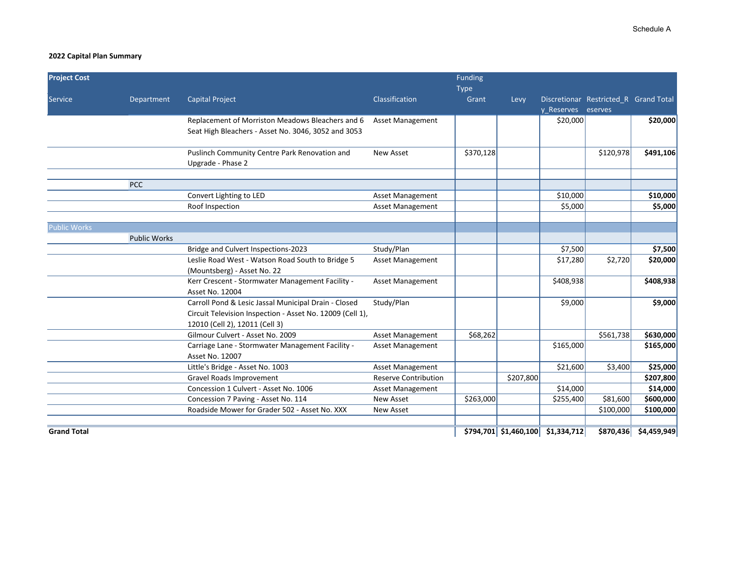| <b>Project Cost</b> |                     |                                                                                                                                                     |                             | Funding<br><b>Type</b> |                         |                                                             |           |             |
|---------------------|---------------------|-----------------------------------------------------------------------------------------------------------------------------------------------------|-----------------------------|------------------------|-------------------------|-------------------------------------------------------------|-----------|-------------|
| <b>Service</b>      | Department          | <b>Capital Project</b>                                                                                                                              | Classification              | Grant                  | Levy                    | Discretionar Restricted_R Grand Total<br>y Reserves eserves |           |             |
|                     |                     | Replacement of Morriston Meadows Bleachers and 6                                                                                                    | <b>Asset Management</b>     |                        |                         | \$20,000                                                    |           | \$20,000    |
|                     |                     | Seat High Bleachers - Asset No. 3046, 3052 and 3053                                                                                                 |                             |                        |                         |                                                             |           |             |
|                     |                     | Puslinch Community Centre Park Renovation and<br>Upgrade - Phase 2                                                                                  | <b>New Asset</b>            | \$370,128              |                         |                                                             | \$120,978 | \$491,106   |
|                     | <b>PCC</b>          |                                                                                                                                                     |                             |                        |                         |                                                             |           |             |
|                     |                     | Convert Lighting to LED                                                                                                                             | Asset Management            |                        |                         | \$10,000                                                    |           | \$10,000    |
|                     |                     | Roof Inspection                                                                                                                                     | Asset Management            |                        |                         | \$5,000                                                     |           | \$5,000     |
| <b>Public Works</b> |                     |                                                                                                                                                     |                             |                        |                         |                                                             |           |             |
|                     | <b>Public Works</b> |                                                                                                                                                     |                             |                        |                         |                                                             |           |             |
|                     |                     | Bridge and Culvert Inspections-2023                                                                                                                 | Study/Plan                  |                        |                         | \$7,500                                                     |           | \$7,500     |
|                     |                     | Leslie Road West - Watson Road South to Bridge 5<br>(Mountsberg) - Asset No. 22                                                                     | <b>Asset Management</b>     |                        |                         | \$17,280                                                    | \$2,720   | \$20,000    |
|                     |                     | Kerr Crescent - Stormwater Management Facility -<br>Asset No. 12004                                                                                 | <b>Asset Management</b>     |                        |                         | \$408,938                                                   |           | \$408,938   |
|                     |                     | Carroll Pond & Lesic Jassal Municipal Drain - Closed<br>Circuit Television Inspection - Asset No. 12009 (Cell 1),<br>12010 (Cell 2), 12011 (Cell 3) | Study/Plan                  |                        |                         | \$9,000                                                     |           | \$9,000     |
|                     |                     | Gilmour Culvert - Asset No. 2009                                                                                                                    | <b>Asset Management</b>     | \$68,262               |                         |                                                             | \$561,738 | \$630,000   |
|                     |                     | Carriage Lane - Stormwater Management Facility -<br>Asset No. 12007                                                                                 | <b>Asset Management</b>     |                        |                         | \$165,000                                                   |           | \$165,000   |
|                     |                     | Little's Bridge - Asset No. 1003                                                                                                                    | Asset Management            |                        |                         | \$21,600                                                    | \$3,400   | \$25,000    |
|                     |                     | Gravel Roads Improvement                                                                                                                            | <b>Reserve Contribution</b> |                        | \$207,800               |                                                             |           | \$207,800   |
|                     |                     | Concession 1 Culvert - Asset No. 1006                                                                                                               | Asset Management            |                        |                         | \$14,000                                                    |           | \$14,000    |
|                     |                     | Concession 7 Paving - Asset No. 114                                                                                                                 | New Asset                   | \$263,000              |                         | \$255,400                                                   | \$81,600  | \$600,000   |
|                     |                     | Roadside Mower for Grader 502 - Asset No. XXX                                                                                                       | <b>New Asset</b>            |                        |                         |                                                             | \$100,000 | \$100,000   |
| <b>Grand Total</b>  |                     |                                                                                                                                                     |                             |                        | $$794,701$ $$1,460,100$ | \$1,334,712                                                 | \$870,436 | \$4,459,949 |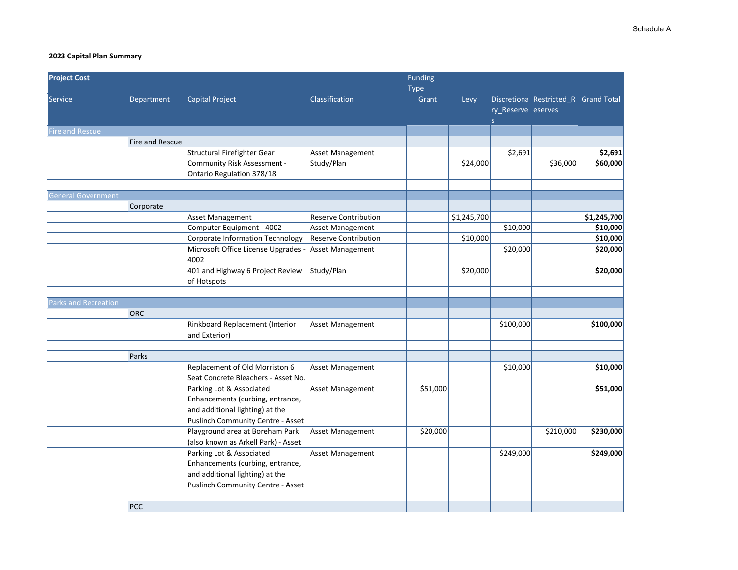| <b>Project Cost</b>       |                 |                                                                                                                                             |                             | Funding<br><b>Type</b> |             |                         |                                      |             |
|---------------------------|-----------------|---------------------------------------------------------------------------------------------------------------------------------------------|-----------------------------|------------------------|-------------|-------------------------|--------------------------------------|-------------|
| Service                   | Department      | <b>Capital Project</b>                                                                                                                      | Classification              | Grant                  | Levy        | ry_Reserve eserves<br>S | Discretiona Restricted_R Grand Total |             |
| <b>Fire and Rescue</b>    |                 |                                                                                                                                             |                             |                        |             |                         |                                      |             |
|                           | Fire and Rescue |                                                                                                                                             |                             |                        |             |                         |                                      |             |
|                           |                 | Structural Firefighter Gear                                                                                                                 | Asset Management            |                        |             | \$2,691                 |                                      | \$2,691     |
|                           |                 | Community Risk Assessment -                                                                                                                 | Study/Plan                  |                        | \$24,000    |                         | \$36,000                             | \$60,000    |
|                           |                 | Ontario Regulation 378/18                                                                                                                   |                             |                        |             |                         |                                      |             |
|                           |                 |                                                                                                                                             |                             |                        |             |                         |                                      |             |
| <b>General Government</b> |                 |                                                                                                                                             |                             |                        |             |                         |                                      |             |
|                           | Corporate       |                                                                                                                                             |                             |                        |             |                         |                                      |             |
|                           |                 | Asset Management                                                                                                                            | Reserve Contribution        |                        | \$1,245,700 |                         |                                      | \$1,245,700 |
|                           |                 | Computer Equipment - 4002                                                                                                                   | Asset Management            |                        |             | \$10,000                |                                      | \$10,000    |
|                           |                 | <b>Corporate Information Technology</b>                                                                                                     | <b>Reserve Contribution</b> |                        | \$10,000    |                         |                                      | \$10,000    |
|                           |                 | Microsoft Office License Upgrades - Asset Management<br>4002                                                                                |                             |                        |             | \$20,000                |                                      | \$20,000    |
|                           |                 | 401 and Highway 6 Project Review Study/Plan<br>of Hotspots                                                                                  |                             |                        | \$20,000    |                         |                                      | \$20,000    |
|                           |                 |                                                                                                                                             |                             |                        |             |                         |                                      |             |
| Parks and Recreation      |                 |                                                                                                                                             |                             |                        |             |                         |                                      |             |
|                           | ORC             |                                                                                                                                             |                             |                        |             |                         |                                      |             |
|                           |                 | Rinkboard Replacement (Interior<br>and Exterior)                                                                                            | Asset Management            |                        |             | \$100,000               |                                      | \$100,000   |
|                           |                 |                                                                                                                                             |                             |                        |             |                         |                                      |             |
|                           | Parks           |                                                                                                                                             |                             |                        |             |                         |                                      |             |
|                           |                 | Replacement of Old Morriston 6<br>Seat Concrete Bleachers - Asset No.                                                                       | <b>Asset Management</b>     |                        |             | \$10,000                |                                      | \$10,000    |
|                           |                 | Parking Lot & Associated<br>Enhancements (curbing, entrance,<br>and additional lighting) at the<br><b>Puslinch Community Centre - Asset</b> | Asset Management            | \$51,000               |             |                         |                                      | \$51,000    |
|                           |                 | Playground area at Boreham Park<br>(also known as Arkell Park) - Asset                                                                      | Asset Management            | \$20,000               |             |                         | \$210,000                            | \$230,000   |
|                           |                 | Parking Lot & Associated<br>Enhancements (curbing, entrance,<br>and additional lighting) at the<br><b>Puslinch Community Centre - Asset</b> | Asset Management            |                        |             | \$249,000               |                                      | \$249,000   |
|                           | <b>PCC</b>      |                                                                                                                                             |                             |                        |             |                         |                                      |             |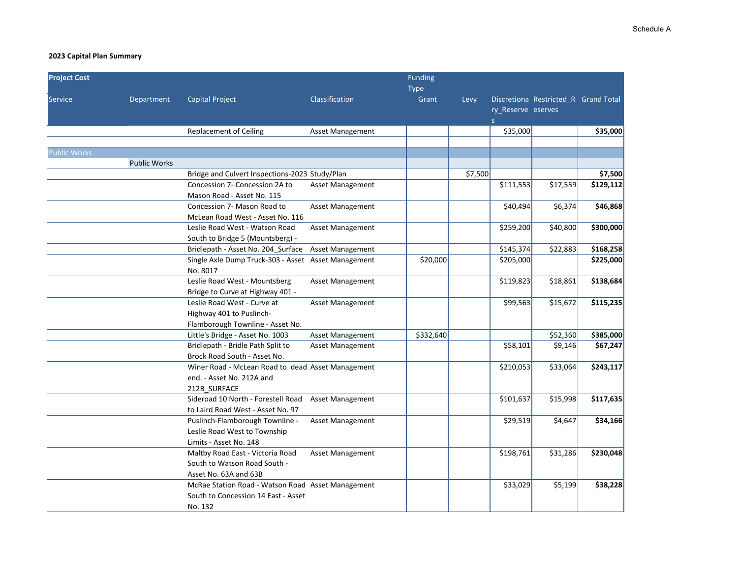| <b>Project Cost</b> |                     |                                                     |                         | Funding<br><b>Type</b> |         |                                    |                                      |           |
|---------------------|---------------------|-----------------------------------------------------|-------------------------|------------------------|---------|------------------------------------|--------------------------------------|-----------|
| <b>Service</b>      | Department          | <b>Capital Project</b>                              | Classification          | Grant                  | Levy    | ry_Reserve eserves<br>$\mathsf{S}$ | Discretiona Restricted R Grand Total |           |
|                     |                     | <b>Replacement of Ceiling</b>                       | <b>Asset Management</b> |                        |         | \$35,000                           |                                      | \$35,000  |
|                     |                     |                                                     |                         |                        |         |                                    |                                      |           |
| <b>Public Works</b> |                     |                                                     |                         |                        |         |                                    |                                      |           |
|                     | <b>Public Works</b> |                                                     |                         |                        |         |                                    |                                      |           |
|                     |                     | Bridge and Culvert Inspections-2023 Study/Plan      |                         |                        | \$7,500 |                                    |                                      | \$7,500   |
|                     |                     | Concession 7- Concession 2A to                      | <b>Asset Management</b> |                        |         | \$111,553                          | \$17,559                             | \$129,112 |
|                     |                     | Mason Road - Asset No. 115                          |                         |                        |         |                                    |                                      |           |
|                     |                     | Concession 7- Mason Road to                         | Asset Management        |                        |         | \$40,494                           | \$6,374                              | \$46,868  |
|                     |                     | McLean Road West - Asset No. 116                    |                         |                        |         |                                    |                                      |           |
|                     |                     | Leslie Road West - Watson Road                      | Asset Management        |                        |         | \$259,200                          | \$40,800                             | \$300,000 |
|                     |                     | South to Bridge 5 (Mountsberg) -                    |                         |                        |         |                                    |                                      |           |
|                     |                     | Bridlepath - Asset No. 204_Surface                  | Asset Management        |                        |         | \$145,374                          | \$22,883                             | \$168,258 |
|                     |                     | Single Axle Dump Truck-303 - Asset Asset Management |                         | \$20,000               |         | \$205,000                          |                                      | \$225,000 |
|                     |                     | No. 8017                                            |                         |                        |         |                                    |                                      |           |
|                     |                     | Leslie Road West - Mountsberg                       | Asset Management        |                        |         | \$119,823                          | \$18,861                             | \$138,684 |
|                     |                     | Bridge to Curve at Highway 401 -                    |                         |                        |         |                                    |                                      |           |
|                     |                     | Leslie Road West - Curve at                         | Asset Management        |                        |         | \$99,563                           | \$15,672                             | \$115,235 |
|                     |                     | Highway 401 to Puslinch-                            |                         |                        |         |                                    |                                      |           |
|                     |                     | Flamborough Townline - Asset No.                    |                         |                        |         |                                    |                                      |           |
|                     |                     | Little's Bridge - Asset No. 1003                    | Asset Management        | \$332,640              |         |                                    | \$52,360                             | \$385,000 |
|                     |                     | Bridlepath - Bridle Path Split to                   | <b>Asset Management</b> |                        |         | \$58,101                           | \$9,146                              | \$67,247  |
|                     |                     | Brock Road South - Asset No.                        |                         |                        |         |                                    |                                      |           |
|                     |                     | Winer Road - McLean Road to dead Asset Management   |                         |                        |         | \$210,053                          | \$33,064                             | \$243,117 |
|                     |                     | end. - Asset No. 212A and                           |                         |                        |         |                                    |                                      |           |
|                     |                     | 212B SURFACE                                        |                         |                        |         |                                    |                                      |           |
|                     |                     | Sideroad 10 North - Forestell Road                  | <b>Asset Management</b> |                        |         | \$101,637                          | \$15,998                             | \$117,635 |
|                     |                     | to Laird Road West - Asset No. 97                   |                         |                        |         |                                    |                                      |           |
|                     |                     | Puslinch-Flamborough Townline -                     | <b>Asset Management</b> |                        |         | \$29,519                           | \$4,647                              | \$34,166  |
|                     |                     | Leslie Road West to Township                        |                         |                        |         |                                    |                                      |           |
|                     |                     | Limits - Asset No. 148                              |                         |                        |         |                                    |                                      |           |
|                     |                     | Maltby Road East - Victoria Road                    | Asset Management        |                        |         | \$198,761                          | \$31,286                             | \$230,048 |
|                     |                     | South to Watson Road South -                        |                         |                        |         |                                    |                                      |           |
|                     |                     | Asset No. 63A and 63B                               |                         |                        |         |                                    |                                      |           |
|                     |                     | McRae Station Road - Watson Road Asset Management   |                         |                        |         | \$33,029                           | \$5,199                              | \$38,228  |
|                     |                     | South to Concession 14 East - Asset                 |                         |                        |         |                                    |                                      |           |
|                     |                     | No. 132                                             |                         |                        |         |                                    |                                      |           |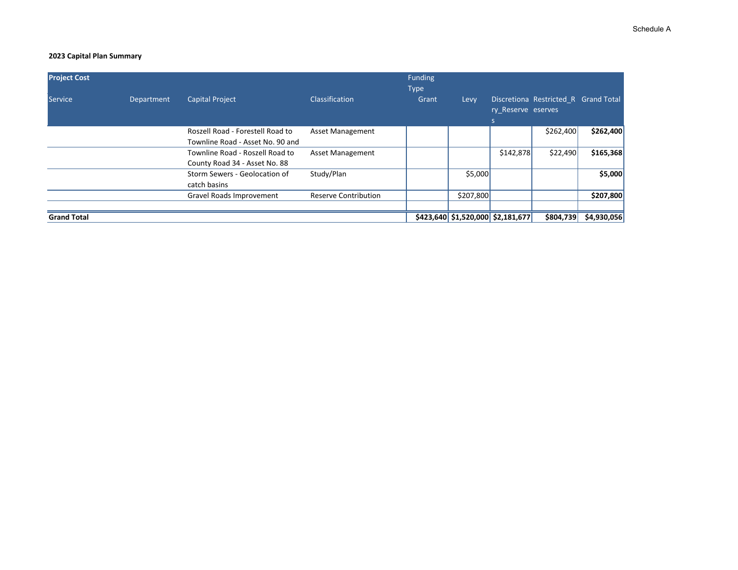| <b>Project Cost</b> |            |                                                                      |                             | Funding<br><b>Type</b> |           |                                        |                                      |             |
|---------------------|------------|----------------------------------------------------------------------|-----------------------------|------------------------|-----------|----------------------------------------|--------------------------------------|-------------|
| Service             | Department | <b>Capital Project</b>                                               | <b>Classification</b>       | Grant                  | Levy      | ry Reserve eserves                     | Discretiona Restricted R Grand Total |             |
|                     |            | Roszell Road - Forestell Road to<br>Townline Road - Asset No. 90 and | <b>Asset Management</b>     |                        |           |                                        | \$262,400                            | \$262,400   |
|                     |            | Townline Road - Roszell Road to<br>County Road 34 - Asset No. 88     | <b>Asset Management</b>     |                        |           | \$142,878                              | \$22,490                             | \$165,368   |
|                     |            | Storm Sewers - Geolocation of<br>catch basins                        | Study/Plan                  |                        | \$5,000   |                                        |                                      | \$5,000     |
|                     |            | Gravel Roads Improvement                                             | <b>Reserve Contribution</b> |                        | \$207,800 |                                        |                                      | \$207,800   |
| <b>Grand Total</b>  |            |                                                                      |                             |                        |           | $$423,640$$ $$1,520,000$$ $$2,181,677$ | \$804,739                            | \$4,930,056 |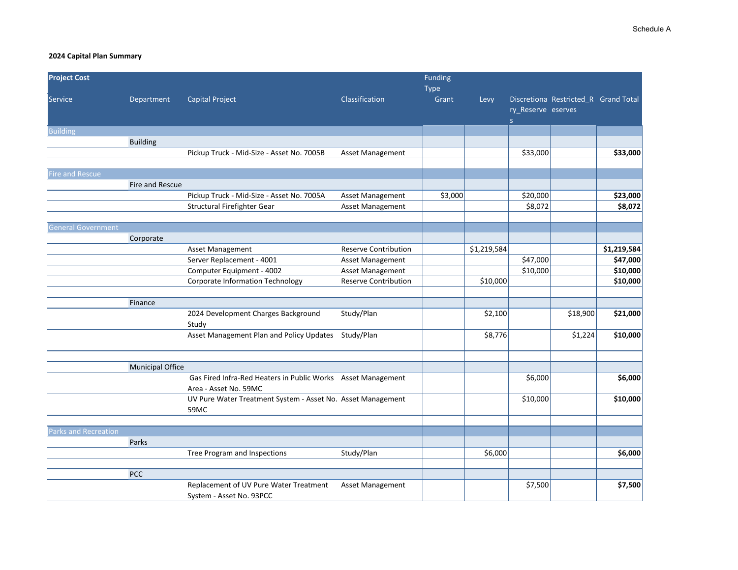| <b>Project Cost</b>         |                         |                                                                                       |                             | Funding       |             |                    |                                      |             |
|-----------------------------|-------------------------|---------------------------------------------------------------------------------------|-----------------------------|---------------|-------------|--------------------|--------------------------------------|-------------|
| Service                     | Department              | <b>Capital Project</b>                                                                | Classification              | Type<br>Grant | Levy        | ry_Reserve eserves | Discretiona Restricted_R Grand Total |             |
|                             |                         |                                                                                       |                             |               |             | S                  |                                      |             |
| <b>Building</b>             |                         |                                                                                       |                             |               |             |                    |                                      |             |
|                             | <b>Building</b>         |                                                                                       |                             |               |             |                    |                                      |             |
|                             |                         | Pickup Truck - Mid-Size - Asset No. 7005B                                             | Asset Management            |               |             | \$33,000           |                                      | \$33,000    |
|                             |                         |                                                                                       |                             |               |             |                    |                                      |             |
| <b>Fire and Rescue</b>      |                         |                                                                                       |                             |               |             |                    |                                      |             |
|                             | Fire and Rescue         |                                                                                       |                             |               |             |                    |                                      |             |
|                             |                         | Pickup Truck - Mid-Size - Asset No. 7005A                                             | Asset Management            | \$3,000       |             | \$20,000           |                                      | \$23,000    |
|                             |                         | Structural Firefighter Gear                                                           | Asset Management            |               |             | \$8,072            |                                      | \$8,072     |
|                             |                         |                                                                                       |                             |               |             |                    |                                      |             |
| <b>General Government</b>   |                         |                                                                                       |                             |               |             |                    |                                      |             |
|                             | Corporate               |                                                                                       |                             |               |             |                    |                                      |             |
|                             |                         | <b>Asset Management</b>                                                               | <b>Reserve Contribution</b> |               | \$1,219,584 |                    |                                      | \$1,219,584 |
|                             |                         | Server Replacement - 4001                                                             | Asset Management            |               |             | \$47,000           |                                      | \$47,000    |
|                             |                         | Computer Equipment - 4002                                                             | Asset Management            |               |             | \$10,000           |                                      | \$10,000    |
|                             |                         | <b>Corporate Information Technology</b>                                               | <b>Reserve Contribution</b> |               | \$10,000    |                    |                                      | \$10,000    |
|                             |                         |                                                                                       |                             |               |             |                    |                                      |             |
|                             | Finance                 |                                                                                       |                             |               |             |                    |                                      |             |
|                             |                         | 2024 Development Charges Background<br>Study                                          | Study/Plan                  |               | \$2,100     |                    | \$18,900                             | \$21,000    |
|                             |                         | Asset Management Plan and Policy Updates                                              | Study/Plan                  |               | \$8,776     |                    | \$1,224                              | \$10,000    |
|                             |                         |                                                                                       |                             |               |             |                    |                                      |             |
|                             | <b>Municipal Office</b> |                                                                                       |                             |               |             |                    |                                      |             |
|                             |                         | Gas Fired Infra-Red Heaters in Public Works Asset Management<br>Area - Asset No. 59MC |                             |               |             | \$6,000            |                                      | \$6,000     |
|                             |                         | UV Pure Water Treatment System - Asset No. Asset Management                           |                             |               |             | \$10,000           |                                      | \$10,000    |
|                             |                         | 59MC                                                                                  |                             |               |             |                    |                                      |             |
|                             |                         |                                                                                       |                             |               |             |                    |                                      |             |
| <b>Parks and Recreation</b> |                         |                                                                                       |                             |               |             |                    |                                      |             |
|                             | Parks                   |                                                                                       |                             |               |             |                    |                                      |             |
|                             |                         | Tree Program and Inspections                                                          | Study/Plan                  |               | \$6,000     |                    |                                      | \$6,000     |
|                             | <b>PCC</b>              |                                                                                       |                             |               |             |                    |                                      |             |
|                             |                         | Replacement of UV Pure Water Treatment<br>System - Asset No. 93PCC                    | <b>Asset Management</b>     |               |             | \$7,500            |                                      | \$7,500     |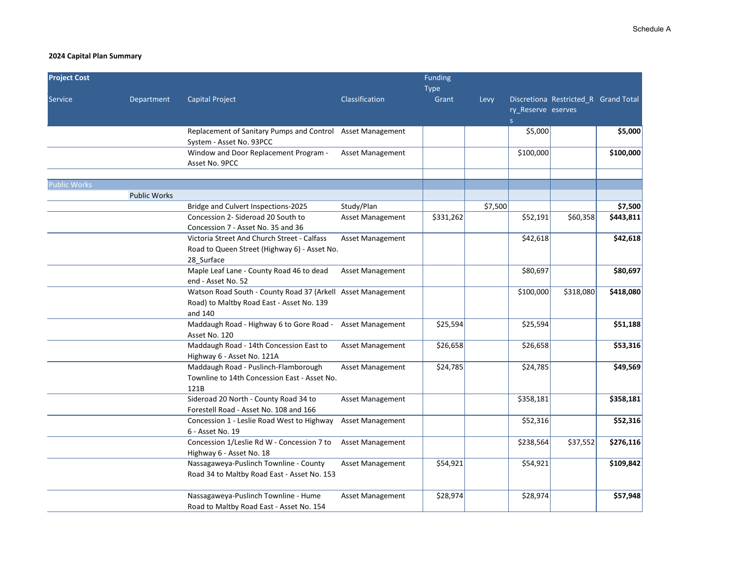| <b>Project Cost</b> |                     |                                                                                                                     |                         | <b>Funding</b>       |         |                          |                                      |           |
|---------------------|---------------------|---------------------------------------------------------------------------------------------------------------------|-------------------------|----------------------|---------|--------------------------|--------------------------------------|-----------|
| Service             | Department          | <b>Capital Project</b>                                                                                              | Classification          | <b>Type</b><br>Grant | Levy    | ry_Reserve eserves<br>s. | Discretiona Restricted_R Grand Total |           |
|                     |                     | Replacement of Sanitary Pumps and Control Asset Management<br>System - Asset No. 93PCC                              |                         |                      |         | \$5,000                  |                                      | \$5,000   |
|                     |                     | Window and Door Replacement Program -<br>Asset No. 9PCC                                                             | Asset Management        |                      |         | \$100,000                |                                      | \$100,000 |
| <b>Public Works</b> |                     |                                                                                                                     |                         |                      |         |                          |                                      |           |
|                     | <b>Public Works</b> |                                                                                                                     |                         |                      |         |                          |                                      |           |
|                     |                     | Bridge and Culvert Inspections-2025                                                                                 | Study/Plan              |                      | \$7,500 |                          |                                      | \$7,500   |
|                     |                     | Concession 2- Sideroad 20 South to<br>Concession 7 - Asset No. 35 and 36                                            | Asset Management        | \$331,262            |         | \$52,191                 | \$60,358                             | \$443,811 |
|                     |                     | Victoria Street And Church Street - Calfass<br>Road to Queen Street (Highway 6) - Asset No.<br>28 Surface           | Asset Management        |                      |         | \$42,618                 |                                      | \$42,618  |
|                     |                     | Maple Leaf Lane - County Road 46 to dead<br>end - Asset No. 52                                                      | Asset Management        |                      |         | \$80,697                 |                                      | \$80,697  |
|                     |                     | Watson Road South - County Road 37 (Arkell Asset Management<br>Road) to Maltby Road East - Asset No. 139<br>and 140 |                         |                      |         | \$100,000                | \$318,080                            | \$418,080 |
|                     |                     | Maddaugh Road - Highway 6 to Gore Road -<br>Asset No. 120                                                           | Asset Management        | \$25,594             |         | \$25,594                 |                                      | \$51,188  |
|                     |                     | Maddaugh Road - 14th Concession East to<br>Highway 6 - Asset No. 121A                                               | <b>Asset Management</b> | \$26,658             |         | \$26,658                 |                                      | \$53,316  |
|                     |                     | Maddaugh Road - Puslinch-Flamborough<br>Townline to 14th Concession East - Asset No.<br>121B                        | Asset Management        | \$24,785             |         | \$24,785                 |                                      | \$49,569  |
|                     |                     | Sideroad 20 North - County Road 34 to<br>Forestell Road - Asset No. 108 and 166                                     | Asset Management        |                      |         | \$358,181                |                                      | \$358,181 |
|                     |                     | Concession 1 - Leslie Road West to Highway<br>6 - Asset No. 19                                                      | Asset Management        |                      |         | \$52,316                 |                                      | \$52,316  |
|                     |                     | Concession 1/Leslie Rd W - Concession 7 to<br>Highway 6 - Asset No. 18                                              | Asset Management        |                      |         | \$238,564                | \$37,552                             | \$276,116 |
|                     |                     | Nassagaweya-Puslinch Townline - County<br>Road 34 to Maltby Road East - Asset No. 153                               | <b>Asset Management</b> | \$54,921             |         | \$54,921                 |                                      | \$109,842 |
|                     |                     | Nassagaweya-Puslinch Townline - Hume<br>Road to Maltby Road East - Asset No. 154                                    | Asset Management        | \$28,974             |         | \$28,974                 |                                      | \$57,948  |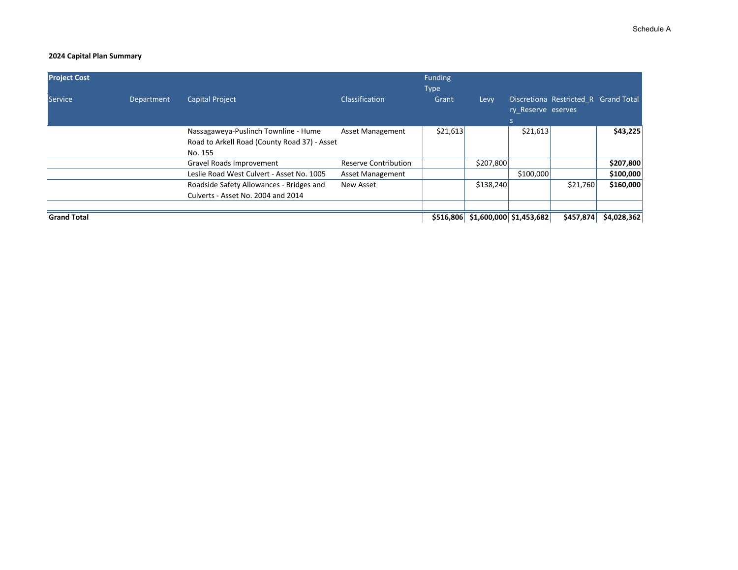| <b>Project Cost</b> |            |                                                                                                 |                         | <b>Funding</b><br><b>Type</b> |                                   |                          |                                      |             |
|---------------------|------------|-------------------------------------------------------------------------------------------------|-------------------------|-------------------------------|-----------------------------------|--------------------------|--------------------------------------|-------------|
| <b>Service</b>      | Department | <b>Capital Project</b>                                                                          | Classification          | Grant                         | Levy                              | ry Reserve eserves<br>S. | Discretiona Restricted R Grand Total |             |
|                     |            | Nassagaweya-Puslinch Townline - Hume<br>Road to Arkell Road (County Road 37) - Asset<br>No. 155 | <b>Asset Management</b> | \$21,613                      |                                   | \$21,613                 |                                      | \$43,225    |
|                     |            | Gravel Roads Improvement                                                                        | Reserve Contribution    |                               | \$207,800                         |                          |                                      | \$207,800   |
|                     |            | Leslie Road West Culvert - Asset No. 1005                                                       | Asset Management        |                               |                                   | \$100,000                |                                      | \$100,000   |
|                     |            | Roadside Safety Allowances - Bridges and<br>Culverts - Asset No. 2004 and 2014                  | New Asset               |                               | \$138,240                         |                          | \$21,760                             | \$160,000   |
| <b>Grand Total</b>  |            |                                                                                                 |                         |                               | \$516,806 \$1,600,000 \$1,453,682 |                          | \$457,874                            | \$4,028,362 |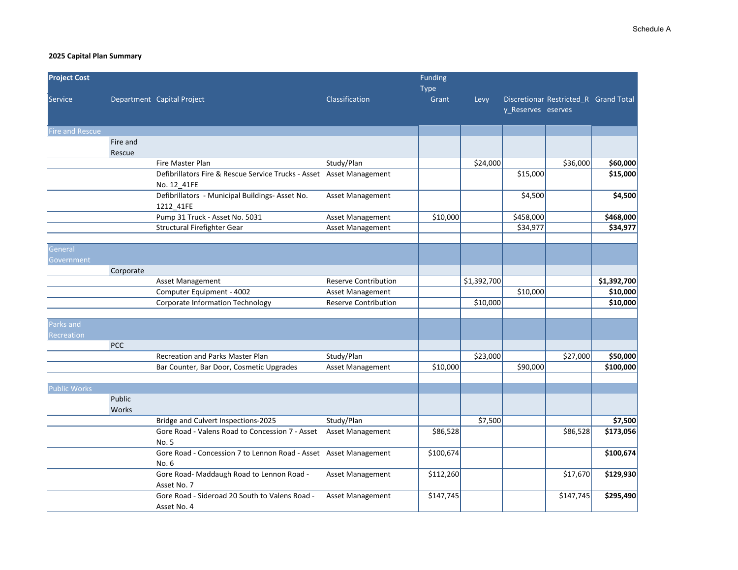| <b>Project Cost</b>    |            |                                                                      |                             | Funding   |             |                    |                                       |             |
|------------------------|------------|----------------------------------------------------------------------|-----------------------------|-----------|-------------|--------------------|---------------------------------------|-------------|
|                        |            |                                                                      |                             | Type      |             |                    |                                       |             |
| Service                |            | Department Capital Project                                           | Classification              | Grant     | Levy        |                    | Discretionar Restricted R Grand Total |             |
|                        |            |                                                                      |                             |           |             | y_Reserves eserves |                                       |             |
| <b>Fire and Rescue</b> |            |                                                                      |                             |           |             |                    |                                       |             |
|                        | Fire and   |                                                                      |                             |           |             |                    |                                       |             |
|                        | Rescue     |                                                                      |                             |           |             |                    |                                       |             |
|                        |            | Fire Master Plan                                                     | Study/Plan                  |           | \$24,000    |                    | \$36,000                              | \$60,000    |
|                        |            | Defibrillators Fire & Rescue Service Trucks - Asset Asset Management |                             |           |             | \$15,000           |                                       | \$15,000    |
|                        |            | No. 12 41FE                                                          |                             |           |             |                    |                                       |             |
|                        |            | Defibrillators - Municipal Buildings- Asset No.                      | Asset Management            |           |             | \$4,500            |                                       | \$4,500     |
|                        |            | 1212 41FE                                                            |                             |           |             |                    |                                       |             |
|                        |            | Pump 31 Truck - Asset No. 5031                                       | Asset Management            | \$10,000  |             | \$458,000          |                                       | \$468,000   |
|                        |            | Structural Firefighter Gear                                          | <b>Asset Management</b>     |           |             | \$34,977           |                                       | \$34,977    |
|                        |            |                                                                      |                             |           |             |                    |                                       |             |
| General                |            |                                                                      |                             |           |             |                    |                                       |             |
| Government             |            |                                                                      |                             |           |             |                    |                                       |             |
|                        | Corporate  |                                                                      |                             |           |             |                    |                                       |             |
|                        |            | Asset Management                                                     | <b>Reserve Contribution</b> |           | \$1,392,700 |                    |                                       | \$1,392,700 |
|                        |            | Computer Equipment - 4002                                            | Asset Management            |           |             | \$10,000           |                                       | \$10,000    |
|                        |            | Corporate Information Technology                                     | <b>Reserve Contribution</b> |           | \$10,000    |                    |                                       | \$10,000    |
| Parks and              |            |                                                                      |                             |           |             |                    |                                       |             |
| <b>Recreation</b>      |            |                                                                      |                             |           |             |                    |                                       |             |
|                        | <b>PCC</b> |                                                                      |                             |           |             |                    |                                       |             |
|                        |            | Recreation and Parks Master Plan                                     | Study/Plan                  |           | \$23,000    |                    | \$27,000                              | \$50,000    |
|                        |            | Bar Counter, Bar Door, Cosmetic Upgrades                             | Asset Management            | \$10,000  |             | \$90,000           |                                       | \$100,000   |
|                        |            |                                                                      |                             |           |             |                    |                                       |             |
| <b>Public Works</b>    |            |                                                                      |                             |           |             |                    |                                       |             |
|                        | Public     |                                                                      |                             |           |             |                    |                                       |             |
|                        | Works      |                                                                      |                             |           |             |                    |                                       |             |
|                        |            | Bridge and Culvert Inspections-2025                                  | Study/Plan                  |           | \$7,500     |                    |                                       | \$7,500     |
|                        |            | Gore Road - Valens Road to Concession 7 - Asset                      | <b>Asset Management</b>     | \$86,528  |             |                    | \$86,528                              | \$173,056   |
|                        |            | No. 5                                                                |                             |           |             |                    |                                       |             |
|                        |            | Gore Road - Concession 7 to Lennon Road - Asset Asset Management     |                             | \$100,674 |             |                    |                                       | \$100,674   |
|                        |            | No. 6                                                                |                             |           |             |                    |                                       |             |
|                        |            | Gore Road- Maddaugh Road to Lennon Road -                            | <b>Asset Management</b>     | \$112,260 |             |                    | \$17,670                              | \$129,930   |
|                        |            | Asset No. 7                                                          |                             |           |             |                    |                                       |             |
|                        |            | Gore Road - Sideroad 20 South to Valens Road -                       | <b>Asset Management</b>     | \$147,745 |             |                    | \$147,745                             | \$295,490   |
|                        |            | Asset No. 4                                                          |                             |           |             |                    |                                       |             |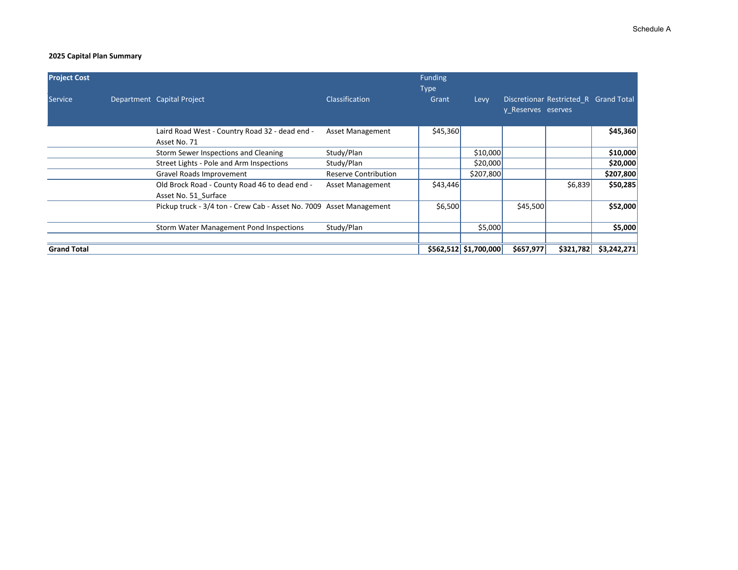| <b>Project Cost</b> |                                                                       |                             | <b>Funding</b><br><b>Type</b> |                         |                    |                                       |             |
|---------------------|-----------------------------------------------------------------------|-----------------------------|-------------------------------|-------------------------|--------------------|---------------------------------------|-------------|
| <b>Service</b>      | Department Capital Project                                            | Classification              | Grant                         | Levy                    | y Reserves eserves | Discretionar Restricted R Grand Total |             |
|                     | Laird Road West - Country Road 32 - dead end -<br>Asset No. 71        | <b>Asset Management</b>     | \$45,360                      |                         |                    |                                       | \$45,360    |
|                     | Storm Sewer Inspections and Cleaning                                  | Study/Plan                  |                               | \$10,000                |                    |                                       | \$10,000    |
|                     | Street Lights - Pole and Arm Inspections                              | Study/Plan                  |                               | \$20,000                |                    |                                       | \$20,000    |
|                     | Gravel Roads Improvement                                              | <b>Reserve Contribution</b> |                               | \$207,800               |                    |                                       | \$207,800   |
|                     | Old Brock Road - County Road 46 to dead end -<br>Asset No. 51 Surface | <b>Asset Management</b>     | \$43,446                      |                         |                    | \$6,839                               | \$50,285    |
|                     | Pickup truck - 3/4 ton - Crew Cab - Asset No. 7009 Asset Management   |                             | \$6,500                       |                         | \$45,500           |                                       | \$52,000    |
|                     | <b>Storm Water Management Pond Inspections</b>                        | Study/Plan                  |                               | \$5,000                 |                    |                                       | \$5,000     |
| <b>Grand Total</b>  |                                                                       |                             |                               | $$562,512$ $$1,700,000$ | \$657,977          | \$321,782                             | \$3,242,271 |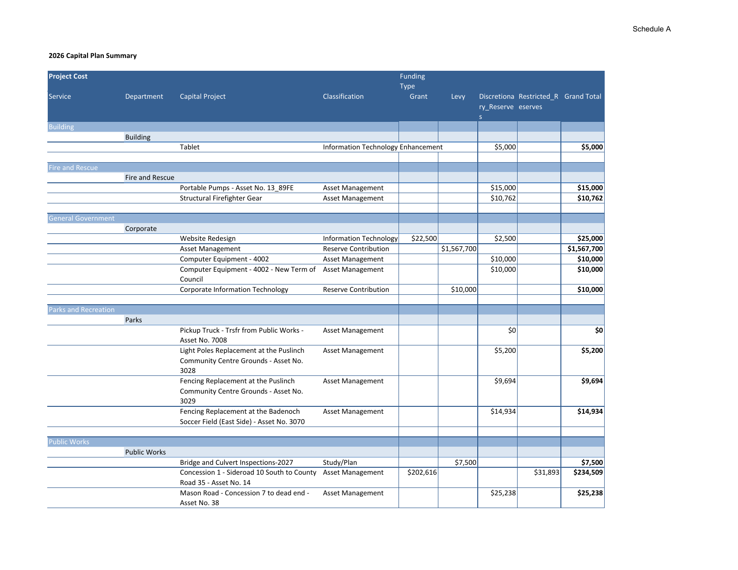| <b>Project Cost</b><br>Funding |                     |                                                                   |                                    |             |             |                                    |                                      |             |
|--------------------------------|---------------------|-------------------------------------------------------------------|------------------------------------|-------------|-------------|------------------------------------|--------------------------------------|-------------|
|                                |                     |                                                                   |                                    | <b>Type</b> |             |                                    |                                      |             |
| Service                        | Department          | Capital Project                                                   | Classification                     | Grant       | Levy        |                                    | Discretiona Restricted R Grand Total |             |
|                                |                     |                                                                   |                                    |             |             | ry Reserve eserves<br><sub>S</sub> |                                      |             |
| <b>Building</b>                |                     |                                                                   |                                    |             |             |                                    |                                      |             |
|                                | <b>Building</b>     |                                                                   |                                    |             |             |                                    |                                      |             |
|                                |                     | Tablet                                                            | Information Technology Enhancement |             |             | \$5,000                            |                                      | \$5,000     |
|                                |                     |                                                                   |                                    |             |             |                                    |                                      |             |
| <b>Fire and Rescue</b>         |                     |                                                                   |                                    |             |             |                                    |                                      |             |
|                                | Fire and Rescue     |                                                                   |                                    |             |             |                                    |                                      |             |
|                                |                     | Portable Pumps - Asset No. 13_89FE                                | Asset Management                   |             |             | \$15,000                           |                                      | \$15,000    |
|                                |                     | Structural Firefighter Gear                                       | Asset Management                   |             |             | \$10,762                           |                                      | \$10,762    |
| <b>General Government</b>      |                     |                                                                   |                                    |             |             |                                    |                                      |             |
|                                | Corporate           |                                                                   |                                    |             |             |                                    |                                      |             |
|                                |                     | Website Redesign                                                  | <b>Information Technology</b>      | \$22,500    |             | \$2,500                            |                                      | \$25,000    |
|                                |                     | <b>Asset Management</b>                                           | <b>Reserve Contribution</b>        |             | \$1,567,700 |                                    |                                      | \$1,567,700 |
|                                |                     | Computer Equipment - 4002                                         | <b>Asset Management</b>            |             |             | \$10,000                           |                                      | \$10,000    |
|                                |                     | Computer Equipment - 4002 - New Term of Asset Management          |                                    |             |             | \$10,000                           |                                      | \$10,000    |
|                                |                     | Council                                                           |                                    |             |             |                                    |                                      |             |
|                                |                     | Corporate Information Technology                                  | <b>Reserve Contribution</b>        |             | \$10,000    |                                    |                                      | \$10,000    |
|                                |                     |                                                                   |                                    |             |             |                                    |                                      |             |
| Parks and Recreation           |                     |                                                                   |                                    |             |             |                                    |                                      |             |
|                                | Parks               |                                                                   |                                    |             |             |                                    |                                      |             |
|                                |                     | Pickup Truck - Trsfr from Public Works -<br>Asset No. 7008        | Asset Management                   |             |             | \$0                                |                                      | \$0         |
|                                |                     | Light Poles Replacement at the Puslinch                           | <b>Asset Management</b>            |             |             | \$5,200                            |                                      | \$5,200     |
|                                |                     | Community Centre Grounds - Asset No.                              |                                    |             |             |                                    |                                      |             |
|                                |                     | 3028                                                              |                                    |             |             |                                    |                                      |             |
|                                |                     | Fencing Replacement at the Puslinch                               | Asset Management                   |             |             | \$9,694                            |                                      | \$9,694     |
|                                |                     | Community Centre Grounds - Asset No.                              |                                    |             |             |                                    |                                      |             |
|                                |                     | 3029                                                              |                                    |             |             |                                    |                                      |             |
|                                |                     | Fencing Replacement at the Badenoch                               | <b>Asset Management</b>            |             |             | \$14,934                           |                                      | \$14,934    |
|                                |                     | Soccer Field (East Side) - Asset No. 3070                         |                                    |             |             |                                    |                                      |             |
|                                |                     |                                                                   |                                    |             |             |                                    |                                      |             |
| <b>Public Works</b>            |                     |                                                                   |                                    |             |             |                                    |                                      |             |
|                                | <b>Public Works</b> |                                                                   |                                    |             |             |                                    |                                      |             |
|                                |                     | Bridge and Culvert Inspections-2027                               | Study/Plan                         |             | \$7,500     |                                    |                                      | \$7,500     |
|                                |                     | Concession 1 - Sideroad 10 South to County                        | Asset Management                   | \$202,616   |             |                                    | \$31,893                             | \$234,509   |
|                                |                     | Road 35 - Asset No. 14<br>Mason Road - Concession 7 to dead end - | <b>Asset Management</b>            |             |             | \$25,238                           |                                      | \$25,238    |
|                                |                     | Asset No. 38                                                      |                                    |             |             |                                    |                                      |             |
|                                |                     |                                                                   |                                    |             |             |                                    |                                      |             |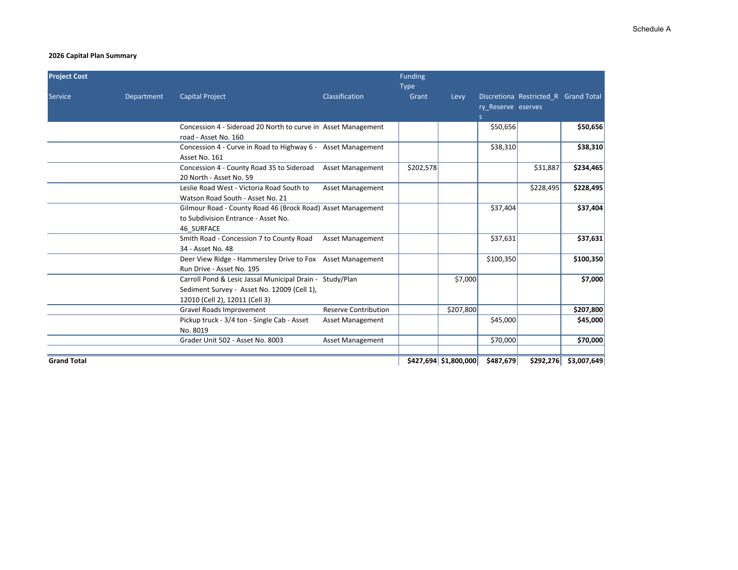| <b>Project Cost</b> |            |                                                                                                                                           |                             | Funding              |                       |                          |                                      |             |
|---------------------|------------|-------------------------------------------------------------------------------------------------------------------------------------------|-----------------------------|----------------------|-----------------------|--------------------------|--------------------------------------|-------------|
| Service             | Department | <b>Capital Project</b>                                                                                                                    | Classification              | <b>Type</b><br>Grant | Levy                  | ry Reserve eserves<br>s. | Discretiona Restricted R Grand Total |             |
|                     |            | Concession 4 - Sideroad 20 North to curve in Asset Management<br>road - Asset No. 160                                                     |                             |                      |                       | \$50,656                 |                                      | \$50,656    |
|                     |            | Concession 4 - Curve in Road to Highway 6 - Asset Management<br>Asset No. 161                                                             |                             |                      |                       | \$38,310                 |                                      | \$38,310    |
|                     |            | Concession 4 - County Road 35 to Sideroad<br>20 North - Asset No. 59                                                                      | <b>Asset Management</b>     | \$202,578            |                       |                          | \$31,887                             | \$234,465   |
|                     |            | Leslie Road West - Victoria Road South to<br>Watson Road South - Asset No. 21                                                             | <b>Asset Management</b>     |                      |                       |                          | \$228,495                            | \$228,495   |
|                     |            | Gilmour Road - County Road 46 (Brock Road) Asset Management<br>to Subdivision Entrance - Asset No.<br>46 SURFACE                          |                             |                      |                       | \$37,404                 |                                      | \$37,404    |
|                     |            | Smith Road - Concession 7 to County Road<br>34 - Asset No. 48                                                                             | <b>Asset Management</b>     |                      |                       | \$37,631                 |                                      | \$37,631    |
|                     |            | Deer View Ridge - Hammersley Drive to Fox Asset Management<br>Run Drive - Asset No. 195                                                   |                             |                      |                       | \$100,350                |                                      | \$100,350   |
|                     |            | Carroll Pond & Lesic Jassal Municipal Drain - Study/Plan<br>Sediment Survey - Asset No. 12009 (Cell 1),<br>12010 (Cell 2), 12011 (Cell 3) |                             |                      | \$7,000               |                          |                                      | \$7,000     |
|                     |            | Gravel Roads Improvement                                                                                                                  | <b>Reserve Contribution</b> |                      | \$207,800             |                          |                                      | \$207,800   |
|                     |            | Pickup truck - 3/4 ton - Single Cab - Asset<br>No. 8019                                                                                   | <b>Asset Management</b>     |                      |                       | \$45,000                 |                                      | \$45,000    |
|                     |            | Grader Unit 502 - Asset No. 8003                                                                                                          | <b>Asset Management</b>     |                      |                       | \$70,000                 |                                      | \$70,000    |
| <b>Grand Total</b>  |            |                                                                                                                                           |                             |                      | \$427,694 \$1,800,000 | \$487,679                | \$292,276                            | \$3,007,649 |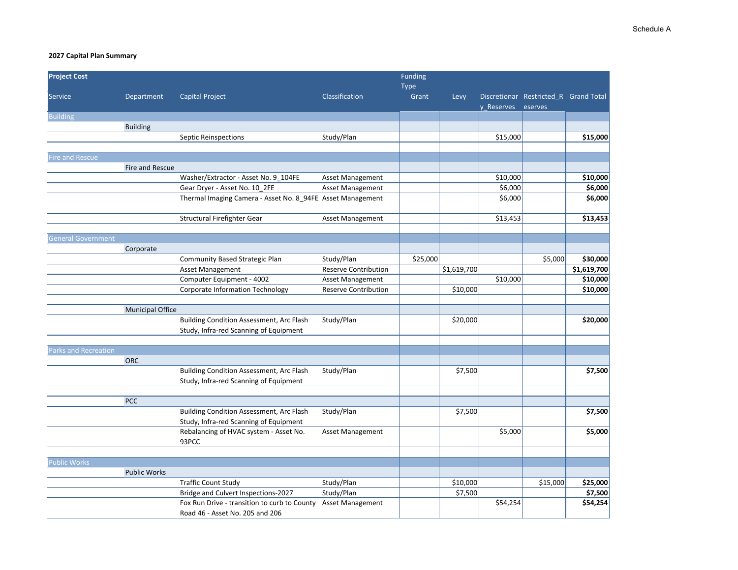| <b>Project Cost</b>       |                         |                                                            |                             | <b>Funding</b> |             |            |                                                  |             |
|---------------------------|-------------------------|------------------------------------------------------------|-----------------------------|----------------|-------------|------------|--------------------------------------------------|-------------|
|                           |                         |                                                            |                             | Type           |             |            |                                                  |             |
| Service                   | Department              | <b>Capital Project</b>                                     | Classification              | Grant          | Levy        | y Reserves | Discretionar Restricted R Grand Total<br>eserves |             |
| <b>Building</b>           |                         |                                                            |                             |                |             |            |                                                  |             |
|                           | <b>Building</b>         |                                                            |                             |                |             |            |                                                  |             |
|                           |                         | Septic Reinspections                                       | Study/Plan                  |                |             | \$15,000   |                                                  | \$15,000    |
|                           |                         |                                                            |                             |                |             |            |                                                  |             |
| Fire and Rescue           |                         |                                                            |                             |                |             |            |                                                  |             |
|                           | Fire and Rescue         |                                                            |                             |                |             |            |                                                  |             |
|                           |                         | Washer/Extractor - Asset No. 9_104FE                       | Asset Management            |                |             | \$10,000   |                                                  | \$10,000    |
|                           |                         | Gear Dryer - Asset No. 10_2FE                              | Asset Management            |                |             | \$6,000    |                                                  | \$6,000     |
|                           |                         | Thermal Imaging Camera - Asset No. 8_94FE Asset Management |                             |                |             | \$6,000    |                                                  | \$6,000     |
|                           |                         | Structural Firefighter Gear                                | Asset Management            |                |             | \$13,453   |                                                  | \$13,453    |
|                           |                         |                                                            |                             |                |             |            |                                                  |             |
| <b>General Government</b> |                         |                                                            |                             |                |             |            |                                                  |             |
|                           | Corporate               |                                                            |                             |                |             |            |                                                  |             |
|                           |                         | Community Based Strategic Plan                             | Study/Plan                  | \$25,000       |             |            | \$5,000                                          | \$30,000    |
|                           |                         | Asset Management                                           | <b>Reserve Contribution</b> |                | \$1,619,700 |            |                                                  | \$1,619,700 |
|                           |                         | Computer Equipment - 4002                                  | Asset Management            |                |             | \$10,000   |                                                  | \$10,000    |
|                           |                         | <b>Corporate Information Technology</b>                    | <b>Reserve Contribution</b> |                | \$10,000    |            |                                                  | \$10,000    |
|                           |                         |                                                            |                             |                |             |            |                                                  |             |
|                           | <b>Municipal Office</b> |                                                            |                             |                |             |            |                                                  |             |
|                           |                         | <b>Building Condition Assessment, Arc Flash</b>            | Study/Plan                  |                | \$20,000    |            |                                                  | \$20,000    |
|                           |                         | Study, Infra-red Scanning of Equipment                     |                             |                |             |            |                                                  |             |
| Parks and Recreation      |                         |                                                            |                             |                |             |            |                                                  |             |
|                           | <b>ORC</b>              |                                                            |                             |                |             |            |                                                  |             |
|                           |                         | <b>Building Condition Assessment, Arc Flash</b>            | Study/Plan                  |                | \$7,500     |            |                                                  | \$7,500     |
|                           |                         | Study, Infra-red Scanning of Equipment                     |                             |                |             |            |                                                  |             |
|                           |                         |                                                            |                             |                |             |            |                                                  |             |
|                           | PCC                     |                                                            |                             |                |             |            |                                                  |             |
|                           |                         | <b>Building Condition Assessment, Arc Flash</b>            | Study/Plan                  |                | \$7,500     |            |                                                  | \$7,500     |
|                           |                         | Study, Infra-red Scanning of Equipment                     |                             |                |             |            |                                                  |             |
|                           |                         | Rebalancing of HVAC system - Asset No.                     | <b>Asset Management</b>     |                |             | \$5,000    |                                                  | \$5,000     |
|                           |                         | 93PCC                                                      |                             |                |             |            |                                                  |             |
|                           |                         |                                                            |                             |                |             |            |                                                  |             |
| <b>Public Works</b>       |                         |                                                            |                             |                |             |            |                                                  |             |
|                           | <b>Public Works</b>     |                                                            |                             |                |             |            |                                                  |             |
|                           |                         | <b>Traffic Count Study</b>                                 | Study/Plan                  |                | \$10,000    |            | \$15,000                                         | \$25,000    |
|                           |                         | Bridge and Culvert Inspections-2027                        | Study/Plan                  |                | \$7,500     |            |                                                  | \$7,500     |
|                           |                         | Fox Run Drive - transition to curb to County               | <b>Asset Management</b>     |                |             | \$54,254   |                                                  | \$54,254    |
|                           |                         | Road 46 - Asset No. 205 and 206                            |                             |                |             |            |                                                  |             |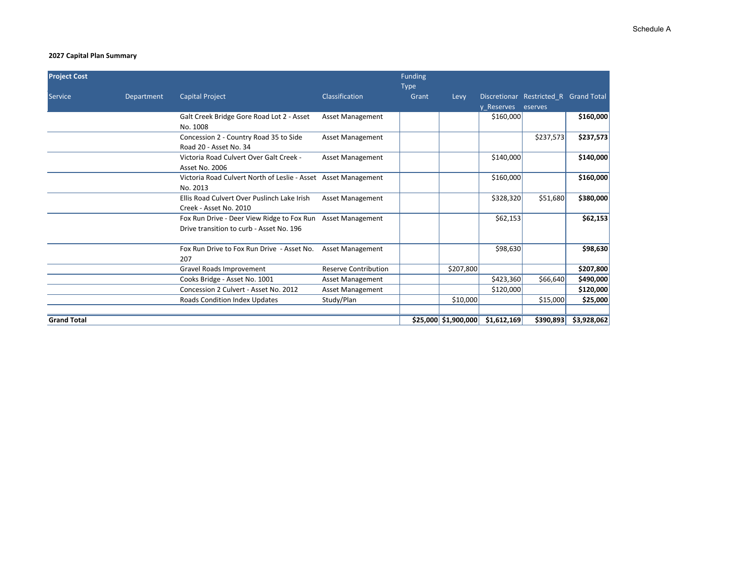| <b>Project Cost</b> |            |                                                                                        |                             | <b>Funding</b><br><b>Type</b> |                           |             |                                                  |             |
|---------------------|------------|----------------------------------------------------------------------------------------|-----------------------------|-------------------------------|---------------------------|-------------|--------------------------------------------------|-------------|
| <b>Service</b>      | Department | <b>Capital Project</b>                                                                 | Classification              | Grant                         | Levy                      | y Reserves  | Discretionar Restricted R Grand Total<br>eserves |             |
|                     |            | Galt Creek Bridge Gore Road Lot 2 - Asset<br>No. 1008                                  | <b>Asset Management</b>     |                               |                           | \$160,000   |                                                  | \$160,000   |
|                     |            | Concession 2 - Country Road 35 to Side<br>Road 20 - Asset No. 34                       | <b>Asset Management</b>     |                               |                           |             | \$237,573                                        | \$237,573   |
|                     |            | Victoria Road Culvert Over Galt Creek -<br><b>Asset No. 2006</b>                       | <b>Asset Management</b>     |                               |                           | \$140,000   |                                                  | \$140,000   |
|                     |            | Victoria Road Culvert North of Leslie - Asset Asset Management<br>No. 2013             |                             |                               |                           | \$160,000   |                                                  | \$160,000   |
|                     |            | Ellis Road Culvert Over Puslinch Lake Irish<br>Creek - Asset No. 2010                  | <b>Asset Management</b>     |                               |                           | \$328,320   | \$51,680                                         | \$380,000   |
|                     |            | Fox Run Drive - Deer View Ridge to Fox Run<br>Drive transition to curb - Asset No. 196 | <b>Asset Management</b>     |                               |                           | \$62,153    |                                                  | \$62,153    |
|                     |            | Fox Run Drive to Fox Run Drive - Asset No.<br>207                                      | <b>Asset Management</b>     |                               |                           | \$98,630    |                                                  | \$98,630    |
|                     |            | Gravel Roads Improvement                                                               | <b>Reserve Contribution</b> |                               | \$207,800                 |             |                                                  | \$207,800   |
|                     |            | Cooks Bridge - Asset No. 1001                                                          | <b>Asset Management</b>     |                               |                           | \$423,360   | \$66,640                                         | \$490,000   |
|                     |            | Concession 2 Culvert - Asset No. 2012                                                  | <b>Asset Management</b>     |                               |                           | \$120,000   |                                                  | \$120,000   |
|                     |            | <b>Roads Condition Index Updates</b>                                                   | Study/Plan                  |                               | \$10,000                  |             | \$15,000                                         | \$25,000    |
| <b>Grand Total</b>  |            |                                                                                        |                             |                               | $$25,000 \mid $1,900,000$ | \$1,612,169 | \$390,893                                        | \$3,928,062 |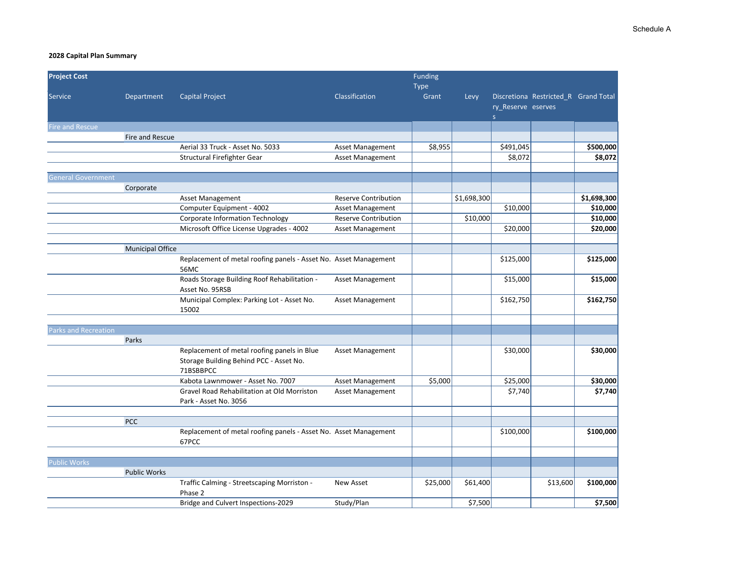| <b>Project Cost</b>         |                         |                                                                                        |                             | Funding  |             |                    |                                      |             |
|-----------------------------|-------------------------|----------------------------------------------------------------------------------------|-----------------------------|----------|-------------|--------------------|--------------------------------------|-------------|
|                             |                         |                                                                                        |                             | Type     |             |                    |                                      |             |
| <b>Service</b>              | Department              | <b>Capital Project</b>                                                                 | Classification              | Grant    | Levy        |                    | Discretiona Restricted_R Grand Total |             |
|                             |                         |                                                                                        |                             |          |             | ry_Reserve eserves |                                      |             |
| Fire and Rescue             |                         |                                                                                        |                             |          |             | S                  |                                      |             |
|                             | Fire and Rescue         |                                                                                        |                             |          |             |                    |                                      |             |
|                             |                         | Aerial 33 Truck - Asset No. 5033                                                       | <b>Asset Management</b>     | \$8,955  |             | \$491,045          |                                      | \$500,000   |
|                             |                         | Structural Firefighter Gear                                                            | Asset Management            |          |             | \$8,072            |                                      | \$8,072     |
|                             |                         |                                                                                        |                             |          |             |                    |                                      |             |
| <b>General Government</b>   |                         |                                                                                        |                             |          |             |                    |                                      |             |
|                             | Corporate               |                                                                                        |                             |          |             |                    |                                      |             |
|                             |                         | Asset Management                                                                       | <b>Reserve Contribution</b> |          | \$1,698,300 |                    |                                      | \$1,698,300 |
|                             |                         | Computer Equipment - 4002                                                              | <b>Asset Management</b>     |          |             | \$10,000           |                                      | \$10,000    |
|                             |                         | Corporate Information Technology                                                       | <b>Reserve Contribution</b> |          | \$10,000    |                    |                                      | \$10,000    |
|                             |                         | Microsoft Office License Upgrades - 4002                                               | <b>Asset Management</b>     |          |             | \$20,000           |                                      | \$20,000    |
|                             |                         |                                                                                        |                             |          |             |                    |                                      |             |
|                             | <b>Municipal Office</b> |                                                                                        |                             |          |             |                    |                                      |             |
|                             |                         | Replacement of metal roofing panels - Asset No. Asset Management                       |                             |          |             | \$125,000          |                                      | \$125,000   |
|                             |                         | 56MC                                                                                   |                             |          |             |                    |                                      |             |
|                             |                         | Roads Storage Building Roof Rehabilitation -                                           | <b>Asset Management</b>     |          |             | \$15,000           |                                      | \$15,000    |
|                             |                         | Asset No. 95RSB                                                                        |                             |          |             |                    |                                      |             |
|                             |                         | Municipal Complex: Parking Lot - Asset No.                                             | Asset Management            |          |             | \$162,750          |                                      | \$162,750   |
|                             |                         | 15002                                                                                  |                             |          |             |                    |                                      |             |
|                             |                         |                                                                                        |                             |          |             |                    |                                      |             |
| <b>Parks and Recreation</b> |                         |                                                                                        |                             |          |             |                    |                                      |             |
|                             | Parks                   |                                                                                        |                             |          |             |                    |                                      |             |
|                             |                         | Replacement of metal roofing panels in Blue<br>Storage Building Behind PCC - Asset No. | Asset Management            |          |             | \$30,000           |                                      | \$30,000    |
|                             |                         | 71BSBBPCC                                                                              |                             |          |             |                    |                                      |             |
|                             |                         | Kabota Lawnmower - Asset No. 7007                                                      | <b>Asset Management</b>     | \$5,000  |             | \$25,000           |                                      | \$30,000    |
|                             |                         | Gravel Road Rehabilitation at Old Morriston                                            | <b>Asset Management</b>     |          |             | \$7,740            |                                      | \$7,740     |
|                             |                         | Park - Asset No. 3056                                                                  |                             |          |             |                    |                                      |             |
|                             |                         |                                                                                        |                             |          |             |                    |                                      |             |
|                             | <b>PCC</b>              |                                                                                        |                             |          |             |                    |                                      |             |
|                             |                         | Replacement of metal roofing panels - Asset No. Asset Management                       |                             |          |             | \$100,000          |                                      | \$100,000   |
|                             |                         | 67PCC                                                                                  |                             |          |             |                    |                                      |             |
|                             |                         |                                                                                        |                             |          |             |                    |                                      |             |
| <b>Public Works</b>         |                         |                                                                                        |                             |          |             |                    |                                      |             |
|                             | <b>Public Works</b>     |                                                                                        |                             |          |             |                    |                                      |             |
|                             |                         | Traffic Calming - Streetscaping Morriston -                                            | New Asset                   | \$25,000 | \$61,400    |                    | \$13,600                             | \$100,000   |
|                             |                         | Phase 2                                                                                |                             |          |             |                    |                                      |             |
|                             |                         | Bridge and Culvert Inspections-2029                                                    | Study/Plan                  |          | \$7,500     |                    |                                      | \$7,500     |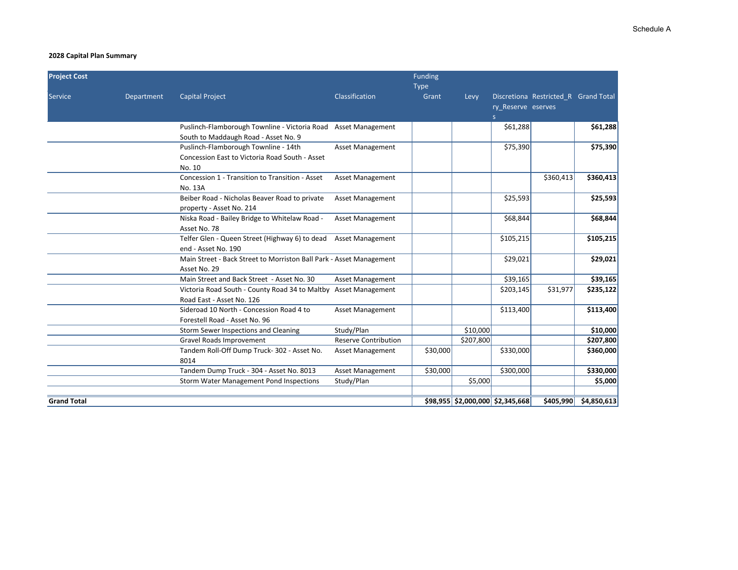| <b>Project Cost</b> |            |                                                                                                  |                             | Funding              |                                  |                         |                                      |                         |
|---------------------|------------|--------------------------------------------------------------------------------------------------|-----------------------------|----------------------|----------------------------------|-------------------------|--------------------------------------|-------------------------|
| Service             | Department | <b>Capital Project</b>                                                                           | Classification              | <b>Type</b><br>Grant | Levy                             | ry Reserve eserves<br>S | Discretiona Restricted R Grand Total |                         |
|                     |            | Puslinch-Flamborough Townline - Victoria Road<br>South to Maddaugh Road - Asset No. 9            | <b>Asset Management</b>     |                      |                                  | \$61,288                |                                      | \$61,288                |
|                     |            | Puslinch-Flamborough Townline - 14th<br>Concession East to Victoria Road South - Asset<br>No. 10 | <b>Asset Management</b>     |                      |                                  | \$75,390                |                                      | \$75,390                |
|                     |            | Concession 1 - Transition to Transition - Asset<br>No. 13A                                       | <b>Asset Management</b>     |                      |                                  |                         | \$360,413                            | \$360,413               |
|                     |            | Beiber Road - Nicholas Beaver Road to private<br>property - Asset No. 214                        | <b>Asset Management</b>     |                      |                                  | \$25,593                |                                      | \$25,593                |
|                     |            | Niska Road - Bailey Bridge to Whitelaw Road -<br>Asset No. 78                                    | <b>Asset Management</b>     |                      |                                  | \$68,844                |                                      | \$68,844                |
|                     |            | Telfer Glen - Queen Street (Highway 6) to dead<br>end - Asset No. 190                            | <b>Asset Management</b>     |                      |                                  | \$105,215               |                                      | \$105,215               |
|                     |            | Main Street - Back Street to Morriston Ball Park - Asset Management<br>Asset No. 29              |                             |                      |                                  | \$29,021                |                                      | \$29,021                |
|                     |            | Main Street and Back Street - Asset No. 30                                                       | Asset Management            |                      |                                  | \$39,165                |                                      | \$39,165                |
|                     |            | Victoria Road South - County Road 34 to Maltby Asset Management<br>Road East - Asset No. 126     |                             |                      |                                  | \$203,145               | \$31,977                             | \$235,122               |
|                     |            | Sideroad 10 North - Concession Road 4 to<br>Forestell Road - Asset No. 96                        | <b>Asset Management</b>     |                      |                                  | \$113,400               |                                      | \$113,400               |
|                     |            | Storm Sewer Inspections and Cleaning                                                             | Study/Plan                  |                      | \$10,000                         |                         |                                      | \$10,000                |
|                     |            | Gravel Roads Improvement                                                                         | <b>Reserve Contribution</b> |                      | \$207,800                        |                         |                                      | \$207,800               |
|                     |            | Tandem Roll-Off Dump Truck- 302 - Asset No.<br>8014                                              | <b>Asset Management</b>     | \$30,000             |                                  | \$330,000               |                                      | \$360,000               |
|                     |            | Tandem Dump Truck - 304 - Asset No. 8013                                                         | <b>Asset Management</b>     | \$30,000             |                                  | \$300,000               |                                      | \$330,000               |
|                     |            | <b>Storm Water Management Pond Inspections</b>                                                   | Study/Plan                  |                      | \$5,000                          |                         |                                      | \$5,000                 |
| <b>Grand Total</b>  |            |                                                                                                  |                             |                      | \$98,955 \$2,000,000 \$2,345,668 |                         |                                      | $$405,990$ $$4,850,613$ |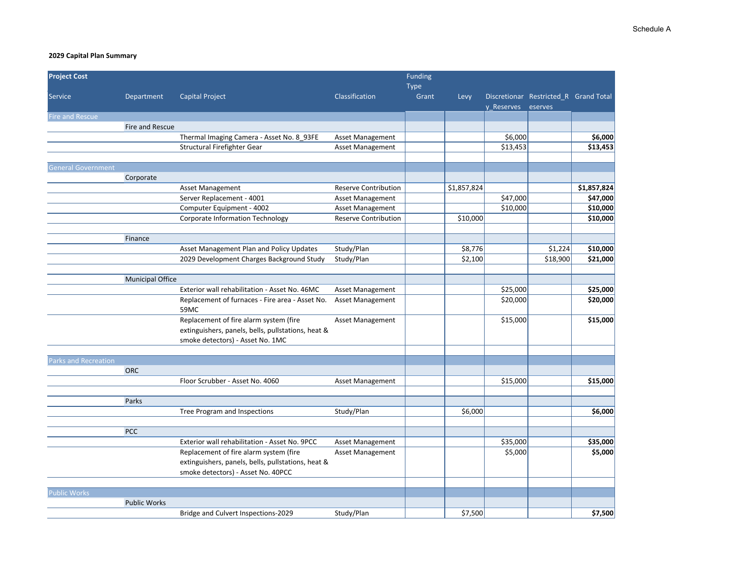| <b>Project Cost</b>       |                         |                                                    |                             | Funding |             |            |                                       |             |
|---------------------------|-------------------------|----------------------------------------------------|-----------------------------|---------|-------------|------------|---------------------------------------|-------------|
|                           |                         |                                                    |                             | Type    |             |            |                                       |             |
| Service                   | Department              | <b>Capital Project</b>                             | Classification              | Grant   | Levy        |            | Discretionar Restricted_R Grand Total |             |
|                           |                         |                                                    |                             |         |             | y Reserves | eserves                               |             |
| Fire and Rescue           |                         |                                                    |                             |         |             |            |                                       |             |
|                           | Fire and Rescue         |                                                    |                             |         |             |            |                                       |             |
|                           |                         | Thermal Imaging Camera - Asset No. 8_93FE          | Asset Management            |         |             | \$6,000    |                                       | \$6,000     |
|                           |                         | Structural Firefighter Gear                        | Asset Management            |         |             | \$13,453   |                                       | \$13,453    |
|                           |                         |                                                    |                             |         |             |            |                                       |             |
| <b>General Government</b> |                         |                                                    |                             |         |             |            |                                       |             |
|                           | Corporate               |                                                    |                             |         |             |            |                                       |             |
|                           |                         | <b>Asset Management</b>                            | <b>Reserve Contribution</b> |         | \$1,857,824 |            |                                       | \$1,857,824 |
|                           |                         | Server Replacement - 4001                          | <b>Asset Management</b>     |         |             | \$47,000   |                                       | \$47,000    |
|                           |                         | Computer Equipment - 4002                          | <b>Asset Management</b>     |         |             | \$10,000   |                                       | \$10,000    |
|                           |                         | Corporate Information Technology                   | <b>Reserve Contribution</b> |         | \$10,000    |            |                                       | \$10,000    |
|                           | Finance                 |                                                    |                             |         |             |            |                                       |             |
|                           |                         | Asset Management Plan and Policy Updates           | Study/Plan                  |         | \$8,776     |            | \$1,224                               | \$10,000    |
|                           |                         | 2029 Development Charges Background Study          | Study/Plan                  |         | \$2,100     |            | \$18,900                              | \$21,000    |
|                           |                         |                                                    |                             |         |             |            |                                       |             |
|                           | <b>Municipal Office</b> |                                                    |                             |         |             |            |                                       |             |
|                           |                         | Exterior wall rehabilitation - Asset No. 46MC      | Asset Management            |         |             | \$25,000   |                                       | \$25,000    |
|                           |                         | Replacement of furnaces - Fire area - Asset No.    | <b>Asset Management</b>     |         |             | \$20,000   |                                       | \$20,000    |
|                           |                         | 59MC                                               |                             |         |             |            |                                       |             |
|                           |                         | Replacement of fire alarm system (fire             | Asset Management            |         |             | \$15,000   |                                       | \$15,000    |
|                           |                         | extinguishers, panels, bells, pullstations, heat & |                             |         |             |            |                                       |             |
|                           |                         | smoke detectors) - Asset No. 1MC                   |                             |         |             |            |                                       |             |
|                           |                         |                                                    |                             |         |             |            |                                       |             |
| Parks and Recreation      |                         |                                                    |                             |         |             |            |                                       |             |
|                           | <b>ORC</b>              |                                                    |                             |         |             |            |                                       |             |
|                           |                         | Floor Scrubber - Asset No. 4060                    | Asset Management            |         |             | \$15,000   |                                       | \$15,000    |
|                           | Parks                   |                                                    |                             |         |             |            |                                       |             |
|                           |                         | Tree Program and Inspections                       | Study/Plan                  |         | \$6,000     |            |                                       | \$6,000     |
|                           |                         |                                                    |                             |         |             |            |                                       |             |
|                           | PCC                     |                                                    |                             |         |             |            |                                       |             |
|                           |                         | Exterior wall rehabilitation - Asset No. 9PCC      | Asset Management            |         |             | \$35,000   |                                       | \$35,000    |
|                           |                         | Replacement of fire alarm system (fire             | <b>Asset Management</b>     |         |             | \$5,000    |                                       | \$5,000     |
|                           |                         | extinguishers, panels, bells, pullstations, heat & |                             |         |             |            |                                       |             |
|                           |                         | smoke detectors) - Asset No. 40PCC                 |                             |         |             |            |                                       |             |
|                           |                         |                                                    |                             |         |             |            |                                       |             |
| <b>Public Works</b>       |                         |                                                    |                             |         |             |            |                                       |             |
|                           | <b>Public Works</b>     |                                                    |                             |         |             |            |                                       |             |
|                           |                         | Bridge and Culvert Inspections-2029                | Study/Plan                  |         | \$7,500     |            |                                       | \$7,500     |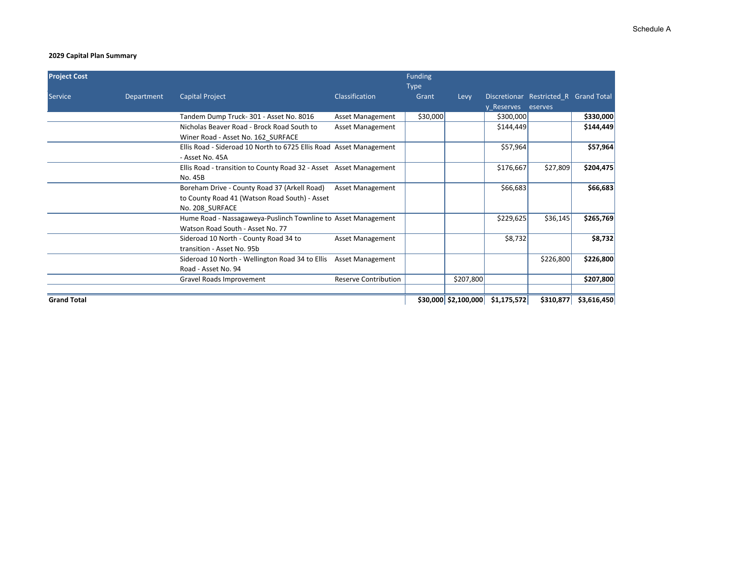| <b>Project Cost</b> |            |                                                                                                                  |                             | <b>Funding</b><br><b>Type</b> |           |                                     |                                                  |             |
|---------------------|------------|------------------------------------------------------------------------------------------------------------------|-----------------------------|-------------------------------|-----------|-------------------------------------|--------------------------------------------------|-------------|
| Service             | Department | <b>Capital Project</b>                                                                                           | <b>Classification</b>       | Grant                         | Levy      | y Reserves                          | Discretionar Restricted R Grand Total<br>eserves |             |
|                     |            | Tandem Dump Truck-301 - Asset No. 8016                                                                           | <b>Asset Management</b>     | \$30,000                      |           | \$300,000                           |                                                  | \$330,000   |
|                     |            | Nicholas Beaver Road - Brock Road South to<br>Winer Road - Asset No. 162 SURFACE                                 | Asset Management            |                               |           | \$144,449                           |                                                  | \$144,449   |
|                     |            | Ellis Road - Sideroad 10 North to 6725 Ellis Road Asset Management<br>- Asset No. 45A                            |                             |                               |           | \$57,964                            |                                                  | \$57,964    |
|                     |            | Ellis Road - transition to County Road 32 - Asset Asset Management<br>No. 45B                                    |                             |                               |           | \$176,667                           | \$27,809                                         | \$204,475   |
|                     |            | Boreham Drive - County Road 37 (Arkell Road)<br>to County Road 41 (Watson Road South) - Asset<br>No. 208 SURFACE | <b>Asset Management</b>     |                               |           | \$66,683                            |                                                  | \$66,683    |
|                     |            | Hume Road - Nassagaweya-Puslinch Townline to Asset Management<br>Watson Road South - Asset No. 77                |                             |                               |           | \$229,625                           | \$36,145                                         | \$265,769   |
|                     |            | Sideroad 10 North - County Road 34 to<br>transition - Asset No. 95b                                              | <b>Asset Management</b>     |                               |           | \$8,732                             |                                                  | \$8,732     |
|                     |            | Sideroad 10 North - Wellington Road 34 to Ellis<br>Road - Asset No. 94                                           | <b>Asset Management</b>     |                               |           |                                     | \$226,800                                        | \$226,800   |
|                     |            | Gravel Roads Improvement                                                                                         | <b>Reserve Contribution</b> |                               | \$207,800 |                                     |                                                  | \$207,800   |
| <b>Grand Total</b>  |            |                                                                                                                  |                             |                               |           | $$30,000$ $$2,100,000$ $$1,175,572$ | \$310,877                                        | \$3,616,450 |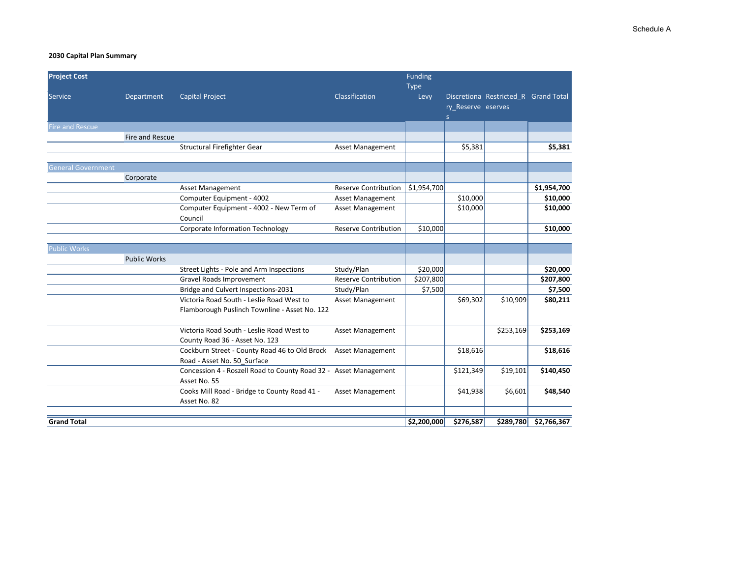| <b>Project Cost</b>       |                     |                                                                  |                             | <b>Funding</b>      |                    |                                      |                       |
|---------------------------|---------------------|------------------------------------------------------------------|-----------------------------|---------------------|--------------------|--------------------------------------|-----------------------|
| <b>Service</b>            | Department          | <b>Capital Project</b>                                           | Classification              | <b>Type</b><br>Levy |                    | Discretiona Restricted R Grand Total |                       |
|                           |                     |                                                                  |                             |                     | ry Reserve eserves |                                      |                       |
|                           |                     |                                                                  |                             |                     | S                  |                                      |                       |
| <b>Fire and Rescue</b>    |                     |                                                                  |                             |                     |                    |                                      |                       |
|                           | Fire and Rescue     |                                                                  |                             |                     |                    |                                      |                       |
|                           |                     | Structural Firefighter Gear                                      | <b>Asset Management</b>     |                     | \$5,381            |                                      | \$5,381               |
|                           |                     |                                                                  |                             |                     |                    |                                      |                       |
| <b>General Government</b> |                     |                                                                  |                             |                     |                    |                                      |                       |
|                           | Corporate           |                                                                  |                             |                     |                    |                                      |                       |
|                           |                     | <b>Asset Management</b>                                          | Reserve Contribution        | \$1,954,700         |                    |                                      | \$1,954,700           |
|                           |                     | Computer Equipment - 4002                                        | <b>Asset Management</b>     |                     | \$10,000           |                                      | \$10,000              |
|                           |                     | Computer Equipment - 4002 - New Term of                          | <b>Asset Management</b>     |                     | \$10,000           |                                      | \$10,000              |
|                           |                     | Council                                                          |                             |                     |                    |                                      |                       |
|                           |                     | Corporate Information Technology                                 | <b>Reserve Contribution</b> | \$10,000            |                    |                                      | \$10,000              |
|                           |                     |                                                                  |                             |                     |                    |                                      |                       |
| <b>Public Works</b>       |                     |                                                                  |                             |                     |                    |                                      |                       |
|                           | <b>Public Works</b> |                                                                  |                             |                     |                    |                                      |                       |
|                           |                     | Street Lights - Pole and Arm Inspections                         | Study/Plan                  | \$20,000            |                    |                                      | \$20,000              |
|                           |                     | <b>Gravel Roads Improvement</b>                                  | <b>Reserve Contribution</b> | \$207,800           |                    |                                      | \$207,800             |
|                           |                     | Bridge and Culvert Inspections-2031                              | Study/Plan                  | \$7,500             |                    |                                      | \$7,500               |
|                           |                     | Victoria Road South - Leslie Road West to                        | <b>Asset Management</b>     |                     | \$69,302           | \$10,909                             | \$80,211              |
|                           |                     | Flamborough Puslinch Townline - Asset No. 122                    |                             |                     |                    |                                      |                       |
|                           |                     | Victoria Road South - Leslie Road West to                        | <b>Asset Management</b>     |                     |                    | \$253,169                            | \$253,169             |
|                           |                     | County Road 36 - Asset No. 123                                   |                             |                     |                    |                                      |                       |
|                           |                     | Cockburn Street - County Road 46 to Old Brock                    | <b>Asset Management</b>     |                     | \$18,616           |                                      | \$18,616              |
|                           |                     | Road - Asset No. 50 Surface                                      |                             |                     |                    |                                      |                       |
|                           |                     | Concession 4 - Roszell Road to County Road 32 - Asset Management |                             |                     | \$121,349          | \$19,101                             | \$140,450             |
|                           |                     | Asset No. 55                                                     |                             |                     |                    |                                      |                       |
|                           |                     | Cooks Mill Road - Bridge to County Road 41 -                     | <b>Asset Management</b>     |                     | \$41,938           | \$6,601                              | \$48,540              |
|                           |                     | Asset No. 82                                                     |                             |                     |                    |                                      |                       |
| <b>Grand Total</b>        |                     |                                                                  |                             | \$2,200,000         | \$276,587          |                                      | \$289,780 \$2,766,367 |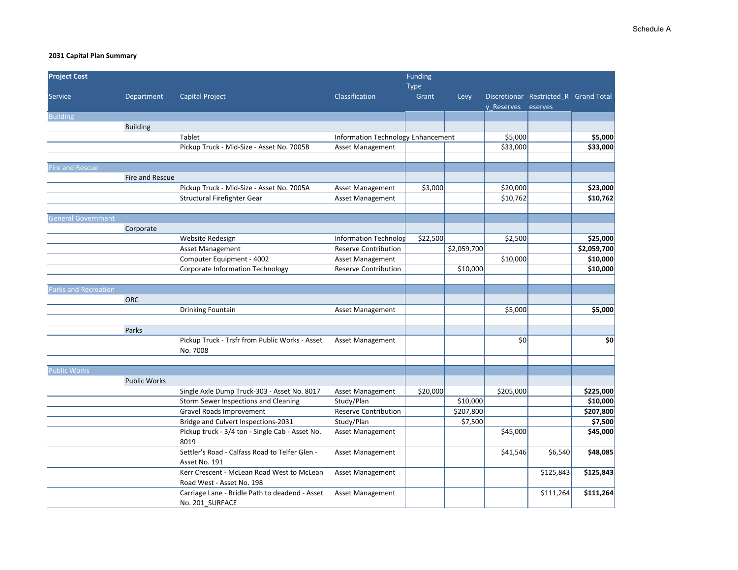| <b>Project Cost</b>         |                     |                                                                                     |                                    | Funding  |             |            |                                       |                       |
|-----------------------------|---------------------|-------------------------------------------------------------------------------------|------------------------------------|----------|-------------|------------|---------------------------------------|-----------------------|
|                             |                     |                                                                                     |                                    | Type     |             |            |                                       |                       |
| Service                     | Department          | <b>Capital Project</b>                                                              | Classification                     | Grant    | Levy        |            | Discretionar Restricted R Grand Total |                       |
| <b>Building</b>             |                     |                                                                                     |                                    |          |             | y Reserves | eserves                               |                       |
|                             | <b>Building</b>     |                                                                                     |                                    |          |             |            |                                       |                       |
|                             |                     | Tablet                                                                              | Information Technology Enhancement |          |             | \$5,000    |                                       | \$5,000               |
|                             |                     | Pickup Truck - Mid-Size - Asset No. 7005B                                           | Asset Management                   |          |             | \$33,000   |                                       | \$33,000              |
|                             |                     |                                                                                     |                                    |          |             |            |                                       |                       |
| <b>Fire and Rescue</b>      |                     |                                                                                     |                                    |          |             |            |                                       |                       |
|                             | Fire and Rescue     |                                                                                     |                                    |          |             |            |                                       |                       |
|                             |                     | Pickup Truck - Mid-Size - Asset No. 7005A                                           | Asset Management                   | \$3,000  |             | \$20,000   |                                       | \$23,000              |
|                             |                     | Structural Firefighter Gear                                                         | Asset Management                   |          |             | \$10,762   |                                       | \$10,762              |
|                             |                     |                                                                                     |                                    |          |             |            |                                       |                       |
| <b>General Government</b>   |                     |                                                                                     |                                    |          |             |            |                                       |                       |
|                             | Corporate           |                                                                                     |                                    |          |             |            |                                       |                       |
|                             |                     | Website Redesign                                                                    | Information Technolog              | \$22,500 |             | \$2,500    |                                       | \$25,000              |
|                             |                     | <b>Asset Management</b>                                                             | <b>Reserve Contribution</b>        |          | \$2,059,700 |            |                                       | \$2,059,700           |
|                             |                     | Computer Equipment - 4002                                                           | Asset Management                   |          |             | \$10,000   |                                       | \$10,000              |
|                             |                     | Corporate Information Technology                                                    | <b>Reserve Contribution</b>        |          | \$10,000    |            |                                       | \$10,000              |
|                             |                     |                                                                                     |                                    |          |             |            |                                       |                       |
| <b>Parks and Recreation</b> |                     |                                                                                     |                                    |          |             |            |                                       |                       |
|                             | <b>ORC</b>          |                                                                                     |                                    |          |             |            |                                       |                       |
|                             |                     | Drinking Fountain                                                                   | Asset Management                   |          |             | \$5,000    |                                       | \$5,000               |
|                             |                     |                                                                                     |                                    |          |             |            |                                       |                       |
|                             | Parks               |                                                                                     |                                    |          |             |            |                                       |                       |
|                             |                     | Pickup Truck - Trsfr from Public Works - Asset                                      | Asset Management                   |          |             | \$0        |                                       | \$0                   |
|                             |                     | No. 7008                                                                            |                                    |          |             |            |                                       |                       |
|                             |                     |                                                                                     |                                    |          |             |            |                                       |                       |
| <b>Public Works</b>         |                     |                                                                                     |                                    |          |             |            |                                       |                       |
|                             | <b>Public Works</b> |                                                                                     |                                    |          |             |            |                                       |                       |
|                             |                     | Single Axle Dump Truck-303 - Asset No. 8017<br>Storm Sewer Inspections and Cleaning | Asset Management<br>Study/Plan     | \$20,000 | \$10,000    | \$205,000  |                                       | \$225,000<br>\$10,000 |
|                             |                     | Gravel Roads Improvement                                                            | Reserve Contribution               |          | \$207,800   |            |                                       | \$207,800             |
|                             |                     | Bridge and Culvert Inspections-2031                                                 | Study/Plan                         |          | \$7,500     |            |                                       | \$7,500               |
|                             |                     | Pickup truck - 3/4 ton - Single Cab - Asset No.                                     | Asset Management                   |          |             | \$45,000   |                                       | \$45,000              |
|                             |                     | 8019                                                                                |                                    |          |             |            |                                       |                       |
|                             |                     | Settler's Road - Calfass Road to Telfer Glen -                                      | Asset Management                   |          |             | \$41,546   | \$6,540                               | \$48,085              |
|                             |                     | Asset No. 191                                                                       |                                    |          |             |            |                                       |                       |
|                             |                     | Kerr Crescent - McLean Road West to McLean                                          | Asset Management                   |          |             |            | \$125,843                             | \$125,843             |
|                             |                     | Road West - Asset No. 198                                                           |                                    |          |             |            |                                       |                       |
|                             |                     | Carriage Lane - Bridle Path to deadend - Asset                                      | <b>Asset Management</b>            |          |             |            | \$111,264                             | \$111,264             |
|                             |                     | No. 201 SURFACE                                                                     |                                    |          |             |            |                                       |                       |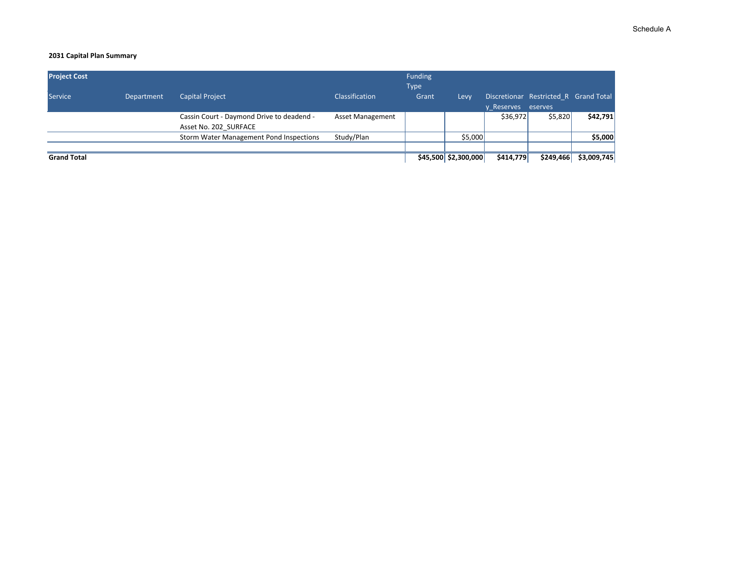| <b>Project Cost</b> |                   |                                                                    |                         | <b>Funding</b><br><b>Type</b> |                        |                    |                                       |             |
|---------------------|-------------------|--------------------------------------------------------------------|-------------------------|-------------------------------|------------------------|--------------------|---------------------------------------|-------------|
| Service             | <b>Department</b> | <b>Capital Project</b>                                             | <b>Classification</b>   | Grant                         | Levy                   | y Reserves eserves | Discretionar Restricted R Grand Total |             |
|                     |                   | Cassin Court - Daymond Drive to deadend -<br>Asset No. 202 SURFACE | <b>Asset Management</b> |                               |                        | \$36,972           | \$5,820                               | \$42,791    |
|                     |                   | Storm Water Management Pond Inspections                            | Study/Plan              |                               | \$5,000                |                    |                                       | \$5,000     |
|                     |                   |                                                                    |                         |                               |                        |                    |                                       |             |
| <b>Grand Total</b>  |                   |                                                                    |                         |                               | $$45,500$ $$2,300,000$ | \$414,779          | \$249,466                             | \$3,009,745 |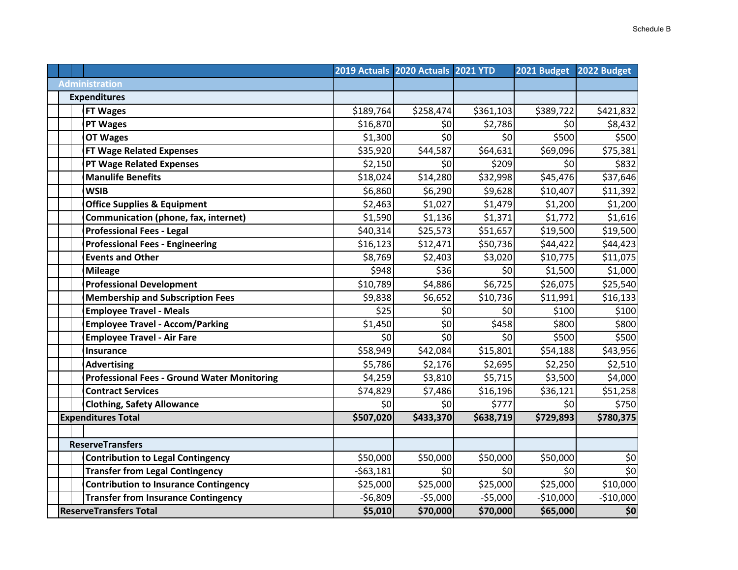|                                                    |            | 2019 Actuals 2020 Actuals 2021 YTD |           | 2021 Budget | 2022 Budget        |
|----------------------------------------------------|------------|------------------------------------|-----------|-------------|--------------------|
| <b>Administration</b>                              |            |                                    |           |             |                    |
| <b>Expenditures</b>                                |            |                                    |           |             |                    |
| <b>FT Wages</b>                                    | \$189,764  | \$258,474                          | \$361,103 | \$389,722   | \$421,832          |
| <b>PT Wages</b>                                    | \$16,870   | \$0                                | \$2,786   | \$0         | \$8,432            |
| <b>OT Wages</b>                                    | \$1,300    | \$0                                | \$0       | \$500       | \$500              |
| <b>FT Wage Related Expenses</b>                    | \$35,920   | \$44,587                           | \$64,631  | \$69,096    | \$75,381           |
| <b>PT Wage Related Expenses</b>                    | \$2,150    | \$0                                | \$209     | \$0         | \$832              |
| <b>Manulife Benefits</b>                           | \$18,024   | \$14,280                           | \$32,998  | \$45,476    | \$37,646           |
| <b>WSIB</b>                                        | \$6,860    | \$6,290                            | \$9,628   | \$10,407    | \$11,392           |
| <b>Office Supplies &amp; Equipment</b>             | \$2,463    | \$1,027                            | \$1,479   | \$1,200     | \$1,200            |
| Communication (phone, fax, internet)               | \$1,590    | \$1,136                            | \$1,371   | \$1,772     | \$1,616            |
| <b>Professional Fees - Legal</b>                   | \$40,314   | \$25,573                           | \$51,657  | \$19,500    | \$19,500           |
| <b>Professional Fees - Engineering</b>             | \$16,123   | \$12,471                           | \$50,736  | \$44,422    | \$44,423           |
| <b>Events and Other</b>                            | \$8,769    | \$2,403                            | \$3,020   | \$10,775    | \$11,075           |
| <b>Mileage</b>                                     | \$948      | \$36                               | \$0       | \$1,500     | \$1,000            |
| <b>Professional Development</b>                    | \$10,789   | \$4,886                            | \$6,725   | \$26,075    | \$25,540           |
| <b>Membership and Subscription Fees</b>            | \$9,838    | \$6,652                            | \$10,736  | \$11,991    | \$16,133           |
| <b>Employee Travel - Meals</b>                     | \$25       | \$0                                | \$0       | \$100       | \$100              |
| <b>Employee Travel - Accom/Parking</b>             | \$1,450    | \$0                                | \$458     | \$800       | \$800              |
| <b>Employee Travel - Air Fare</b>                  | \$0        | \$0                                | \$0       | \$500       | \$500              |
| <b>Insurance</b>                                   | \$58,949   | \$42,084                           | \$15,801  | \$54,188    | \$43,956           |
| <b>Advertising</b>                                 | \$5,786    | \$2,176                            | \$2,695   | \$2,250     | \$2,510            |
| <b>Professional Fees - Ground Water Monitoring</b> | \$4,259    | \$3,810                            | \$5,715   | \$3,500     | \$4,000            |
| <b>Contract Services</b>                           | \$74,829   | \$7,486                            | \$16,196  | \$36,121    | \$51,258           |
| <b>Clothing, Safety Allowance</b>                  | \$0        | \$0                                | \$777     | \$0         | \$750              |
| <b>Expenditures Total</b>                          | \$507,020  | \$433,370                          | \$638,719 | \$729,893   | \$780,375          |
|                                                    |            |                                    |           |             |                    |
| <b>ReserveTransfers</b>                            |            |                                    |           |             |                    |
| <b>Contribution to Legal Contingency</b>           | \$50,000   | \$50,000                           | \$50,000  | \$50,000    | \$0                |
| <b>Transfer from Legal Contingency</b>             | $-563,181$ | \$0                                | \$0       | \$0         | $\overline{\xi_0}$ |
| <b>Contribution to Insurance Contingency</b>       | \$25,000   | \$25,000                           | \$25,000  | \$25,000    | \$10,000           |
| <b>Transfer from Insurance Contingency</b>         | $-56,809$  | $-55,000$                          | $-55,000$ | $-$10,000$  | $-$10,000$         |
| <b>ReserveTransfers Total</b>                      | \$5,010    | \$70,000                           | \$70,000  | \$65,000    | \$0                |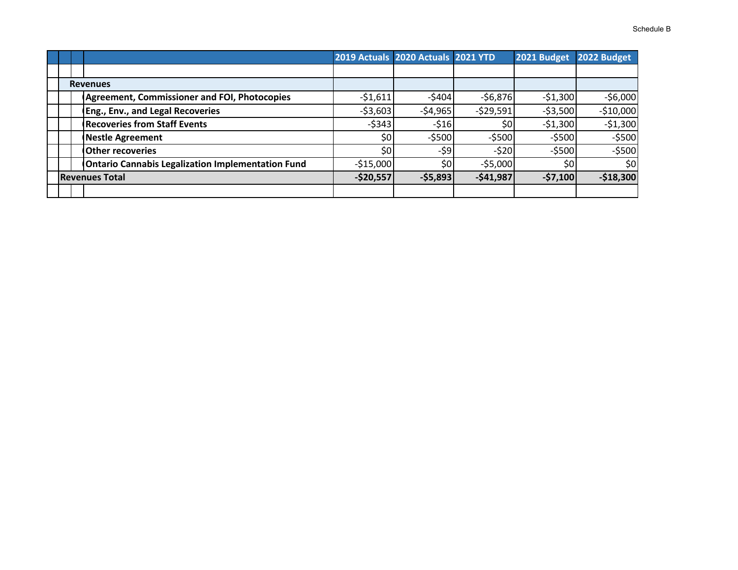|  |                                                          |            | 2019 Actuals 2020 Actuals 2021 YTD |            | 2021 Budget | 2022 Budget |
|--|----------------------------------------------------------|------------|------------------------------------|------------|-------------|-------------|
|  |                                                          |            |                                    |            |             |             |
|  | <b>Revenues</b>                                          |            |                                    |            |             |             |
|  | <b>Agreement, Commissioner and FOI, Photocopies</b>      | $-51,611$  | $-5404$                            | $-56,876$  | $-51,300$   | $-$6,000$   |
|  | Eng., Env., and Legal Recoveries                         | $-53,603$  | $-54,965$                          | $-529,591$ | $-53,500$   | $-$10,000$  |
|  | <b>Recoveries from Staff Events</b>                      | $-$ \$343  | $-516$                             | \$0        | $-51,300$   | $-51,300$   |
|  | <b>Nestle Agreement</b>                                  | \$0        | $-5500$                            | $-$ \$500  | $-$ \$500   | $-5500$     |
|  | <b>Other recoveries</b>                                  | \$0        | $-59$                              | $-520$     | $-$ \$500   | $-$ \$500   |
|  | <b>Ontario Cannabis Legalization Implementation Fund</b> | $-$15,000$ | \$0                                | $-55,000$  | \$0         | \$0         |
|  | <b>Revenues Total</b>                                    | $-$20,557$ | $-$5,893$                          | $-541,987$ | $-57,100$   | $-$18,300$  |
|  |                                                          |            |                                    |            |             |             |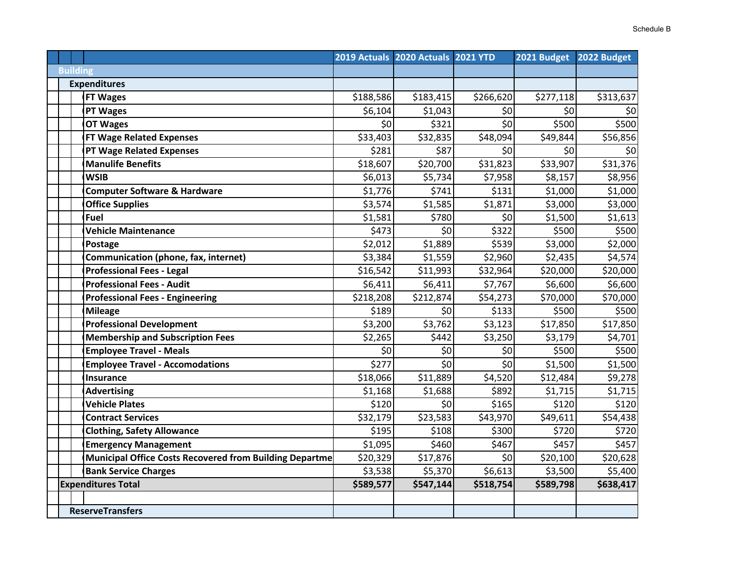|                 |                                                                |           | 2019 Actuals 2020 Actuals 2021 YTD |           | 2021 Budget | 2022 Budget |
|-----------------|----------------------------------------------------------------|-----------|------------------------------------|-----------|-------------|-------------|
| <b>Building</b> |                                                                |           |                                    |           |             |             |
|                 | <b>Expenditures</b>                                            |           |                                    |           |             |             |
|                 | <b>FT Wages</b>                                                | \$188,586 | \$183,415                          | \$266,620 | \$277,118   | \$313,637   |
|                 | <b>PT Wages</b>                                                | \$6,104   | \$1,043                            | \$0       | \$0         | \$0         |
|                 | <b>OT Wages</b>                                                | \$0       | \$321                              | \$0       | \$500       | \$500       |
|                 | <b>FT Wage Related Expenses</b>                                | \$33,403  | \$32,835                           | \$48,094  | \$49,844    | \$56,856    |
|                 | <b>PT Wage Related Expenses</b>                                | \$281     | \$87                               | \$0       | \$0         | \$0         |
|                 | <b>Manulife Benefits</b>                                       | \$18,607  | \$20,700                           | \$31,823  | \$33,907    | \$31,376    |
|                 | <b>WSIB</b>                                                    | \$6,013   | \$5,734                            | \$7,958   | \$8,157     | \$8,956     |
|                 | <b>Computer Software &amp; Hardware</b>                        | \$1,776   | \$741                              | \$131     | \$1,000     | \$1,000     |
|                 | <b>Office Supplies</b>                                         | \$3,574   | \$1,585                            | \$1,871   | \$3,000     | \$3,000     |
|                 | <b>Fuel</b>                                                    | \$1,581   | \$780                              | \$0       | \$1,500     | \$1,613     |
|                 | <b>Vehicle Maintenance</b>                                     | \$473     | \$0                                | \$322     | \$500       | \$500       |
|                 | Postage                                                        | \$2,012   | \$1,889                            | \$539     | \$3,000     | \$2,000     |
|                 | Communication (phone, fax, internet)                           | \$3,384   | \$1,559                            | \$2,960   | \$2,435     | \$4,574     |
|                 | <b>Professional Fees - Legal</b>                               | \$16,542  | \$11,993                           | \$32,964  | \$20,000    | \$20,000    |
|                 | <b>Professional Fees - Audit</b>                               | \$6,411   | \$6,411                            | \$7,767   | \$6,600     | \$6,600     |
|                 | <b>Professional Fees - Engineering</b>                         | \$218,208 | \$212,874                          | \$54,273  | \$70,000    | \$70,000    |
|                 | <b>Mileage</b>                                                 | \$189     | \$0                                | \$133     | \$500       | \$500       |
|                 | <b>Professional Development</b>                                | \$3,200   | \$3,762                            | \$3,123   | \$17,850    | \$17,850    |
|                 | <b>Membership and Subscription Fees</b>                        | \$2,265   | \$442                              | \$3,250   | \$3,179     | \$4,701     |
|                 | <b>Employee Travel - Meals</b>                                 | \$0       | \$0                                | \$0       | \$500       | \$500       |
|                 | <b>Employee Travel - Accomodations</b>                         | \$277     | 50                                 | \$0       | \$1,500     | \$1,500     |
|                 | Insurance                                                      | \$18,066  | \$11,889                           | \$4,520   | \$12,484    | \$9,278     |
|                 | <b>Advertising</b>                                             | \$1,168   | \$1,688                            | \$892     | \$1,715     | \$1,715     |
|                 | <b>Vehicle Plates</b>                                          | \$120     | \$0                                | \$165     | \$120       | \$120       |
|                 | <b>Contract Services</b>                                       | \$32,179  | \$23,583                           | \$43,970  | \$49,611    | \$54,438    |
|                 | <b>Clothing, Safety Allowance</b>                              | \$195     | \$108                              | \$300     | \$720       | \$720       |
|                 | <b>Emergency Management</b>                                    | \$1,095   | \$460                              | \$467     | \$457       | \$457       |
|                 | <b>Municipal Office Costs Recovered from Building Departme</b> | \$20,329  | \$17,876                           | \$0       | \$20,100    | \$20,628    |
|                 | <b>Bank Service Charges</b>                                    | \$3,538   | \$5,370                            | \$6,613   | \$3,500     | \$5,400     |
|                 | <b>Expenditures Total</b>                                      | \$589,577 | \$547,144                          | \$518,754 | \$589,798   | \$638,417   |
|                 |                                                                |           |                                    |           |             |             |
|                 | <b>ReserveTransfers</b>                                        |           |                                    |           |             |             |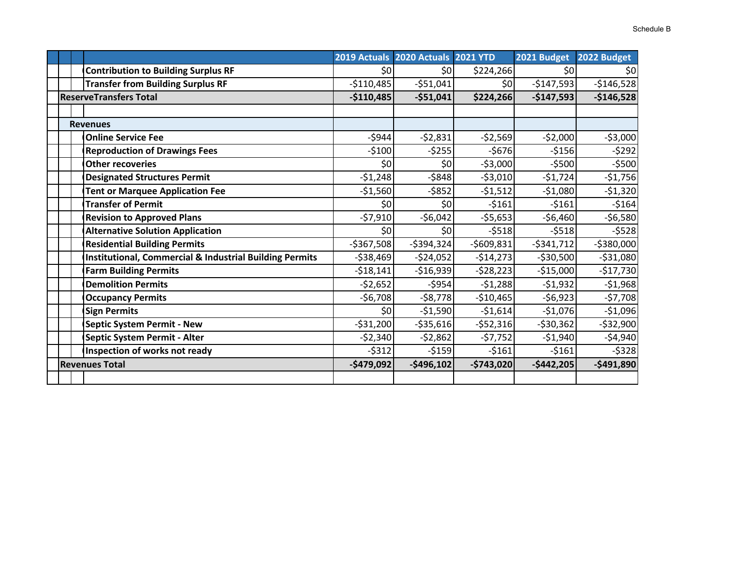|                                                                    |               | 2019 Actuals 2020 Actuals 2021 YTD |             | 2021 Budget | 2022 Budget |
|--------------------------------------------------------------------|---------------|------------------------------------|-------------|-------------|-------------|
| <b>Contribution to Building Surplus RF</b>                         | \$0           | \$0                                | \$224,266   | \$0         | \$0         |
| <b>Transfer from Building Surplus RF</b>                           | $-$110,485$   | $-551,041$                         | \$0         | $-$147,593$ | $-$146,528$ |
| <b>ReserveTransfers Total</b>                                      | $-$110,485$   | $-551,041$                         | \$224,266   | $-$147,593$ | $-$146,528$ |
|                                                                    |               |                                    |             |             |             |
| <b>Revenues</b>                                                    |               |                                    |             |             |             |
| <b>Online Service Fee</b>                                          | $-$944$       | $-52,831$                          | $-52,569$   | $-52,000$   | $-53,000$   |
| <b>Reproduction of Drawings Fees</b>                               | $-5100$       | $-5255$                            | $-5676$     | $-5156$     | $-5292$     |
| <b>Other recoveries</b>                                            | \$0           | \$0                                | $-$3,000$   | $-$ \$500   | $-5500$     |
| <b>Designated Structures Permit</b>                                | $-51,248$     | $-5848$                            | $-53,010$   | $-51,724$   | $-$1,756$   |
| <b>Tent or Marquee Application Fee</b>                             | $-51,560$     | $-5852$                            | $-51,512$   | $-$1,080$   | $-51,320$   |
| <b>Transfer of Permit</b>                                          | \$0           | \$0                                | $-5161$     | $-5161$     | $-5164$     |
| <b>Revision to Approved Plans</b>                                  | $-57,910$     | $-$6,042$                          | $-55,653$   | $-$6,460$   | $-56,580$   |
| <b>Alternative Solution Application</b>                            | \$0           | \$0                                | $-5518$     | $-5518$     | $-5528$     |
| <b>Residential Building Permits</b>                                | $-5367,508$   | $-5394,324$                        | $-5609,831$ | $-5341,712$ | $-5380,000$ |
| <b>Institutional, Commercial &amp; Industrial Building Permits</b> | $-538,469$    | $-524,052$                         | $-514,273$  | $-530,500$  | $-531,080$  |
| <b>Farm Building Permits</b>                                       | $-518,141$    | $-$16,939$                         | $-528,223$  | $-515,000$  | $-$17,730$  |
| <b>Demolition Permits</b>                                          | $-52,652$     | $-5954$                            | $-51,288$   | $-51,932$   | $-51,968$   |
| <b>Occupancy Permits</b>                                           | $-$6,708$     | $-58,778$                          | $-$10,465$  | $-56,923$   | $-57,708$   |
| <b>Sign Permits</b>                                                | \$0           | $-$1,590$                          | $-$1,614$   | $-$1,076$   | $-$1,096$   |
| <b>Septic System Permit - New</b>                                  | $-531,200$    | $-535,616$                         | $-552,316$  | $-530,362$  | $-532,900$  |
| Septic System Permit - Alter                                       | $-52,340$     | $-52,862$                          | $-57,752$   | $-$1,940$   | $-54,940$   |
| Inspection of works not ready                                      | $-5312$       | $-5159$                            | $-5161$     | $-5161$     | $-$ \$328   |
| <b>Revenues Total</b>                                              | $-$ \$479,092 | $-$496,102$                        | $-$743,020$ | $-$442,205$ | $-$491,890$ |
|                                                                    |               |                                    |             |             |             |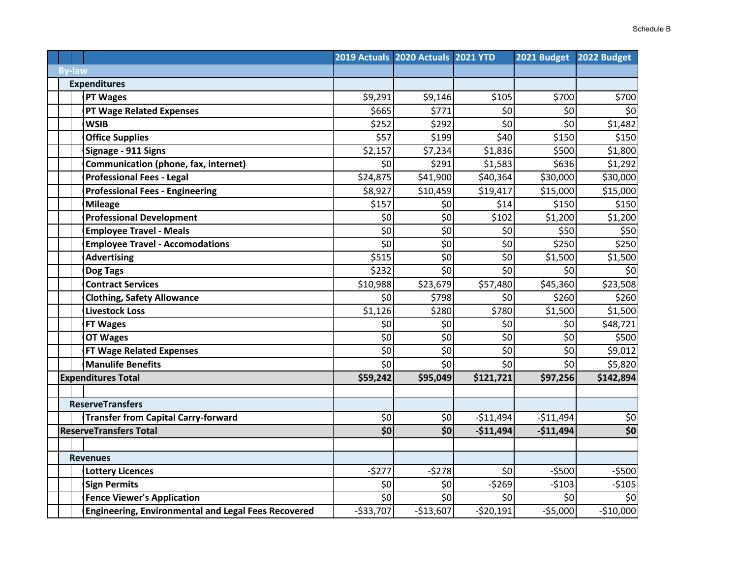|               |                                                            |                                                             | 2019 Actuals 2020 Actuals 2021 YTD |                            | 2021 Budget        | 2022 Budget |
|---------------|------------------------------------------------------------|-------------------------------------------------------------|------------------------------------|----------------------------|--------------------|-------------|
| <b>By-law</b> |                                                            |                                                             |                                    |                            |                    |             |
|               | <b>Expenditures</b>                                        |                                                             |                                    |                            |                    |             |
|               | <b>PT Wages</b>                                            | \$9,291                                                     | \$9,146                            | \$105                      | \$700              | 5700        |
|               | <b>PT Wage Related Expenses</b>                            | \$665                                                       | \$771                              | \$0                        | \$0                | \$0         |
|               | <b>WSIB</b>                                                | \$252                                                       | \$292                              | $\overline{\overline{50}}$ | \$0                | \$1,482     |
|               | <b>Office Supplies</b>                                     | \$57                                                        | \$199                              | \$40                       | \$150              | \$150       |
|               | Signage - 911 Signs                                        | \$2,157                                                     | \$7,234                            | \$1,836                    | \$500              | \$1,800     |
|               | Communication (phone, fax, internet)                       | \$0                                                         | \$291                              | \$1,583                    | \$636              | \$1,292     |
|               | <b>Professional Fees - Legal</b>                           | \$24,875                                                    | \$41,900                           | \$40,364                   | \$30,000           | \$30,000    |
|               | <b>Professional Fees - Engineering</b>                     | \$8,927                                                     | \$10,459                           | \$19,417                   | \$15,000           | \$15,000    |
|               | <b>Mileage</b>                                             | \$157                                                       | \$0                                | \$14                       | \$150              | \$150       |
|               | <b>Professional Development</b>                            | \$0                                                         | \$0                                | \$102                      | \$1,200            | \$1,200     |
|               | <b>Employee Travel - Meals</b>                             | \$0                                                         | \$0                                | \$0                        | \$50               | \$50        |
|               | <b>Employee Travel - Accomodations</b>                     | $\overline{\xi_0}$                                          | $\overline{50}$                    | \$0                        | \$250              | \$250       |
|               | <b>Advertising</b>                                         | \$515                                                       | \$0                                | \$0                        | \$1,500            | \$1,500     |
|               | Dog Tags                                                   | \$232                                                       | \$0                                | 50                         | \$0                | \$0         |
|               | <b>Contract Services</b>                                   | \$10,988                                                    | \$23,679                           | \$57,480                   | \$45,360           | \$23,508    |
|               | <b>Clothing, Safety Allowance</b>                          | \$0                                                         | \$798                              | \$0                        | \$260              | \$260       |
|               | <b>Livestock Loss</b>                                      | \$1,126                                                     | \$280                              | \$780                      | \$1,500            | \$1,500     |
|               | <b>FT Wages</b>                                            | \$0                                                         | \$0                                | \$0                        | \$0                | \$48,721    |
|               | <b>OT Wages</b>                                            | $\overline{\xi}$                                            | $\overline{\xi_0}$                 | \$                         | $\overline{\xi_0}$ | \$500       |
|               | <b>FT Wage Related Expenses</b>                            | \$0                                                         | \$0                                | \$0                        | \$0                | \$9,012     |
|               | <b>Manulife Benefits</b>                                   | $\overline{\xi_0}$                                          | $\overline{\xi_0}$                 | $\overline{\mathsf{S}}$    | \$0                | \$5,820     |
|               | <b>Expenditures Total</b>                                  | \$59,242                                                    | \$95,049                           | \$121,721                  | \$97,256           | \$142,894   |
|               |                                                            |                                                             |                                    |                            |                    |             |
|               | <b>ReserveTransfers</b>                                    |                                                             |                                    |                            |                    |             |
|               | <b>Transfer from Capital Carry-forward</b>                 | \$0                                                         | \$0                                | $-$11,494$                 | $-$11,494$         | \$0         |
|               | <b>ReserveTransfers Total</b>                              | $\overline{\boldsymbol{\mathsf{S}}\boldsymbol{\mathsf{O}}}$ | \$0                                | $-$11,494$                 | $-$11,494$         | \$0         |
|               | <b>Revenues</b>                                            |                                                             |                                    |                            |                    |             |
|               | <b>Lottery Licences</b>                                    | $-5277$                                                     | $-5278$                            | \$0                        | $-5500$            | $-$500$     |
|               | <b>Sign Permits</b>                                        | \$0                                                         | \$0                                | $-5269$                    | $-5103$            | $-5105$     |
|               | <b>Fence Viewer's Application</b>                          | $\overline{\xi_0}$                                          | \$0                                | \$0                        | \$0                | \$0         |
|               | <b>Engineering, Environmental and Legal Fees Recovered</b> | $-533,707$                                                  | $-$13,607$                         | $-520,191$                 | $-55,000$          | $-$10,000$  |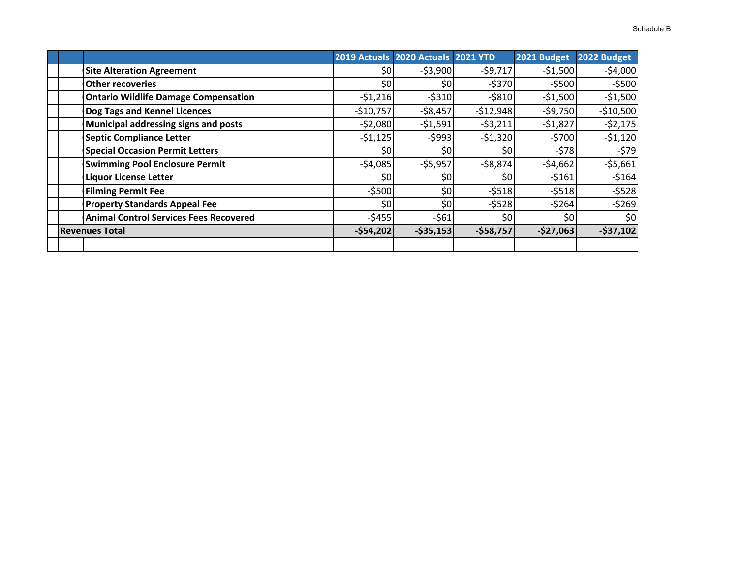|  |                                               |            | 2019 Actuals 2020 Actuals 2021 YTD |            | 2021 Budget | 2022 Budget |
|--|-----------------------------------------------|------------|------------------------------------|------------|-------------|-------------|
|  | <b>Site Alteration Agreement</b>              | \$0        | $-53,900$                          | $-59,717$  | $-$1,500$   | $-54,000$   |
|  | <b>Other recoveries</b>                       | \$0        | \$0                                | $-$ \$370  | $-$ \$500   | $-5500$     |
|  | <b>Ontario Wildlife Damage Compensation</b>   | $-51,216$  | $-5310$                            | $-5810$    | $-$1,500$   | $-51,500$   |
|  | Dog Tags and Kennel Licences                  | $-510,757$ | $-58,457$                          | $-512,948$ | $-59,750$   | $-$10,500$  |
|  | Municipal addressing signs and posts          | $-52,080$  | $-51,591$                          | $-53,211$  | $-51,827$   | $-52,175$   |
|  | <b>Septic Compliance Letter</b>               | $-51,125$  | $-5993$                            | $-51,320$  | $-5700$     | $-51,120$   |
|  | <b>Special Occasion Permit Letters</b>        | \$0        | \$0                                | \$0        | $-578$      | $-579$      |
|  | <b>Swimming Pool Enclosure Permit</b>         | $-54,085$  | $-55,957$                          | $-58,874$  | $-54,662$   | $-55,661$   |
|  | <b>Liquor License Letter</b>                  | \$0        | \$0                                | \$0        | $-5161$     | $-5164$     |
|  | <b>Filming Permit Fee</b>                     | $-$ \$500  | \$0                                | $-5518$    | $-5518$     | $-5528$     |
|  | <b>Property Standards Appeal Fee</b>          | \$0        | \$0                                | $-5528$    | $-5264$     | $-5269$     |
|  | <b>Animal Control Services Fees Recovered</b> | $-5455$    | $-561$                             | \$0        | \$0         | \$0         |
|  | <b>Revenues Total</b>                         | $-$54,202$ | $-535,153$                         | $-$58,757$ | $-$27,063$  | $-537,102$  |
|  |                                               |            |                                    |            |             |             |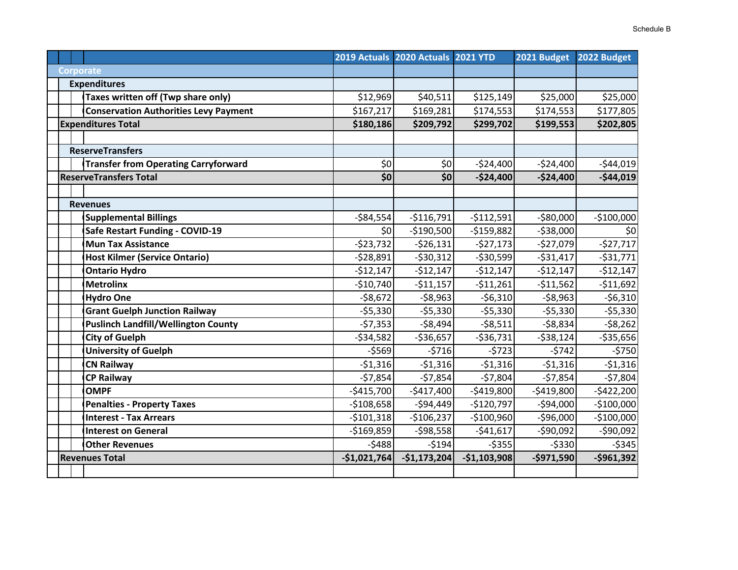|  |                                              |               | 2019 Actuals 2020 Actuals 2021 YTD |               | 2021 Budget   | 2022 Budget |
|--|----------------------------------------------|---------------|------------------------------------|---------------|---------------|-------------|
|  | <b>Corporate</b>                             |               |                                    |               |               |             |
|  | <b>Expenditures</b>                          |               |                                    |               |               |             |
|  | Taxes written off (Twp share only)           | \$12,969      | \$40,511                           | \$125,149     | \$25,000      | \$25,000    |
|  | <b>Conservation Authorities Levy Payment</b> | \$167,217     | \$169,281                          | \$174,553     | \$174,553     | \$177,805   |
|  | <b>Expenditures Total</b>                    | \$180,186     | \$209,792                          | \$299,702     | \$199,553     | \$202,805   |
|  |                                              |               |                                    |               |               |             |
|  | <b>ReserveTransfers</b>                      |               |                                    |               |               |             |
|  | <b>Transfer from Operating Carryforward</b>  | \$0           | \$0                                | $-524,400$    | $-$24,400$    | $-$44,019$  |
|  | <b>ReserveTransfers Total</b>                | \$0           | \$0                                | $-$24,400$    | $-$24,400$    | $-$44,019$  |
|  |                                              |               |                                    |               |               |             |
|  | <b>Revenues</b>                              |               |                                    |               |               |             |
|  | <b>Supplemental Billings</b>                 | $-584,554$    | $-$116,791$                        | $-$112,591$   | $-$80,000$    | $-$100,000$ |
|  | Safe Restart Funding - COVID-19              | \$0           | $-$190,500$                        | $-$159,882$   | $- $38,000$   | \$0         |
|  | <b>Mun Tax Assistance</b>                    | $-$23,732$    | $-526,131$                         | $-527,173$    | $-$27,079$    | $-527,717$  |
|  | <b>Host Kilmer (Service Ontario)</b>         | $-528,891$    | $-530,312$                         | $-530,599$    | $-531,417$    | $-531,771$  |
|  | <b>Ontario Hydro</b>                         | $-$12,147$    | $-512,147$                         | $-$12,147$    | $-$12,147$    | $-512,147$  |
|  | <b>Metrolinx</b>                             | $-$10,740$    | $-$11,157$                         | $-511,261$    | $-511,562$    | $-$11,692$  |
|  | <b>Hydro One</b>                             | $-58,672$     | $-58,963$                          | $-56,310$     | $-58,963$     | $-56,310$   |
|  | <b>Grant Guelph Junction Railway</b>         | $-55,330$     | $-55,330$                          | $-55,330$     | $-55,330$     | $-55,330$   |
|  | <b>Puslinch Landfill/Wellington County</b>   | $-57,353$     | $-58,494$                          | $-58,511$     | $-58,834$     | $-58,262$   |
|  | <b>City of Guelph</b>                        | $-534,582$    | $-$36,657$                         | $-536,731$    | $-538,124$    | $-535,656$  |
|  | <b>University of Guelph</b>                  | $-5569$       | $-5716$                            | $-5723$       | $-5742$       | $-5750$     |
|  | <b>CN Railway</b>                            | $-51,316$     | $-51,316$                          | $-51,316$     | $-51,316$     | $-51,316$   |
|  | <b>CP Railway</b>                            | $-57,854$     | $-57,854$                          | $-57,804$     | $-57,854$     | $-57,804$   |
|  | <b>OMPF</b>                                  | $-$415,700$   | $-$417,400$                        | $-$419,800$   | $-$419,800$   | $-$422,200$ |
|  | <b>Penalties - Property Taxes</b>            | $-$108,658$   | $-$94,449$                         | $-$120,797$   | $-$94,000$    | $-$100,000$ |
|  | <b>Interest - Tax Arrears</b>                | $-$101,318$   | $-$106,237$                        | $-$100,960$   | $-$96,000$    | $-$100,000$ |
|  | <b>Interest on General</b>                   | $-$169,859$   | $-598,558$                         | $-541,617$    | $-$ \$90,092  | $-590,092$  |
|  | <b>Other Revenues</b>                        | $-5488$       | $-5194$                            | $-5355$       | $-$ \$330     | $-5345$     |
|  | <b>Revenues Total</b>                        | $-$1,021,764$ | $-$1,173,204$                      | $-$1,103,908$ | $-$ \$971,590 | $-$961,392$ |
|  |                                              |               |                                    |               |               |             |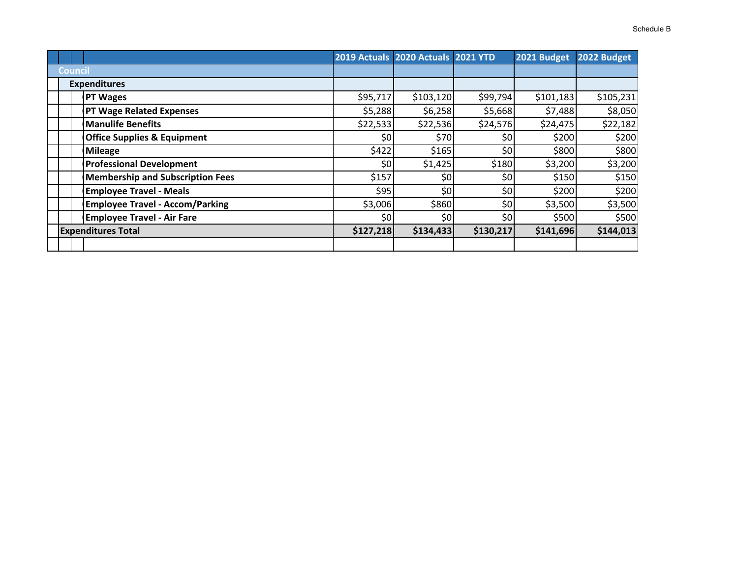|         |                                         |           | 2019 Actuals 2020 Actuals 2021 YTD |           | 2021 Budget | 2022 Budget |
|---------|-----------------------------------------|-----------|------------------------------------|-----------|-------------|-------------|
| Council |                                         |           |                                    |           |             |             |
|         | <b>Expenditures</b>                     |           |                                    |           |             |             |
|         | <b>PT Wages</b>                         | \$95,717  | \$103,120                          | \$99,794  | \$101,183   | \$105,231   |
|         | <b>PT Wage Related Expenses</b>         | \$5,288   | \$6,258                            | \$5,668   | \$7,488     | \$8,050     |
|         | <b>Manulife Benefits</b>                | \$22,533  | \$22,536                           | \$24,576  | \$24,475    | \$22,182    |
|         | <b>Office Supplies &amp; Equipment</b>  | \$0       | \$70                               | \$٥       | \$200       | \$200       |
|         | Mileage                                 | \$422     | \$165                              | \$0       | \$800       | \$800       |
|         | <b>Professional Development</b>         | \$0       | \$1,425                            | \$180     | \$3,200     | \$3,200     |
|         | <b>Membership and Subscription Fees</b> | \$157     | \$0                                | \$٥       | \$150       | \$150       |
|         | <b>Employee Travel - Meals</b>          | \$95      | \$0                                | \$٥       | \$200       | \$200       |
|         | <b>Employee Travel - Accom/Parking</b>  | \$3,006   | \$860                              | \$0       | \$3,500     | \$3,500     |
|         | <b>Employee Travel - Air Fare</b>       | \$0       | \$0                                | \$٥       | \$500       | \$500       |
|         | <b>Expenditures Total</b>               | \$127,218 | \$134,433                          | \$130,217 | \$141,696   | \$144,013   |
|         |                                         |           |                                    |           |             |             |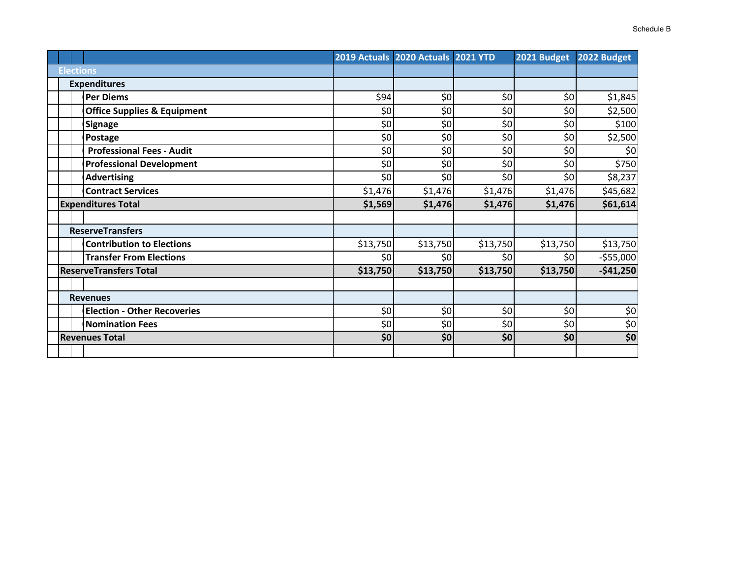|                                        |          | 2019 Actuals 2020 Actuals 2021 YTD |          | 2021 Budget | 2022 Budget |
|----------------------------------------|----------|------------------------------------|----------|-------------|-------------|
| <b>Elections</b>                       |          |                                    |          |             |             |
| <b>Expenditures</b>                    |          |                                    |          |             |             |
| <b>Per Diems</b>                       | \$94     | \$0                                | \$0      | \$0         | \$1,845     |
| <b>Office Supplies &amp; Equipment</b> | \$0      | \$0                                | \$0      | \$0         | \$2,500     |
| <b>Signage</b>                         | \$0      | \$0                                | \$0      | \$0         | \$100       |
| Postage                                | \$0      | \$0                                | \$0      | \$0         | \$2,500     |
| <b>Professional Fees - Audit</b>       | \$0      | \$0                                | \$0      | \$0         | \$0         |
| <b>Professional Development</b>        | \$0      | \$0                                | \$0      | \$0         | \$750       |
| <b>Advertising</b>                     | \$0      | \$0                                | \$0      | \$0         | \$8,237     |
| <b>Contract Services</b>               | \$1,476  | \$1,476                            | \$1,476  | \$1,476     | \$45,682    |
| <b>Expenditures Total</b>              | \$1,569  | \$1,476                            | \$1,476  | \$1,476     | \$61,614    |
|                                        |          |                                    |          |             |             |
| <b>ReserveTransfers</b>                |          |                                    |          |             |             |
| <b>Contribution to Elections</b>       | \$13,750 | \$13,750                           | \$13,750 | \$13,750    | \$13,750    |
| <b>Transfer From Elections</b>         | \$0      | \$0                                | \$0      | \$0         | $-555,000$  |
| <b>ReserveTransfers Total</b>          | \$13,750 | \$13,750                           | \$13,750 | \$13,750    | $-541,250$  |
|                                        |          |                                    |          |             |             |
| <b>Revenues</b>                        |          |                                    |          |             |             |
| <b>Election - Other Recoveries</b>     | \$0      | \$0                                | \$0      | \$0         | \$0         |
| <b>Nomination Fees</b>                 | \$0      | \$0                                | \$0      | \$0         | \$0         |
| <b>Revenues Total</b>                  | \$0      | \$0                                | \$0      | \$0         | \$0         |
|                                        |          |                                    |          |             |             |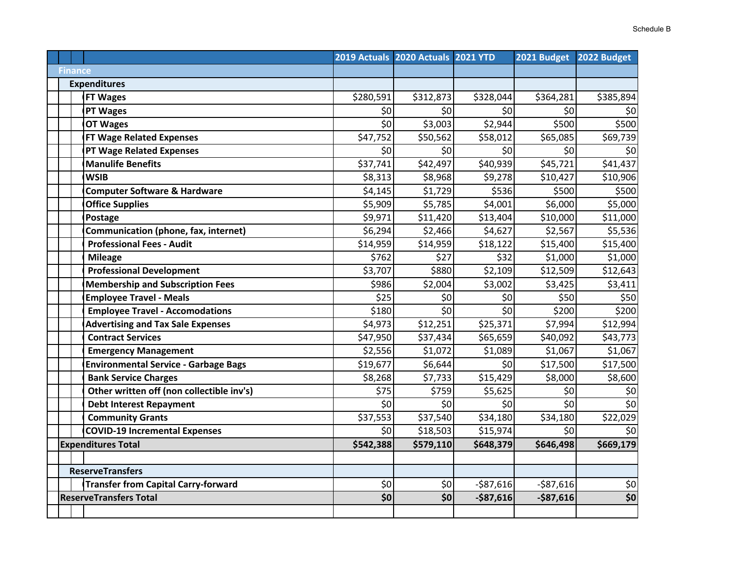|                                             |           | 2019 Actuals 2020 Actuals 2021 YTD |            | 2021 Budget | 2022 Budget                           |
|---------------------------------------------|-----------|------------------------------------|------------|-------------|---------------------------------------|
| <b>Finance</b>                              |           |                                    |            |             |                                       |
| <b>Expenditures</b>                         |           |                                    |            |             |                                       |
| <b>FT Wages</b>                             | \$280,591 | \$312,873                          | \$328,044  | \$364,281   | \$385,894                             |
| <b>PT Wages</b>                             | \$0       | \$0                                | \$0        | \$0         | \$0                                   |
| <b>OT Wages</b>                             | \$0       | \$3,003                            | \$2,944    | \$500       | \$500                                 |
| <b>FT Wage Related Expenses</b>             | \$47,752  | \$50,562                           | \$58,012   | \$65,085    | \$69,739                              |
| <b>PT Wage Related Expenses</b>             | \$0       | \$0                                | \$0        | \$0         | \$0                                   |
| <b>Manulife Benefits</b>                    | \$37,741  | \$42,497                           | \$40,939   | \$45,721    | \$41,437                              |
| <b>WSIB</b>                                 | \$8,313   | \$8,968                            | \$9,278    | \$10,427    | \$10,906                              |
| <b>Computer Software &amp; Hardware</b>     | \$4,145   | \$1,729                            | \$536      | \$500       | \$500                                 |
| <b>Office Supplies</b>                      | \$5,909   | \$5,785                            | \$4,001    | \$6,000     | 55,000                                |
| Postage                                     | \$9,971   | \$11,420                           | \$13,404   | \$10,000    | \$11,000                              |
| Communication (phone, fax, internet)        | \$6,294   | \$2,466                            | \$4,627    | \$2,567     | \$5,536                               |
| <b>Professional Fees - Audit</b>            | \$14,959  | \$14,959                           | \$18,122   | \$15,400    | \$15,400                              |
| <b>Mileage</b>                              | \$762     | \$27                               | \$32       | \$1,000     | \$1,000                               |
| <b>Professional Development</b>             | \$3,707   | \$880                              | \$2,109    | \$12,509    | \$12,643                              |
| <b>Membership and Subscription Fees</b>     | \$986     | \$2,004                            | \$3,002    | \$3,425     | \$3,411                               |
| <b>Employee Travel - Meals</b>              | \$25      | \$0                                | \$0        | \$50        | \$50                                  |
| <b>Employee Travel - Accomodations</b>      | \$180     | \$0                                | \$0        | \$200       | \$200                                 |
| <b>Advertising and Tax Sale Expenses</b>    | \$4,973   | \$12,251                           | \$25,371   | \$7,994     | \$12,994                              |
| <b>Contract Services</b>                    | \$47,950  | \$37,434                           | \$65,659   | \$40,092    | \$43,773                              |
| <b>Emergency Management</b>                 | \$2,556   | \$1,072                            | \$1,089    | \$1,067     | \$1,067                               |
| <b>Environmental Service - Garbage Bags</b> | \$19,677  | \$6,644                            | \$0        | \$17,500    | \$17,500                              |
| <b>Bank Service Charges</b>                 | \$8,268   | \$7,733                            | \$15,429   | \$8,000     | \$8,600                               |
| Other written off (non collectible inv's)   | \$75      | \$759                              | \$5,625    | \$0         | \$0                                   |
| <b>Debt Interest Repayment</b>              | \$0       | \$0                                | \$0        | \$0         | $\overline{\xi_0}$                    |
| <b>Community Grants</b>                     | \$37,553  | \$37,540                           | \$34,180   | \$34,180    | \$22,029                              |
| <b>COVID-19 Incremental Expenses</b>        | \$0       | \$18,503                           | \$15,974   | \$0         | \$0                                   |
| <b>Expenditures Total</b>                   | \$542,388 | \$579,110                          | \$648,379  | \$646,498   | \$669,179                             |
|                                             |           |                                    |            |             |                                       |
| <b>ReserveTransfers</b>                     |           |                                    |            |             |                                       |
| <b>Transfer from Capital Carry-forward</b>  | \$0       | \$0                                | $-$87,616$ | $-$87,616$  | \$0                                   |
| <b>ReserveTransfers Total</b>               | \$0       | \$0                                | $-$87,616$ | $-$87,616$  | $\overline{\boldsymbol{\mathsf{50}}}$ |
|                                             |           |                                    |            |             |                                       |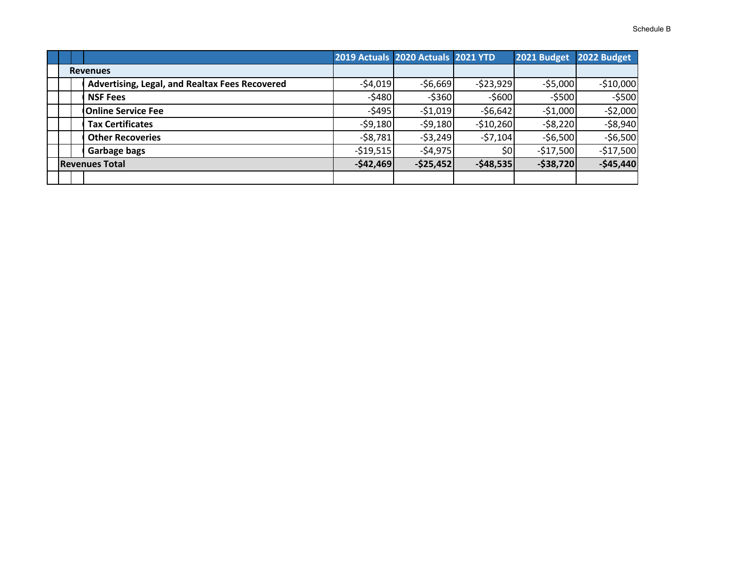|                                                |            | 2019 Actuals 2020 Actuals 2021 YTD |              | 2021 Budget | 2022 Budget |
|------------------------------------------------|------------|------------------------------------|--------------|-------------|-------------|
| <b>Revenues</b>                                |            |                                    |              |             |             |
| Advertising, Legal, and Realtax Fees Recovered | $-54,019$  | $-56,669$                          | $-523,929$   | $-55,000$   | $-$10,000$  |
| <b>NSF Fees</b>                                | $-5480$    | $-5360$                            | $-$ \$600    | $-$ \$500   | $-5500$     |
| <b>Online Service Fee</b>                      | $-$ \$495  | $-51,019$                          | $-56,642$    | $-51,000$   | $-52,000$   |
| <b>Tax Certificates</b>                        | $-59,180$  | $-59,180$                          | $-$10,260$   | $-58,220$   | $-58,940$   |
| <b>Other Recoveries</b>                        | $-58,781$  | $-53,249$                          | $-57,104$    | $-56,500$   | $-56,500$   |
| Garbage bags                                   | $-519,515$ | $-54,975$                          | \$0          | $-$17,500$  | $-$17,500$  |
| <b>Revenues Total</b>                          | $-$42,469$ | $-$25,452$                         | $-$ \$48,535 | $-$38,720$  | $-$45,440$  |
|                                                |            |                                    |              |             |             |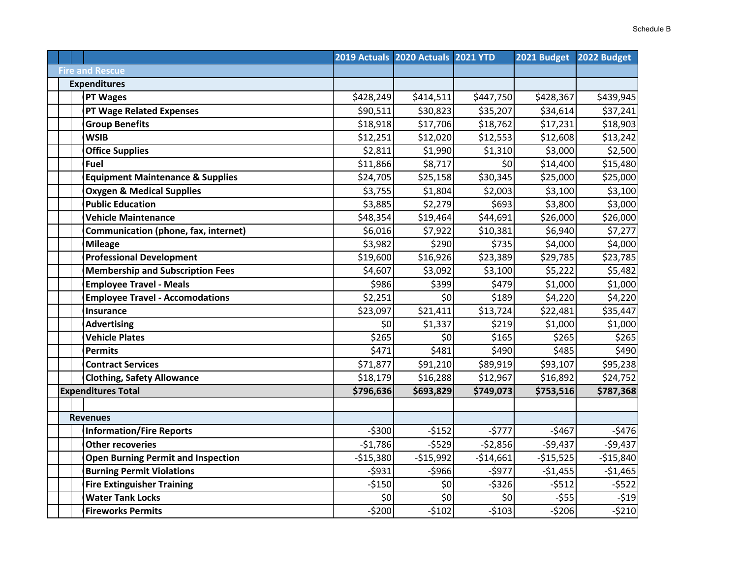|                                             |            | 2019 Actuals 2020 Actuals 2021 YTD |            | 2021 Budget | 2022 Budget |
|---------------------------------------------|------------|------------------------------------|------------|-------------|-------------|
| <b>Fire and Rescue</b>                      |            |                                    |            |             |             |
| <b>Expenditures</b>                         |            |                                    |            |             |             |
| <b>PT Wages</b>                             | \$428,249  | \$414,511                          | \$447,750  | \$428,367   | \$439,945   |
| <b>PT Wage Related Expenses</b>             | \$90,511   | \$30,823                           | \$35,207   | \$34,614    | \$37,241    |
| <b>Group Benefits</b>                       | \$18,918   | \$17,706                           | \$18,762   | \$17,231    | \$18,903    |
| <b>WSIB</b>                                 | \$12,251   | \$12,020                           | \$12,553   | \$12,608    | \$13,242    |
| <b>Office Supplies</b>                      | \$2,811    | \$1,990                            | \$1,310    | \$3,000     | \$2,500     |
| Fuel                                        | \$11,866   | \$8,717                            | \$0        | \$14,400    | \$15,480    |
| <b>Equipment Maintenance &amp; Supplies</b> | \$24,705   | \$25,158                           | \$30,345   | \$25,000    | \$25,000    |
| <b>Oxygen &amp; Medical Supplies</b>        | \$3,755    | \$1,804                            | \$2,003    | \$3,100     | \$3,100     |
| <b>Public Education</b>                     | \$3,885    | \$2,279                            | \$693      | \$3,800     | \$3,000     |
| <b>Vehicle Maintenance</b>                  | \$48,354   | \$19,464                           | \$44,691   | \$26,000    | \$26,000    |
| Communication (phone, fax, internet)        | \$6,016    | \$7,922                            | \$10,381   | \$6,940     | \$7,277     |
| <b>Mileage</b>                              | \$3,982    | \$290                              | \$735      | \$4,000     | \$4,000     |
| <b>Professional Development</b>             | \$19,600   | \$16,926                           | \$23,389   | \$29,785    | \$23,785    |
| <b>Membership and Subscription Fees</b>     | \$4,607    | \$3,092                            | \$3,100    | \$5,222     | \$5,482     |
| <b>Employee Travel - Meals</b>              | \$986      | \$399                              | \$479      | \$1,000     | \$1,000     |
| <b>Employee Travel - Accomodations</b>      | \$2,251    | \$0                                | \$189      | \$4,220     | \$4,220     |
| <b>Insurance</b>                            | \$23,097   | \$21,411                           | \$13,724   | \$22,481    | \$35,447    |
| <b>Advertising</b>                          | \$0        | \$1,337                            | \$219      | \$1,000     | \$1,000     |
| <b>Vehicle Plates</b>                       | \$265      | \$0                                | \$165      | \$265       | \$265       |
| <b>Permits</b>                              | \$471      | \$481                              | \$490      | \$485       | \$490       |
| <b>Contract Services</b>                    | \$71,877   | \$91,210                           | \$89,919   | \$93,107    | \$95,238    |
| <b>Clothing, Safety Allowance</b>           | \$18,179   | \$16,288                           | \$12,967   | \$16,892    | \$24,752    |
| <b>Expenditures Total</b>                   | \$796,636  | \$693,829                          | \$749,073  | \$753,516   | \$787,368   |
|                                             |            |                                    |            |             |             |
| <b>Revenues</b>                             |            |                                    |            |             |             |
| <b>Information/Fire Reports</b>             | $-5300$    | $-5152$                            | $-5777$    | $-5467$     | $-5476$     |
| <b>Other recoveries</b>                     | $-51,786$  | $-5529$                            | $-52,856$  | $-59,437$   | $-59,437$   |
| <b>Open Burning Permit and Inspection</b>   | $-$15,380$ | $-$15,992$                         | $-514,661$ | $-515,525$  | $-$15,840$  |
| <b>Burning Permit Violations</b>            | $-5931$    | -\$966                             | $-5977$    | $-51,455$   | $-$1,465$   |
| <b>Fire Extinguisher Training</b>           | $-5150$    | \$0                                | $-5326$    | $-5512$     | $-5522$     |
| <b>Water Tank Locks</b>                     | \$0        | \$0                                | \$0        | $-555$      | -\$19       |
| <b>Fireworks Permits</b>                    | $-5200$    | $-5102$                            | $-5103$    | $-5206$     | $-5210$     |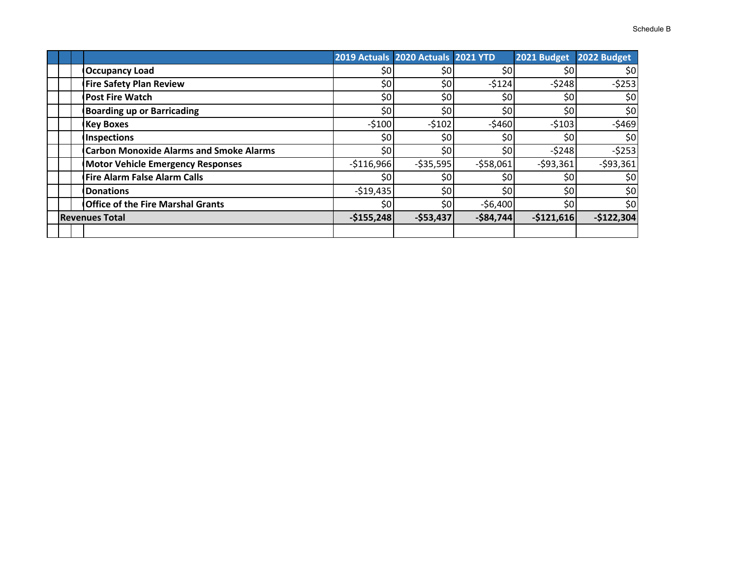|   | 2019 Actuals 2020 Actuals 2021 YTD |            | 2021 Budget 2022 Budget |  |
|---|------------------------------------|------------|-------------------------|--|
|   |                                    |            |                         |  |
| ሖ | <u>ሖ</u> ឹ                         | $A \cap A$ | 6200                    |  |

| <b>Occupancy Load</b>                          | \$0             | \$0        | \$0              | \$0         | \$0         |
|------------------------------------------------|-----------------|------------|------------------|-------------|-------------|
| <b>Fire Safety Plan Review</b>                 | \$0             | \$0        | $-5124$          | $-5248$     | $-5253$     |
| <b>Post Fire Watch</b>                         | \$0             | \$0        | \$0              | \$0         | \$0         |
| <b>Boarding up or Barricading</b>              | \$0             | \$0        | \$0              | \$0         | \$0         |
| <b>Key Boxes</b>                               | $-5100$         | $-5102$    | $-5460$          | $-5103$     | $-5469$     |
| <b>Inspections</b>                             | \$0             | \$0        | \$0              | \$0         | \$0         |
| <b>Carbon Monoxide Alarms and Smoke Alarms</b> | \$0             | \$0        | \$0              | $-5248$     | $-5253$     |
| <b>Motor Vehicle Emergency Responses</b>       | $-$116,966$     | $-535,595$ | $-558,061$       | $-593,361$  | $-593,361$  |
| <b>Fire Alarm False Alarm Calls</b>            | 50 <sub>l</sub> | \$0        | \$0              | \$0         | \$0         |
| <b>Donations</b>                               | $-519,435$      | \$0        | \$0 <sub>1</sub> | \$0         | \$0         |
| <b>Office of the Fire Marshal Grants</b>       | \$0             | \$0        | $-56,400$        | \$0         | \$0         |
| <b>Revenues Total</b>                          | $-$155,248$     | $-$53,437$ | $-$84,744$       | $-$121,616$ | $-$122,304$ |
|                                                |                 |            |                  |             |             |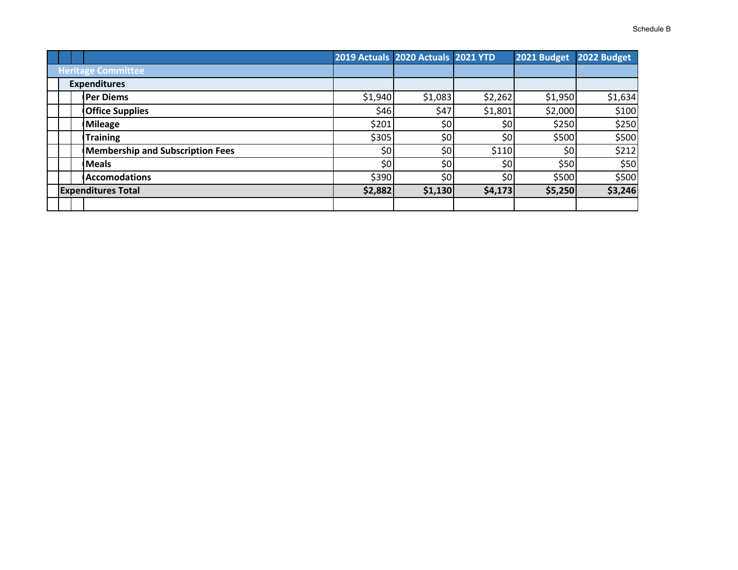|                                         | 2019 Actuals 2020 Actuals 2021 YTD |         |                  | 2021 Budget | 2022 Budget |
|-----------------------------------------|------------------------------------|---------|------------------|-------------|-------------|
|                                         |                                    |         |                  |             |             |
| <b>Heritage Committee</b>               |                                    |         |                  |             |             |
| <b>Expenditures</b>                     |                                    |         |                  |             |             |
| Per Diems                               | \$1,940                            | \$1,083 | \$2,262          | \$1,950     | \$1,634     |
| <b>Office Supplies</b>                  | \$46                               | \$47    | \$1,801          | \$2,000     | \$100       |
| <b>Mileage</b>                          | \$201                              | \$0     | \$0 <sub>1</sub> | \$250       | \$250       |
| <b>Training</b>                         | \$305                              | \$0     | 50 <sub>1</sub>  | \$500       | \$500       |
| <b>Membership and Subscription Fees</b> | 50 <sub>l</sub>                    | \$0     | \$110            | \$0         | \$212       |
| <b>Meals</b>                            | \$0                                | \$٥     | \$0              | \$50        | \$50        |

**Expenditures Total \$2,882 \$1,130 \$4,173 \$5,250 \$3,246**

\$390 \$0 \$0 \$500 \$500

**0Accomodations**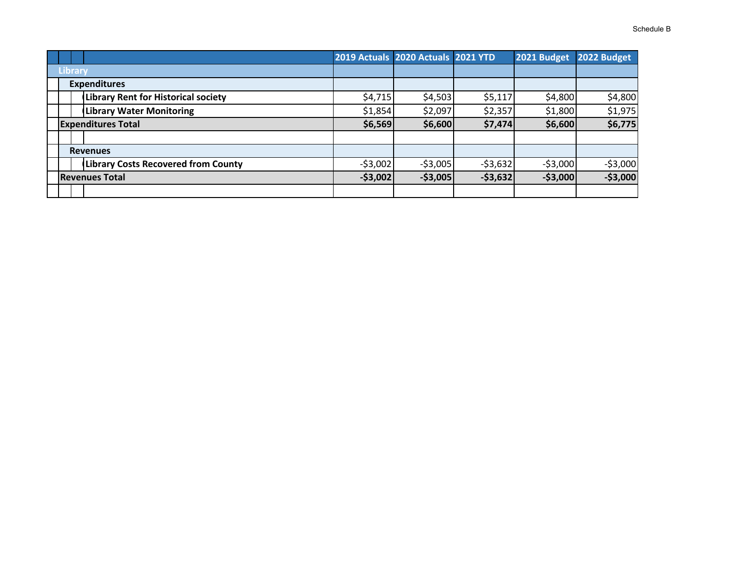|                                            |           | 2019 Actuals 2020 Actuals 2021 YTD |           | 2021 Budget | 2022 Budget |
|--------------------------------------------|-----------|------------------------------------|-----------|-------------|-------------|
| <b>Library</b>                             |           |                                    |           |             |             |
| <b>Expenditures</b>                        |           |                                    |           |             |             |
| <b>Library Rent for Historical society</b> | \$4,715   | \$4,503                            | \$5,117   | \$4,800     | \$4,800     |
| <b>Library Water Monitoring</b>            | \$1,854   | \$2,097                            | \$2,357   | \$1,800     | \$1,975     |
| <b>Expenditures Total</b>                  | \$6,569   | \$6,600                            | \$7,474   | \$6,600     | \$6,775     |
|                                            |           |                                    |           |             |             |
| <b>Revenues</b>                            |           |                                    |           |             |             |
| <b>Library Costs Recovered from County</b> | $-53,002$ | $-53,005$                          | $-53,632$ | $-$ \$3,000 | $-53,000$   |
| <b>Revenues Total</b>                      | $-53,002$ | $-$3,005$                          | $-53,632$ | $-$ \$3,000 | $-53,000$   |
|                                            |           |                                    |           |             |             |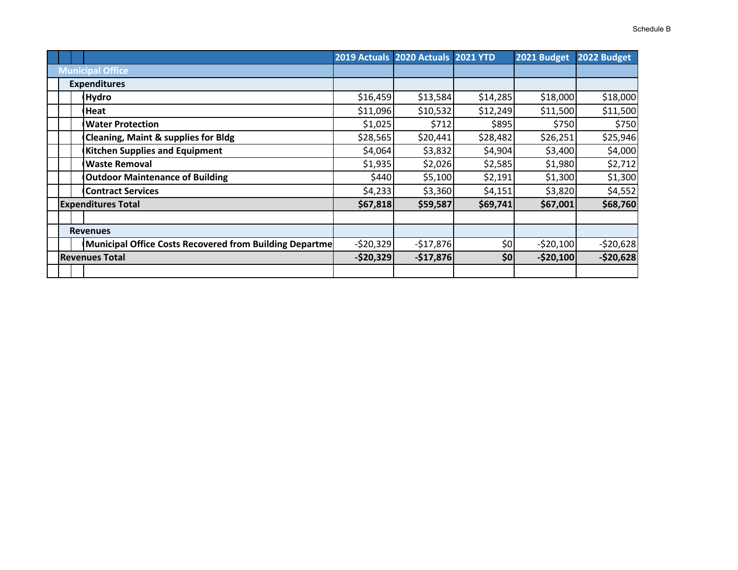|  |                                                         |            | 2019 Actuals 2020 Actuals 2021 YTD |          | 2021 Budget | 2022 Budget |
|--|---------------------------------------------------------|------------|------------------------------------|----------|-------------|-------------|
|  | <b>Municipal Office</b>                                 |            |                                    |          |             |             |
|  | <b>Expenditures</b>                                     |            |                                    |          |             |             |
|  | <b>Hydro</b>                                            | \$16,459   | \$13,584                           | \$14,285 | \$18,000    | \$18,000    |
|  | Heat                                                    | \$11,096   | \$10,532                           | \$12,249 | \$11,500    | \$11,500    |
|  | <b>Water Protection</b>                                 | \$1,025    | \$712                              | \$895    | \$750       | \$750       |
|  | <b>Cleaning, Maint &amp; supplies for Bldg</b>          | \$28,565   | \$20,441                           | \$28,482 | \$26,251    | \$25,946    |
|  | <b>Kitchen Supplies and Equipment</b>                   | \$4,064    | \$3,832                            | \$4,904  | \$3,400     | \$4,000     |
|  | <b>Waste Removal</b>                                    | \$1,935    | \$2,026                            | \$2,585  | \$1,980     | \$2,712     |
|  | <b>Outdoor Maintenance of Building</b>                  | \$440      | \$5,100                            | \$2,191  | \$1,300     | \$1,300     |
|  | <b>Contract Services</b>                                | \$4,233    | \$3,360                            | \$4,151  | \$3,820     | \$4,552     |
|  | <b>Expenditures Total</b>                               | \$67,818   | \$59,587                           | \$69,741 | \$67,001    | \$68,760    |
|  |                                                         |            |                                    |          |             |             |
|  | <b>Revenues</b>                                         |            |                                    |          |             |             |
|  | Municipal Office Costs Recovered from Building Departme | $-520,329$ | $-517,876$                         | \$0      | $-520,100$  | $-520,628$  |
|  | <b>Revenues Total</b>                                   | $-$20,329$ | $-$17,876$                         | \$0      | $-$20,100$  | $-$20,628$  |
|  |                                                         |            |                                    |          |             |             |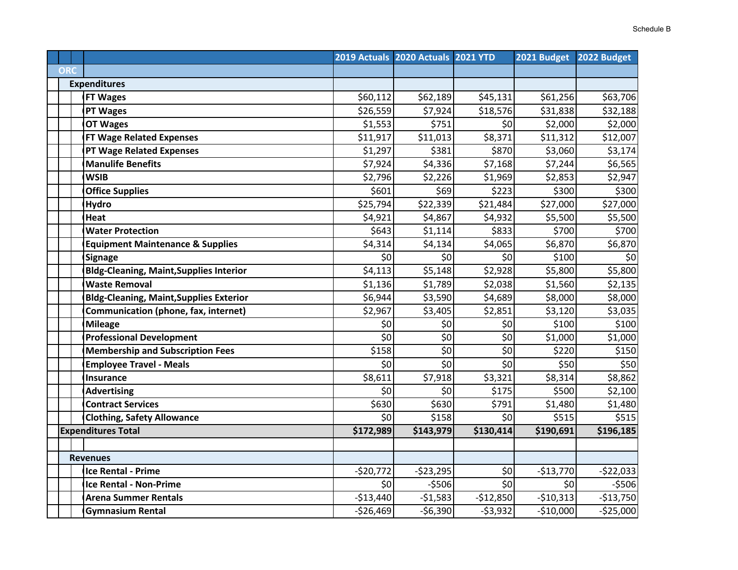|            |                                                |                    | 2019 Actuals 2020 Actuals 2021 YTD |                         | 2021 Budget | 2022 Budget  |
|------------|------------------------------------------------|--------------------|------------------------------------|-------------------------|-------------|--------------|
| <b>ORC</b> |                                                |                    |                                    |                         |             |              |
|            | <b>Expenditures</b>                            |                    |                                    |                         |             |              |
|            | <b>FT Wages</b>                                | \$60,112           | \$62,189                           | \$45,131                | \$61,256    | \$63,706     |
|            | <b>PT Wages</b>                                | \$26,559           | \$7,924                            | \$18,576                | \$31,838    | \$32,188     |
|            | <b>OT Wages</b>                                | \$1,553            | \$751                              | \$0                     | \$2,000     | \$2,000      |
|            | <b>FT Wage Related Expenses</b>                | \$11,917           | \$11,013                           | \$8,371                 | \$11,312    | \$12,007     |
|            | <b>PT Wage Related Expenses</b>                | \$1,297            | \$381                              | \$870                   | \$3,060     | \$3,174      |
|            | <b>Manulife Benefits</b>                       | \$7,924            | \$4,336                            | \$7,168                 | \$7,244     | \$6,565      |
|            | <b>WSIB</b>                                    | \$2,796            | \$2,226                            | \$1,969                 | \$2,853     | \$2,947      |
|            | <b>Office Supplies</b>                         | \$601              | \$69                               | \$223                   | \$300       | \$300        |
|            | <b>Hydro</b>                                   | \$25,794           | \$22,339                           | $\overline{$}21,484$    | \$27,000    | \$27,000     |
|            | Heat                                           | \$4,921            | \$4,867                            | \$4,932                 | \$5,500     | \$5,500      |
|            | <b>Water Protection</b>                        | \$643              | \$1,114                            | \$833                   | \$700       | \$700        |
|            | <b>Equipment Maintenance &amp; Supplies</b>    | \$4,314            | \$4,134                            | \$4,065                 | \$6,870     | \$6,870      |
|            | <b>Signage</b>                                 | \$0                | \$0                                | \$0                     | \$100       | \$0          |
|            | <b>Bldg-Cleaning, Maint, Supplies Interior</b> | \$4,113            | \$5,148                            | \$2,928                 | \$5,800     | \$5,800      |
|            | <b>Waste Removal</b>                           | \$1,136            | \$1,789                            | \$2,038                 | \$1,560     | \$2,135      |
|            | <b>Bldg-Cleaning, Maint, Supplies Exterior</b> | \$6,944            | \$3,590                            | \$4,689                 | \$8,000     | \$8,000      |
|            | Communication (phone, fax, internet)           | \$2,967            | \$3,405                            | \$2,851                 | \$3,120     | \$3,035      |
|            | <b>Mileage</b>                                 | \$0                | \$0                                | \$0                     | \$100       | \$100        |
|            | <b>Professional Development</b>                | $\overline{\xi_0}$ | $\overline{\xi_0}$                 | \$0                     | \$1,000     | \$1,000      |
|            | <b>Membership and Subscription Fees</b>        | \$158              | \$0                                | \$0                     | \$220       | \$150        |
|            | <b>Employee Travel - Meals</b>                 | \$0                | $\overline{\xi_0}$                 | $\overline{\mathsf{S}}$ | \$50        | \$50         |
|            | <b>Insurance</b>                               | \$8,611            | \$7,918                            | \$3,321                 | \$8,314     | \$8,862      |
|            | <b>Advertising</b>                             | \$0                | \$0                                | \$175                   | \$500       | \$2,100      |
|            | <b>Contract Services</b>                       | \$630              | \$630                              | \$791                   | \$1,480     | \$1,480      |
|            | <b>Clothing, Safety Allowance</b>              | \$0                | \$158                              | \$0                     | \$515       | \$515        |
|            | <b>Expenditures Total</b>                      | \$172,989          | \$143,979                          | \$130,414               | \$190,691   | \$196,185    |
|            |                                                |                    |                                    |                         |             |              |
|            | <b>Revenues</b>                                |                    |                                    |                         |             |              |
|            | Ice Rental - Prime                             | $-520,772$         | $-523,295$                         | \$0                     | $-$13,770$  | $-522,033$   |
|            | <b>Ice Rental - Non-Prime</b>                  | \$0                | $-5506$                            | 50                      | \$0         | $-5506$      |
|            | <b>Arena Summer Rentals</b>                    | $-$13,440$         | $-51,583$                          | $-$12,850$              | $-$10,313$  | $-$13,750$   |
|            | <b>Gymnasium Rental</b>                        | $-526,469$         | $-56,390$                          | $-53,932$               | $-$10,000$  | $-$ \$25,000 |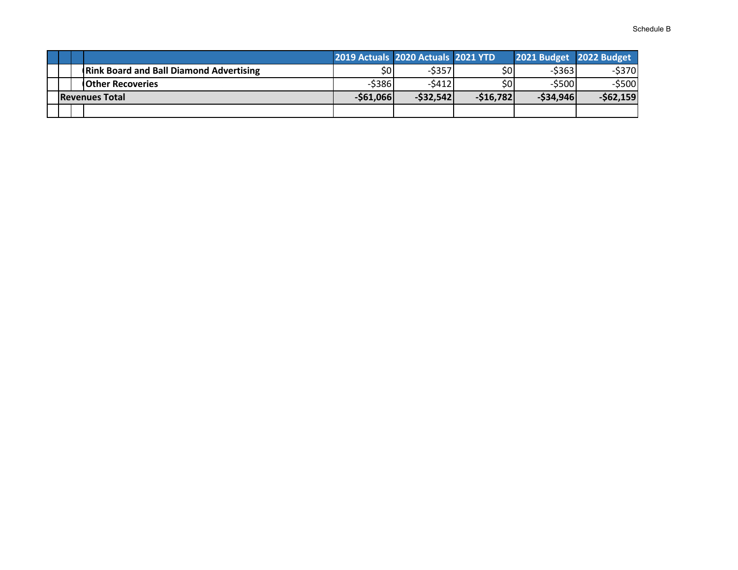|                                                |            | 2019 Actuals 2020 Actuals 2021 YTD |            | 2021 Budget 2022 Budget |            |
|------------------------------------------------|------------|------------------------------------|------------|-------------------------|------------|
| <b>Rink Board and Ball Diamond Advertising</b> | \$0l       | $-5357$                            | \$0        | $-5363$                 | $-5370$    |
| <b>IOther Recoveries</b>                       | $-5386$    | -\$4121                            | \$0        | $-$ \$500               | $-$ \$500  |
| <b>Revenues Total</b>                          | $-561,066$ | $-532,542$                         | $-516,782$ | $-534,946$              | $-$62,159$ |
|                                                |            |                                    |            |                         |            |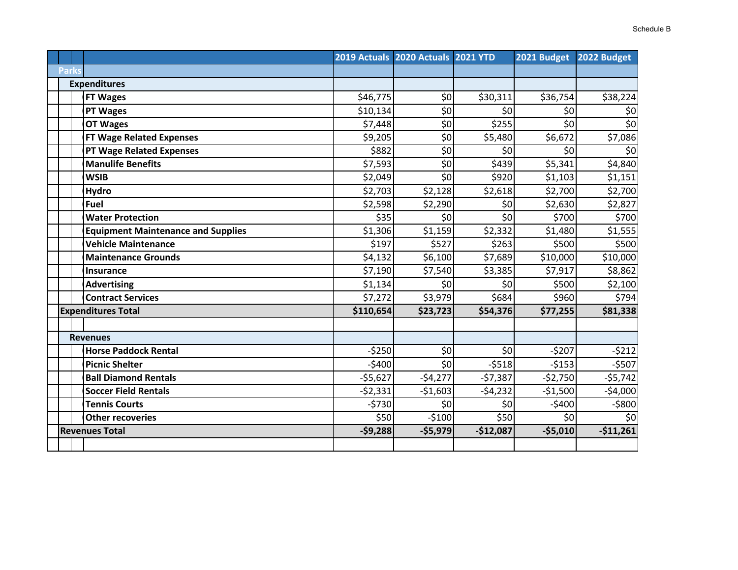|              |                                           |           | 2019 Actuals 2020 Actuals 2021 YTD |                 | 2021 Budget | 2022 Budget                |
|--------------|-------------------------------------------|-----------|------------------------------------|-----------------|-------------|----------------------------|
| <b>Parks</b> |                                           |           |                                    |                 |             |                            |
|              | <b>Expenditures</b>                       |           |                                    |                 |             |                            |
|              | <b>FT Wages</b>                           | \$46,775  | \$0                                | \$30,311        | \$36,754    | \$38,224                   |
|              | <b>PT Wages</b>                           | \$10,134  | \$0                                | 50 <sub>l</sub> | \$0         | \$0                        |
|              | <b>OT Wages</b>                           | \$7,448   | $\overline{\xi_0}$                 | \$255           | \$0         | $\overline{\overline{50}}$ |
|              | <b>FT Wage Related Expenses</b>           | \$9,205   | \$0                                | \$5,480         | \$6,672     | \$7,086                    |
|              | <b>PT Wage Related Expenses</b>           | \$882     | $\overline{\boldsymbol{\zeta_0}}$  | 50              | \$0         | $\overline{\mathbf{S}}$    |
|              | <b>Manulife Benefits</b>                  | \$7,593   | \$0                                | \$439           | \$5,341     | \$4,840                    |
|              | <b>WSIB</b>                               | \$2,049   | \$0                                | \$920           | \$1,103     | \$1,151                    |
|              | Hydro                                     | \$2,703   | \$2,128                            | \$2,618         | \$2,700     | \$2,700                    |
|              | Fuel                                      | \$2,598   | \$2,290                            | \$0             | \$2,630     | \$2,827                    |
|              | <b>Water Protection</b>                   | \$35      | \$0                                | 50              | \$700       | \$700                      |
|              | <b>Equipment Maintenance and Supplies</b> | \$1,306   | \$1,159                            | \$2,332         | \$1,480     | \$1,555                    |
|              | <b>Vehicle Maintenance</b>                | \$197     | \$527                              | \$263           | \$500       | \$500                      |
|              | <b>Maintenance Grounds</b>                | \$4,132   | \$6,100                            | \$7,689         | \$10,000    | \$10,000                   |
|              | <b>Insurance</b>                          | \$7,190   | \$7,540                            | \$3,385         | \$7,917     | \$8,862                    |
|              | <b>Advertising</b>                        | \$1,134   | \$0                                | \$0             | \$500       | \$2,100                    |
|              | <b>Contract Services</b>                  | \$7,272   | \$3,979                            | \$684           | \$960       | \$794                      |
|              | <b>Expenditures Total</b>                 | \$110,654 | \$23,723                           | \$54,376        | \$77,255    | \$81,338                   |
|              |                                           |           |                                    |                 |             |                            |
|              | <b>Revenues</b>                           |           |                                    |                 |             |                            |
|              | <b>Horse Paddock Rental</b>               | $-5250$   | \$0                                | \$0             | $-5207$     | $-5212$                    |
|              | <b>Picnic Shelter</b>                     | $-5400$   | \$0                                | $-5518$         | $-5153$     | $-5507$                    |
|              | <b>Ball Diamond Rentals</b>               | $-55,627$ | $-54,277$                          | $-57,387$       | $-52,750$   | $-55,742$                  |
|              | <b>Soccer Field Rentals</b>               | $-52,331$ | $-51,603$                          | $-54,232$       | $-51,500$   | $-54,000$                  |
|              | <b>Tennis Courts</b>                      | $-5730$   | \$0                                | \$0             | $-$400$     | $-5800$                    |
|              | <b>Other recoveries</b>                   | \$50      | $-5100$                            | \$50            | \$0         | \$0                        |
|              | <b>Revenues Total</b>                     | $-59,288$ | $-$5,979$                          | $-$12,087$      | $-$5,010$   | $-$11,261$                 |
|              |                                           |           |                                    |                 |             |                            |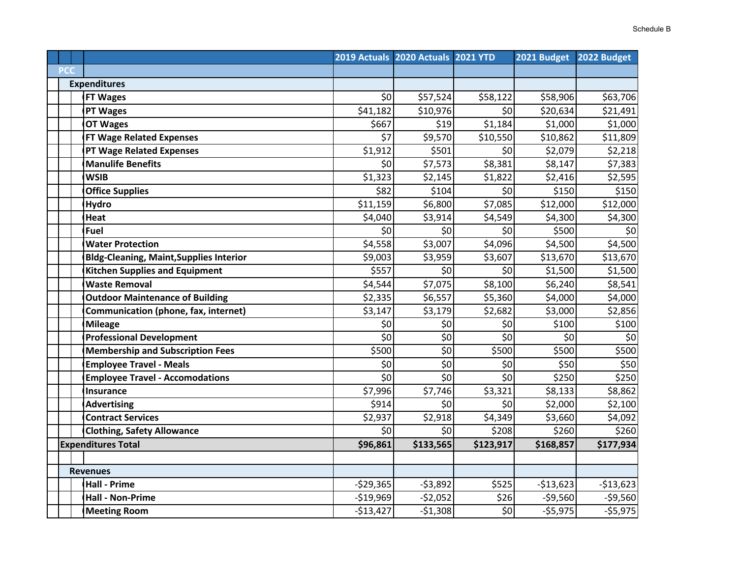|            |                                                |                    | 2019 Actuals 2020 Actuals 2021 YTD |                         | 2021 Budget | 2022 Budget |
|------------|------------------------------------------------|--------------------|------------------------------------|-------------------------|-------------|-------------|
| <b>PCC</b> |                                                |                    |                                    |                         |             |             |
|            | <b>Expenditures</b>                            |                    |                                    |                         |             |             |
|            | <b>FT Wages</b>                                | \$0                | \$57,524                           | \$58,122                | \$58,906    | \$63,706    |
|            | PT Wages                                       | \$41,182           | \$10,976                           | \$0                     | \$20,634    | \$21,491    |
|            | <b>OT Wages</b>                                | \$667              | \$19                               | \$1,184                 | \$1,000     | \$1,000     |
|            | <b>FT Wage Related Expenses</b>                | \$7                | \$9,570                            | \$10,550                | \$10,862    | \$11,809    |
|            | <b>PT Wage Related Expenses</b>                | \$1,912            | \$501                              | \$0                     | \$2,079     | \$2,218     |
|            | <b>Manulife Benefits</b>                       | \$0                | \$7,573                            | \$8,381                 | \$8,147     | \$7,383     |
|            | <b>WSIB</b>                                    | \$1,323            | \$2,145                            | \$1,822                 | \$2,416     | \$2,595     |
|            | <b>Office Supplies</b>                         | \$82               | \$104                              | \$0                     | \$150       | \$150       |
|            | <b>Hydro</b>                                   | \$11,159           | \$6,800                            | \$7,085                 | \$12,000    | \$12,000    |
|            | Heat                                           | \$4,040            | \$3,914                            | \$4,549                 | \$4,300     | \$4,300     |
|            | <b>Fuel</b>                                    | \$0                | \$0                                | \$0                     | \$500       | \$0         |
|            | <b>Water Protection</b>                        | \$4,558            | \$3,007                            | \$4,096                 | \$4,500     | \$4,500     |
|            | <b>Bldg-Cleaning, Maint, Supplies Interior</b> | \$9,003            | \$3,959                            | \$3,607                 | \$13,670    | \$13,670    |
|            | <b>Kitchen Supplies and Equipment</b>          | \$557              | \$0                                | \$0                     | \$1,500     | \$1,500     |
|            | <b>Waste Removal</b>                           | \$4,544            | \$7,075                            | \$8,100                 | \$6,240     | \$8,541     |
|            | <b>Outdoor Maintenance of Building</b>         | \$2,335            | \$6,557                            | \$5,360                 | \$4,000     | \$4,000     |
|            | Communication (phone, fax, internet)           | \$3,147            | \$3,179                            | \$2,682                 | \$3,000     | \$2,856     |
|            | <b>Mileage</b>                                 | \$0                | \$0                                | \$0                     | \$100       | \$100       |
|            | <b>Professional Development</b>                | $\overline{\xi_0}$ | $\overline{\mathbf{5}}$            | $\overline{\mathsf{S}}$ | \$0         | \$0         |
|            | <b>Membership and Subscription Fees</b>        | \$500              | $\overline{\mathbf{5}}$            | \$500                   | \$500       | \$500       |
|            | <b>Employee Travel - Meals</b>                 | \$0                | \$0                                | \$0                     | \$50        | \$50        |
|            | <b>Employee Travel - Accomodations</b>         | $\overline{\xi_0}$ | $\overline{\mathbf{5}}$            | $\overline{\mathsf{S}}$ | \$250       | \$250       |
|            | Insurance                                      | \$7,996            | \$7,746                            | \$3,321                 | \$8,133     | \$8,862     |
|            | <b>Advertising</b>                             | \$914              | \$0                                | \$0                     | \$2,000     | \$2,100     |
|            | <b>Contract Services</b>                       | \$2,937            | \$2,918                            | \$4,349                 | \$3,660     | \$4,092     |
|            | <b>Clothing, Safety Allowance</b>              | \$0                | \$0                                | \$208                   | \$260       | \$260       |
|            | <b>Expenditures Total</b>                      | \$96,861           | \$133,565                          | \$123,917               | \$168,857   | \$177,934   |
|            |                                                |                    |                                    |                         |             |             |
|            | <b>Revenues</b>                                |                    |                                    |                         |             |             |
|            | <b>Hall - Prime</b>                            | $-529,365$         | $-53,892$                          | \$525                   | $-$13,623$  | $-$13,623$  |
|            | <b>Hall - Non-Prime</b>                        | $-$19,969$         | $-52,052$                          | \$26                    | $-59,560$   | $-59,560$   |
|            | <b>Meeting Room</b>                            | $-$13,427$         | $-51,308$                          | \$0                     | $-55,975$   | $-55,975$   |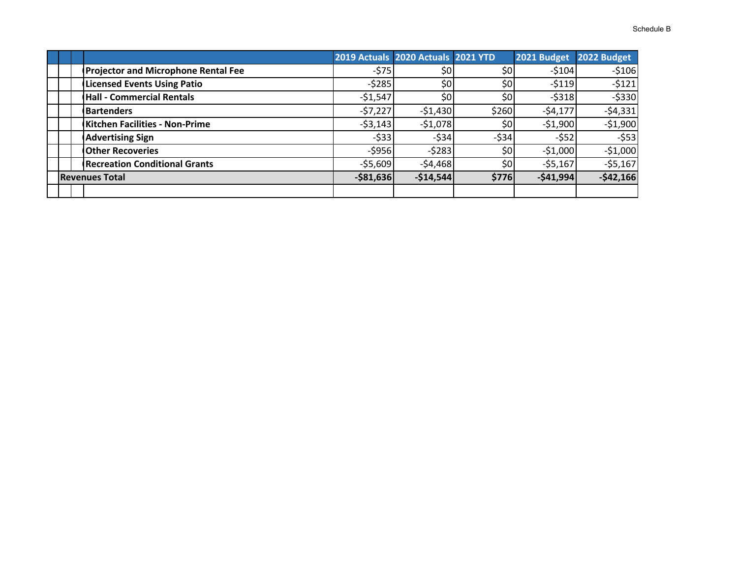|  |                                            |              | 2019 Actuals 2020 Actuals 2021 YTD |                  | 2021 Budget | 2022 Budget |
|--|--------------------------------------------|--------------|------------------------------------|------------------|-------------|-------------|
|  | <b>Projector and Microphone Rental Fee</b> | $-575$       | \$0                                | \$٥              | $-5104$     | $-5106$     |
|  | <b>Licensed Events Using Patio</b>         | $-5285$      | \$0                                | \$0              | $-5119$     | $-5121$     |
|  | <b>Hall - Commercial Rentals</b>           | $-51,547$    | \$0                                | \$0              | $-5318$     | $-5330$     |
|  | <b>Bartenders</b>                          | $-57,227$    | $-51,430$                          | \$260            | $-54,177$   | $-54,331$   |
|  | Kitchen Facilities - Non-Prime             | $-53,143$    | $-51,078$                          | \$0 <sub>1</sub> | $-51,900$   | $-51,900$   |
|  | <b>Advertising Sign</b>                    | $-533$       | $-534$                             | $-534$           | $-552$      | $-553$      |
|  | <b>Other Recoveries</b>                    | $-5956$      | $-5283$                            | \$0              | $-51,000$   | $-51,000$   |
|  | <b>Recreation Conditional Grants</b>       | $-55,609$    | $-54,468$                          | \$0              | $-55,167$   | $-55,167$   |
|  | <b>Revenues Total</b>                      | $-$ \$81,636 | $-$14,544$                         | \$776            | $-541,994$  | $-542,166$  |
|  |                                            |              |                                    |                  |             |             |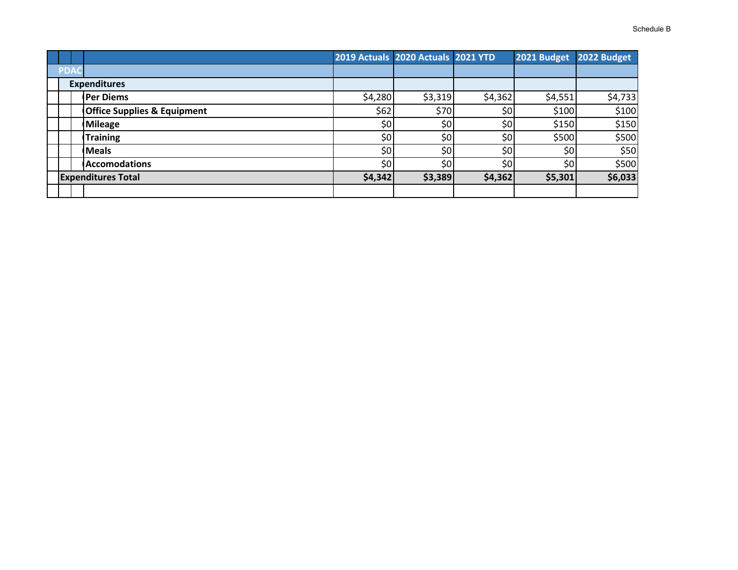| Schedule B |
|------------|
|            |

|            |                                        |         | 2019 Actuals 2020 Actuals 2021 YTD |                  | 2021 Budget | 2022 Budget |
|------------|----------------------------------------|---------|------------------------------------|------------------|-------------|-------------|
| <b>PDA</b> |                                        |         |                                    |                  |             |             |
|            | <b>Expenditures</b>                    |         |                                    |                  |             |             |
|            | <b>Per Diems</b>                       | \$4,280 | \$3,319                            | \$4,362          | \$4,551     | \$4,733     |
|            | <b>Office Supplies &amp; Equipment</b> | \$62    | \$70                               | \$0              | \$100       | \$100       |
|            | <b>Mileage</b>                         | \$0     | \$0                                | \$0              | \$150       | \$150       |
|            | <b>Training</b>                        | \$0     | \$0                                | \$0              | \$500       | \$500       |
|            | <b>Meals</b>                           | \$0     | \$0                                | \$0              | \$0         | \$50        |
|            | <b>Accomodations</b>                   | \$0     | \$0                                | \$0 <sub>1</sub> | \$0         | \$500       |
|            | <b>Expenditures Total</b>              | \$4,342 | \$3,389                            | \$4,362          | \$5,301     | \$6,033     |
|            |                                        |         |                                    |                  |             |             |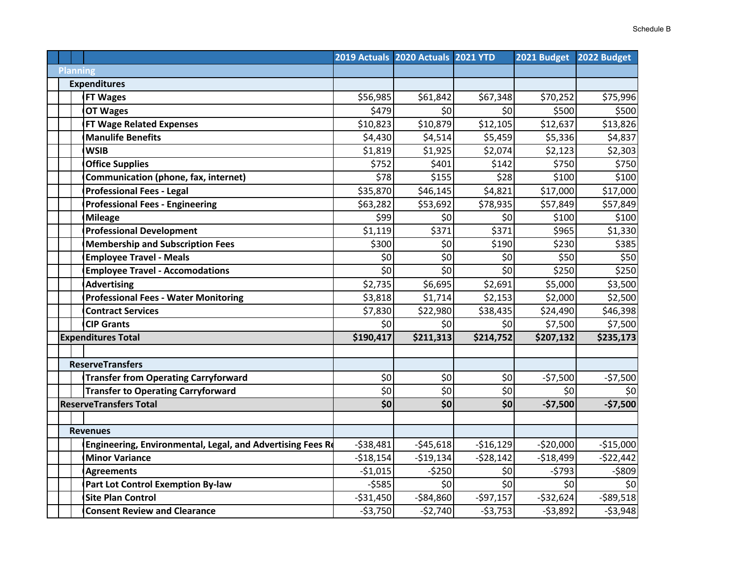|  |                                                            |            | 2019 Actuals 2020 Actuals 2021 YTD |                      | 2021 Budget | 2022 Budget |
|--|------------------------------------------------------------|------------|------------------------------------|----------------------|-------------|-------------|
|  | <b>Planning</b>                                            |            |                                    |                      |             |             |
|  | <b>Expenditures</b>                                        |            |                                    |                      |             |             |
|  | <b>FT Wages</b>                                            | \$56,985   | \$61,842                           | \$67,348             | \$70,252    | \$75,996    |
|  | <b>OT Wages</b>                                            | \$479      | \$0                                | \$0                  | \$500       | \$500       |
|  | <b>FT Wage Related Expenses</b>                            | \$10,823   | \$10,879                           | \$12,105             | \$12,637    | \$13,826    |
|  | <b>Manulife Benefits</b>                                   | \$4,430    | \$4,514                            | \$5,459              | \$5,336     | \$4,837     |
|  | <b>WSIB</b>                                                | \$1,819    | \$1,925                            | \$2,074              | \$2,123     | \$2,303     |
|  | <b>Office Supplies</b>                                     | \$752      | \$401                              | \$142                | \$750       | \$750       |
|  | Communication (phone, fax, internet)                       | \$78       | \$155                              | \$28                 | \$100       | \$100       |
|  | <b>Professional Fees - Legal</b>                           | \$35,870   | \$46,145                           | \$4,821              | \$17,000    | \$17,000    |
|  | <b>Professional Fees - Engineering</b>                     | \$63,282   | \$53,692                           | $\overline{$}78,935$ | \$57,849    | \$57,849    |
|  | <b>Mileage</b>                                             | \$99       | \$0                                | \$0                  | \$100       | \$100       |
|  | <b>Professional Development</b>                            | \$1,119    | \$371                              | \$371                | \$965       | \$1,330     |
|  | <b>Membership and Subscription Fees</b>                    | \$300      | \$0                                | \$190                | \$230       | \$385       |
|  | <b>Employee Travel - Meals</b>                             | \$0        | \$0                                | \$0                  | \$50        | \$50        |
|  | <b>Employee Travel - Accomodations</b>                     | \$0        | \$0                                | \$0                  | \$250       | \$250       |
|  | <b>Advertising</b>                                         | \$2,735    | \$6,695                            | \$2,691              | \$5,000     | \$3,500     |
|  | <b>Professional Fees - Water Monitoring</b>                | \$3,818    | \$1,714                            | \$2,153              | \$2,000     | \$2,500     |
|  | <b>Contract Services</b>                                   | \$7,830    | \$22,980                           | \$38,435             | \$24,490    | \$46,398    |
|  | <b>CIP Grants</b>                                          | \$0        | \$0                                | \$0                  | \$7,500     | \$7,500     |
|  | <b>Expenditures Total</b>                                  | \$190,417  | \$211,313                          | \$214,752            | \$207,132   | \$235,173   |
|  |                                                            |            |                                    |                      |             |             |
|  | <b>ReserveTransfers</b>                                    |            |                                    |                      |             |             |
|  | <b>Transfer from Operating Carryforward</b>                | \$0        | \$0                                | \$0                  | $-57,500$   | $-57,500$   |
|  | <b>Transfer to Operating Carryforward</b>                  | \$0        | \$0                                | \$0                  | \$0         | \$0         |
|  | <b>ReserveTransfers Total</b>                              | \$0        | \$0                                | \$0                  | $-$7,500$   | $-$7,500$   |
|  |                                                            |            |                                    |                      |             |             |
|  | <b>Revenues</b>                                            |            |                                    |                      |             |             |
|  | Engineering, Environmental, Legal, and Advertising Fees Re | $-538,481$ | $-545,618$                         | $-516,129$           | $-520,000$  | $-$15,000$  |
|  | <b>Minor Variance</b>                                      | $-518,154$ | $-519,134$                         | $-528,142$           | $-518,499$  | $-522,442$  |
|  | <b>Agreements</b>                                          | $-51,015$  | $-5250$                            | \$0                  | $-5793$     | $-5809$     |
|  | Part Lot Control Exemption By-law                          | $-5585$    | \$0                                | \$                   | \$0         | \$0         |
|  | <b>Site Plan Control</b>                                   | $-531,450$ | $-$84,860$                         | $-597,157$           | $-532,624$  | $-589,518$  |
|  | <b>Consent Review and Clearance</b>                        | $-53,750$  | $-52,740$                          | $-53,753$            | $-53,892$   | $-53,948$   |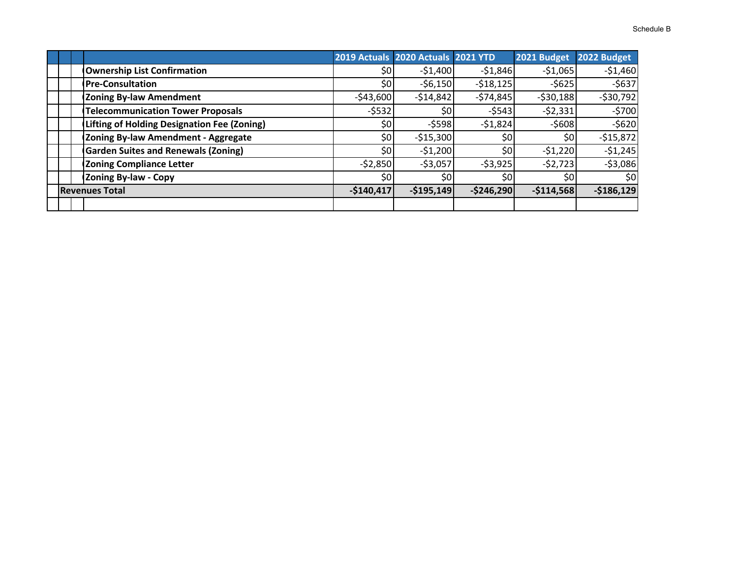|  |                                             |                  | 2019 Actuals 2020 Actuals 2021 YTD |               | 2021 Budget | 2022 Budget |
|--|---------------------------------------------|------------------|------------------------------------|---------------|-------------|-------------|
|  | <b>Ownership List Confirmation</b>          | \$0 <sub>1</sub> | $-51,400$                          | $-51,846$     | $-51,065$   | $-51,460$   |
|  | <b>Pre-Consultation</b>                     | \$0              | $-56,150$                          | $-518,125$    | $-5625$     | $-5637$     |
|  | <b>Zoning By-law Amendment</b>              | $-$43,600$       | $-514,842$                         | $-574,845$    | $-530,188$  | $-530,792$  |
|  | <b>Telecommunication Tower Proposals</b>    | $-5532$          | \$0                                | $-5543$       | $-52,331$   | $-5700$     |
|  | Lifting of Holding Designation Fee (Zoning) | \$0              | $-$ \$598                          | $-51,824$     | $-5608$     | $-5620$     |
|  | Zoning By-law Amendment - Aggregate         | \$0              | $-515,300$                         | \$0           | \$0         | $-$15,872$  |
|  | <b>Garden Suites and Renewals (Zoning)</b>  | \$0              | $-51,200$                          | \$0           | $-51,220$   | $-51,245$   |
|  | <b>Zoning Compliance Letter</b>             | $-52,850$        | $-53,057$                          | $-53,925$     | $-52,723$   | $-53,086$   |
|  | <b>Zoning By-law - Copy</b>                 | \$0              | \$0                                | \$0           | \$0         | \$0         |
|  | <b>Revenues Total</b>                       | $-$140,417$      | $-$195,149$                        | $-$ \$246,290 | $-$114,568$ | $-$186,129$ |
|  |                                             |                  |                                    |               |             |             |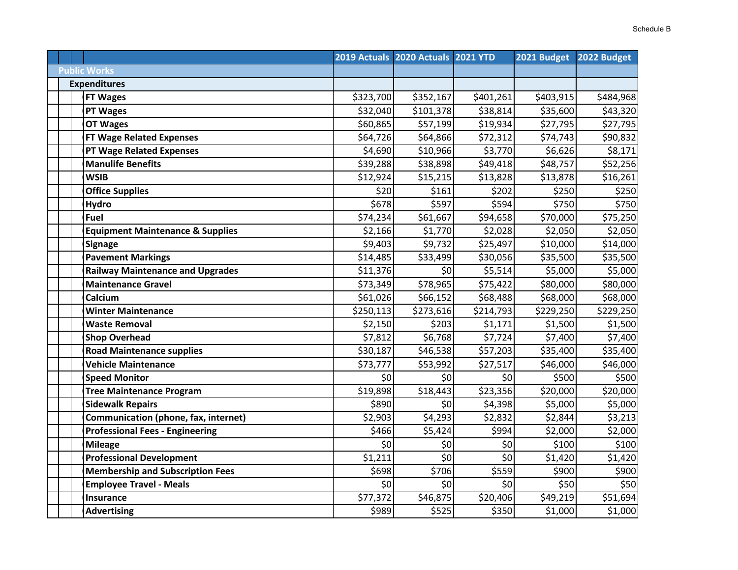|                                             |           | 2019 Actuals 2020 Actuals 2021 YTD |           | 2021 Budget | 2022 Budget |
|---------------------------------------------|-----------|------------------------------------|-----------|-------------|-------------|
| <b>Public Works</b>                         |           |                                    |           |             |             |
| <b>Expenditures</b>                         |           |                                    |           |             |             |
| <b>FT Wages</b>                             | \$323,700 | \$352,167                          | \$401,261 | \$403,915   | \$484,968   |
| <b>PT Wages</b>                             | \$32,040  | \$101,378                          | \$38,814  | \$35,600    | \$43,320    |
| <b>OT Wages</b>                             | \$60,865  | \$57,199                           | \$19,934  | \$27,795    | \$27,795    |
| <b>FT Wage Related Expenses</b>             | \$64,726  | \$64,866                           | \$72,312  | \$74,743    | \$90,832    |
| <b>PT Wage Related Expenses</b>             | \$4,690   | \$10,966                           | \$3,770   | \$6,626     | \$8,171     |
| <b>Manulife Benefits</b>                    | \$39,288  | \$38,898                           | \$49,418  | \$48,757    | \$52,256    |
| <b>WSIB</b>                                 | \$12,924  | \$15,215                           | \$13,828  | \$13,878    | \$16,261    |
| <b>Office Supplies</b>                      | \$20      | \$161                              | \$202     | \$250       | \$250       |
| <b>Hydro</b>                                | \$678     | \$597                              | \$594     | \$750       | \$750       |
| Fuel                                        | \$74,234  | \$61,667                           | \$94,658  | \$70,000    | \$75,250    |
| <b>Equipment Maintenance &amp; Supplies</b> | \$2,166   | \$1,770                            | \$2,028   | \$2,050     | \$2,050     |
| <b>Signage</b>                              | \$9,403   | \$9,732                            | \$25,497  | \$10,000    | \$14,000    |
| <b>Pavement Markings</b>                    | \$14,485  | \$33,499                           | \$30,056  | \$35,500    | \$35,500    |
| <b>Railway Maintenance and Upgrades</b>     | \$11,376  | \$0                                | \$5,514   | \$5,000     | \$5,000     |
| <b>Maintenance Gravel</b>                   | \$73,349  | \$78,965                           | \$75,422  | \$80,000    | \$80,000    |
| Calcium                                     | \$61,026  | \$66,152                           | \$68,488  | \$68,000    | \$68,000    |
| <b>Winter Maintenance</b>                   | \$250,113 | \$273,616                          | \$214,793 | \$229,250   | \$229,250   |
| <b>Waste Removal</b>                        | \$2,150   | \$203                              | \$1,171   | \$1,500     | \$1,500     |
| <b>Shop Overhead</b>                        | \$7,812   | \$6,768                            | \$7,724   | \$7,400     | \$7,400     |
| <b>Road Maintenance supplies</b>            | \$30,187  | \$46,538                           | \$57,203  | \$35,400    | \$35,400    |
| <b>Vehicle Maintenance</b>                  | \$73,777  | \$53,992                           | \$27,517  | \$46,000    | \$46,000    |
| <b>Speed Monitor</b>                        | \$0       | \$0                                | \$0       | \$500       | \$500       |
| <b>Tree Maintenance Program</b>             | \$19,898  | \$18,443                           | \$23,356  | \$20,000    | \$20,000    |
| <b>Sidewalk Repairs</b>                     | \$890     | \$0                                | \$4,398   | \$5,000     | \$5,000     |
| Communication (phone, fax, internet)        | \$2,903   | \$4,293                            | \$2,832   | \$2,844     | \$3,213     |
| <b>Professional Fees - Engineering</b>      | \$466     | \$5,424                            | \$994     | \$2,000     | \$2,000     |
| <b>Mileage</b>                              | \$0       | \$0                                | \$0       | \$100       | \$100       |
| <b>Professional Development</b>             | \$1,211   | \$0                                | \$0       | \$1,420     | \$1,420     |
| <b>Membership and Subscription Fees</b>     | \$698     | \$706                              | \$559     | \$900       | \$900       |
| <b>Employee Travel - Meals</b>              | \$0       | \$0                                | \$0       | \$50        | \$50        |
| <b>Insurance</b>                            | \$77,372  | \$46,875                           | \$20,406  | \$49,219    | \$51,694    |
| <b>Advertising</b>                          | \$989     | \$525                              | \$350     | \$1,000     | \$1,000     |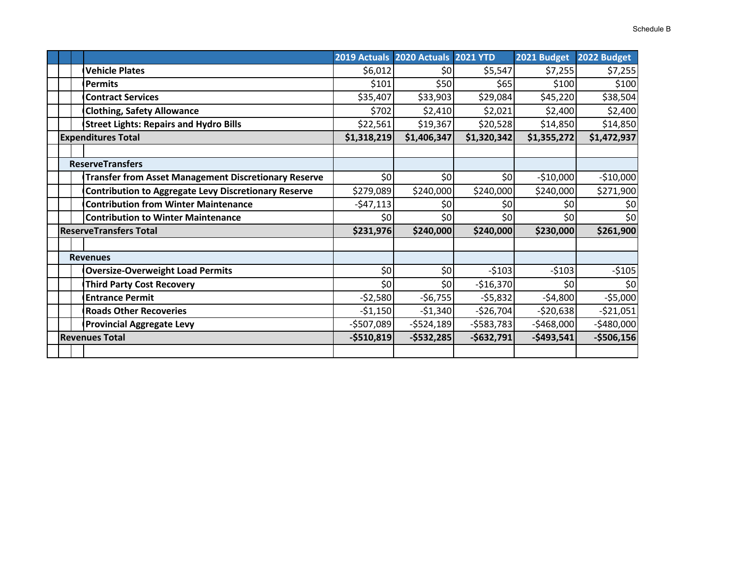|                                                             |             | 2019 Actuals 2020 Actuals 2021 YTD |             | 2021 Budget | 2022 Budget |
|-------------------------------------------------------------|-------------|------------------------------------|-------------|-------------|-------------|
| <b>Vehicle Plates</b>                                       | \$6,012     | \$0                                | \$5,547     | \$7,255     | \$7,255     |
| <b>Permits</b>                                              | \$101       | \$50                               | \$65        | \$100       | \$100       |
| <b>Contract Services</b>                                    | \$35,407    | \$33,903                           | \$29,084    | \$45,220    | \$38,504    |
| <b>Clothing, Safety Allowance</b>                           | \$702       | \$2,410                            | \$2,021     | \$2,400     | \$2,400     |
| <b>Street Lights: Repairs and Hydro Bills</b>               | \$22,561    | \$19,367                           | \$20,528    | \$14,850    | \$14,850    |
| <b>Expenditures Total</b>                                   |             | \$1,406,347<br>\$1,318,219         | \$1,320,342 | \$1,355,272 | \$1,472,937 |
|                                                             |             |                                    |             |             |             |
| <b>ReserveTransfers</b>                                     |             |                                    |             |             |             |
| <b>Transfer from Asset Management Discretionary Reserve</b> | \$0         | \$0                                | \$0         | $-510,000$  | $-$10,000$  |
| <b>Contribution to Aggregate Levy Discretionary Reserve</b> | \$279,089   | \$240,000                          | \$240,000   | \$240,000   | \$271,900   |
| <b>Contribution from Winter Maintenance</b>                 | $-547,113$  | \$0                                | \$0         | \$0         | \$0         |
| <b>Contribution to Winter Maintenance</b>                   | \$0         | \$0                                | \$0         | \$0         | \$0         |
| <b>ReserveTransfers Total</b>                               |             | \$231,976<br>\$240,000             | \$240,000   | \$230,000   | \$261,900   |
|                                                             |             |                                    |             |             |             |
| <b>Revenues</b>                                             |             |                                    |             |             |             |
| <b>Oversize-Overweight Load Permits</b>                     | \$0         | \$0                                | $-5103$     | $-5103$     | $-5105$     |
| <b>Third Party Cost Recovery</b>                            | \$0         | \$0                                | $-$16,370$  | \$0         | \$0         |
| <b>Entrance Permit</b>                                      | $-52,580$   | $-56,755$                          | $-55,832$   | $-54,800$   | $-55,000$   |
| <b>Roads Other Recoveries</b>                               | $-$1,150$   | $-$1,340$                          | $-526,704$  | $-520,638$  | $-521,051$  |
| <b>Provincial Aggregate Levy</b>                            | $-$507,089$ | $-5524,189$                        | $-5583,783$ | $-$468,000$ | $-$480,000$ |
| <b>Revenues Total</b>                                       |             | $-$ \$510,819<br>$-$532,285$       | $-$632,791$ | $-$493,541$ | $-$506,156$ |
|                                                             |             |                                    |             |             |             |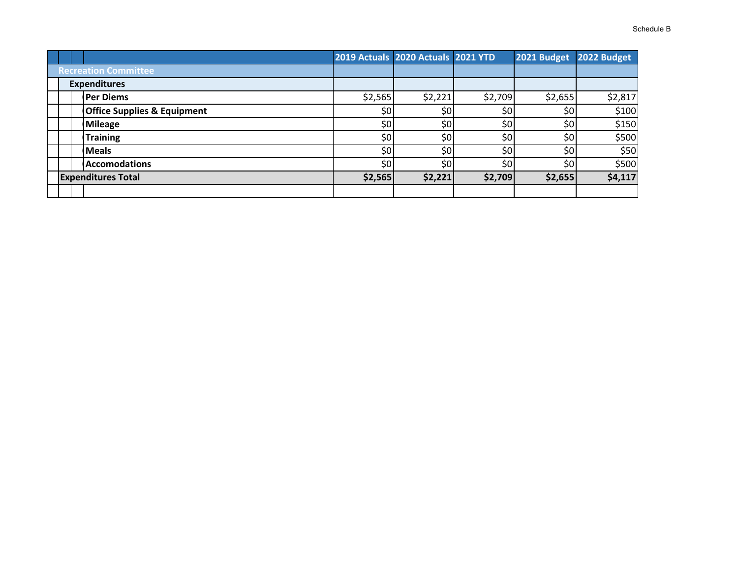|                             |  |                                        | 2019 Actuals 2020 Actuals 2021 YTD |         |         | 2021 Budget | 2022 Budget |
|-----------------------------|--|----------------------------------------|------------------------------------|---------|---------|-------------|-------------|
| <b>Recreation Committee</b> |  |                                        |                                    |         |         |             |             |
| <b>Expenditures</b>         |  |                                        |                                    |         |         |             |             |
|                             |  | <b>Per Diems</b>                       | \$2,565                            | \$2,221 | \$2,709 | \$2,655     | \$2,817     |
|                             |  | <b>Office Supplies &amp; Equipment</b> | \$0                                | \$0     | \$0     | \$0         | \$100       |
|                             |  | <b>Mileage</b>                         | \$0                                | \$0     | \$0     | \$0         | \$150       |
|                             |  | <b>Training</b>                        | \$0                                | \$0     | \$0     | \$0         | \$500       |
|                             |  | <b>Meals</b>                           | \$٥                                | \$0     | \$0     | \$0         | \$50        |
|                             |  | <b>Accomodations</b>                   | \$0                                | \$0     | \$0     | \$0         | \$500       |
| <b>Expenditures Total</b>   |  | \$2,565                                | \$2,221                            | \$2,709 | \$2,655 | \$4,117     |             |
|                             |  |                                        |                                    |         |         |             |             |